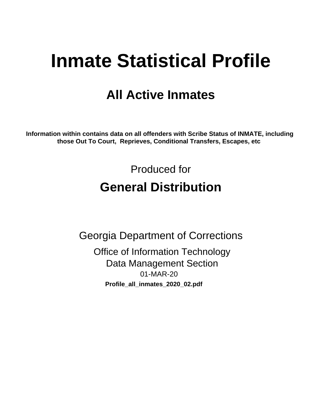# **Inmate Statistical Profile**

# **All Active Inmates**

Information within contains data on all offenders with Scribe Status of INMATE, including those Out To Court, Reprieves, Conditional Transfers, Escapes, etc

> Produced for **General Distribution**

**Georgia Department of Corrections Office of Information Technology Data Management Section** 01-MAR-20 Profile\_all\_inmates\_2020\_02.pdf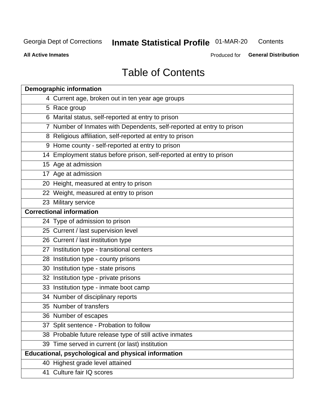#### **Inmate Statistical Profile 01-MAR-20** Contents

**All Active Inmates** 

Produced for General Distribution

# **Table of Contents**

| <b>Demographic information</b>                                        |
|-----------------------------------------------------------------------|
| 4 Current age, broken out in ten year age groups                      |
| 5 Race group                                                          |
| 6 Marital status, self-reported at entry to prison                    |
| 7 Number of Inmates with Dependents, self-reported at entry to prison |
| 8 Religious affiliation, self-reported at entry to prison             |
| 9 Home county - self-reported at entry to prison                      |
| 14 Employment status before prison, self-reported at entry to prison  |
| 15 Age at admission                                                   |
| 17 Age at admission                                                   |
| 20 Height, measured at entry to prison                                |
| 22 Weight, measured at entry to prison                                |
| 23 Military service                                                   |
| <b>Correctional information</b>                                       |
| 24 Type of admission to prison                                        |
| 25 Current / last supervision level                                   |
| 26 Current / last institution type                                    |
| 27 Institution type - transitional centers                            |
| 28 Institution type - county prisons                                  |
| 30 Institution type - state prisons                                   |
| 32 Institution type - private prisons                                 |
| 33 Institution type - inmate boot camp                                |
| 34 Number of disciplinary reports                                     |
| 35 Number of transfers                                                |
| 36 Number of escapes                                                  |
| 37 Split sentence - Probation to follow                               |
| 38 Probable future release type of still active inmates               |
| 39 Time served in current (or last) institution                       |
| Educational, psychological and physical information                   |
| 40 Highest grade level attained                                       |
| 41 Culture fair IQ scores                                             |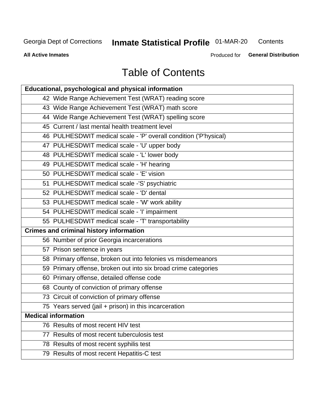# **Inmate Statistical Profile 01-MAR-20**

Contents

**All Active Inmates** 

Produced for General Distribution

# **Table of Contents**

| Educational, psychological and physical information              |
|------------------------------------------------------------------|
| 42 Wide Range Achievement Test (WRAT) reading score              |
| 43 Wide Range Achievement Test (WRAT) math score                 |
| 44 Wide Range Achievement Test (WRAT) spelling score             |
| 45 Current / last mental health treatment level                  |
| 46 PULHESDWIT medical scale - 'P' overall condition ('P'hysical) |
| 47 PULHESDWIT medical scale - 'U' upper body                     |
| 48 PULHESDWIT medical scale - 'L' lower body                     |
| 49 PULHESDWIT medical scale - 'H' hearing                        |
| 50 PULHESDWIT medical scale - 'E' vision                         |
| 51 PULHESDWIT medical scale -'S' psychiatric                     |
| 52 PULHESDWIT medical scale - 'D' dental                         |
| 53 PULHESDWIT medical scale - 'W' work ability                   |
| 54 PULHESDWIT medical scale - 'I' impairment                     |
| 55 PULHESDWIT medical scale - 'T' transportability               |
| <b>Crimes and criminal history information</b>                   |
| 56 Number of prior Georgia incarcerations                        |
| 57 Prison sentence in years                                      |
| 58 Primary offense, broken out into felonies vs misdemeanors     |
| 59 Primary offense, broken out into six broad crime categories   |
| 60 Primary offense, detailed offense code                        |
| 68 County of conviction of primary offense                       |
| 73 Circuit of conviction of primary offense                      |
| 75 Years served (jail + prison) in this incarceration            |
| <b>Medical information</b>                                       |
| 76 Results of most recent HIV test                               |
| 77 Results of most recent tuberculosis test                      |
| 78 Results of most recent syphilis test                          |
| 79 Results of most recent Hepatitis-C test                       |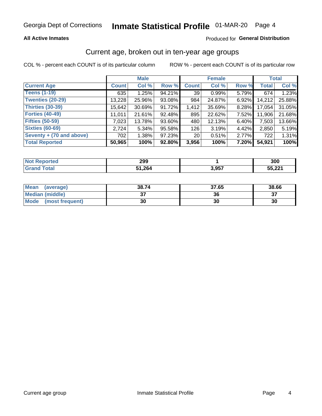#### **All Active Inmates**

### Produced for General Distribution

### Current age, broken out in ten-year age groups

COL % - percent each COUNT is of its particular column

|                          |              | <b>Male</b> |        |                 | <b>Female</b> |          |              | <b>Total</b> |  |
|--------------------------|--------------|-------------|--------|-----------------|---------------|----------|--------------|--------------|--|
| <b>Current Age</b>       | <b>Count</b> | Col %       | Row %  | <b>Count</b>    | Col %         | Row %    | <b>Total</b> | Col %        |  |
| <b>Teens (1-19)</b>      | 635          | 1.25%       | 94.21% | 39              | 0.99%         | 5.79%    | 674          | 1.23%        |  |
| <b>Twenties (20-29)</b>  | 13,228       | 25.96%      | 93.08% | 984             | 24.87%        | $6.92\%$ | 14,212       | 25.88%       |  |
| <b>Thirties (30-39)</b>  | 15,642       | 30.69%      | 91.72% | 1,412           | 35.69%        | 8.28%    | 17,054       | 31.05%       |  |
| <b>Forties (40-49)</b>   | 11,011       | 21.61%      | 92.48% | 895             | 22.62%        | 7.52%    | 11,906       | 21.68%       |  |
| <b>Fifties (50-59)</b>   | 7,023        | 13.78%      | 93.60% | 480             | 12.13%        | 6.40%    | 7,503        | 13.66%       |  |
| <b>Sixties (60-69)</b>   | 2,724        | $5.34\%$    | 95.58% | 126             | 3.19%         | 4.42%    | 2,850        | 5.19%        |  |
| Seventy + (70 and above) | 702          | 1.38%       | 97.23% | 20 <sub>1</sub> | 0.51%         | 2.77%    | 722          | 1.31%        |  |
| <b>Total Reported</b>    | 50,965       | 100%        | 92.80% | 3,956           | 100%          | 7.20%    | 54,921       | 100%         |  |

| <b>Not Reported</b> | 299   |       | 300                |
|---------------------|-------|-------|--------------------|
| Total               | 1,264 | 3,957 | 55 22'<br>. SS. CC |

| <b>Mean</b><br>(average) | 38.74         | 37.65 | 38.66 |
|--------------------------|---------------|-------|-------|
| Median (middle)          | $\sim$<br>ا پ | 36    | ^¬    |
| Mode<br>(most frequent)  | 30            | 30    | 30    |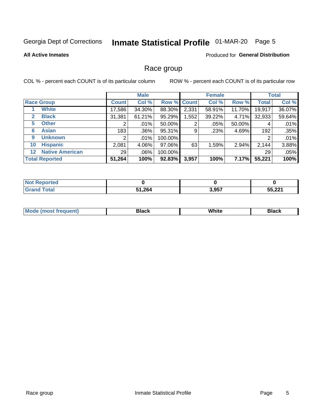# Inmate Statistical Profile 01-MAR-20 Page 5

#### **All Active Inmates**

#### Produced for General Distribution

### Race group

COL % - percent each COUNT is of its particular column

|                                   |                 | <b>Male</b> |         |             | <b>Female</b> |        |              | <b>Total</b> |  |
|-----------------------------------|-----------------|-------------|---------|-------------|---------------|--------|--------------|--------------|--|
| <b>Race Group</b>                 | <b>Count</b>    | Col %       |         | Row % Count | Col %         | Row %  | <b>Total</b> | Col %        |  |
| <b>White</b>                      | 17,586          | 34.30%      | 88.30%  | 2,331       | 58.91%        | 11.70% | 19,917       | 36.07%       |  |
| <b>Black</b><br>2                 | 31,381          | 61.21%      | 95.29%  | .552        | 39.22%        | 4.71%  | 32,933       | 59.64%       |  |
| <b>Other</b><br>5.                |                 | $.01\%$     | 50.00%  | 2           | .05%          | 50.00% | 4            | .01%         |  |
| <b>Asian</b><br>6                 | 183             | .36%        | 95.31%  | 9           | .23%          | 4.69%  | 192          | .35%         |  |
| <b>Unknown</b><br>9               | 2               | $.01\%$     | 100.00% |             |               |        | 2            | .01%         |  |
| <b>Hispanic</b><br>10             | 2,081           | 4.06%       | 97.06%  | 63          | 1.59%         | 2.94%  | 2,144        | 3.88%        |  |
| <b>Native American</b><br>$12 \,$ | 29 <sub>1</sub> | $.06\%$     | 100.00% |             |               |        | 29           | .05%         |  |
| <b>Total Reported</b>             | 51,264          | 100%        | 92.83%  | 3,957       | 100%          | 7.17%  | 55,221       | 100%         |  |

| orted<br>NO: |        |       |                   |
|--------------|--------|-------|-------------------|
| $\tau$ otar  | 51,264 | 3,957 | EE 004<br>JJ.ZZ . |

| m | <br>w<br>$\sim$ $\sim$ $\sim$ $\sim$ |  |
|---|--------------------------------------|--|
|   |                                      |  |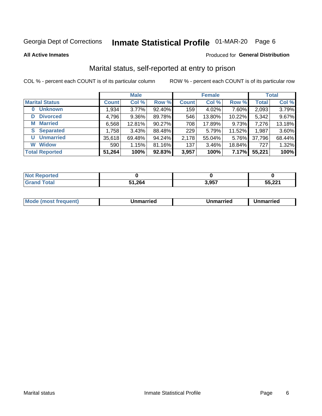# Inmate Statistical Profile 01-MAR-20 Page 6

**All Active Inmates** 

### **Produced for General Distribution**

### Marital status, self-reported at entry to prison

COL % - percent each COUNT is of its particular column

|                            | <b>Male</b>  |          |        |              | <b>Female</b> | <b>Total</b> |              |        |
|----------------------------|--------------|----------|--------|--------------|---------------|--------------|--------------|--------|
| <b>Marital Status</b>      | <b>Count</b> | Col %    | Row %  | <b>Count</b> | Col %         | Row %        | <b>Total</b> | Col %  |
| <b>Unknown</b><br>$\bf{0}$ | 1,934        | $3.77\%$ | 92.40% | 159          | 4.02%         | 7.60%        | 2,093        | 3.79%  |
| <b>Divorced</b><br>D       | 4,796        | $9.36\%$ | 89.78% | 546          | 13.80%        | 10.22%       | 5,342        | 9.67%  |
| <b>Married</b><br>M        | 6,568        | 12.81%   | 90.27% | 708          | 17.89%        | 9.73%        | 7,276        | 13.18% |
| <b>S</b> Separated         | 1,758        | 3.43%    | 88.48% | 229          | 5.79%         | 11.52%       | 1,987        | 3.60%  |
| <b>Unmarried</b><br>U      | 35,618       | 69.48%   | 94.24% | 2,178        | 55.04%        | 5.76%        | 37,796       | 68.44% |
| <b>Widow</b><br>W          | 590          | 1.15%    | 81.16% | 137          | 3.46%         | 18.84%       | 727          | 1.32%  |
| <b>Total Reported</b>      | 51,264       | 100%     | 92.83% | 3,957        | 100%          | 7.17%        | 55,221       | 100%   |

| ----<br>neo<br>NO    |      |      |                 |
|----------------------|------|------|-----------------|
| $\sim$ $\sim$ $\sim$ | .264 | 2057 | EE 004<br>.ZZ I |

|--|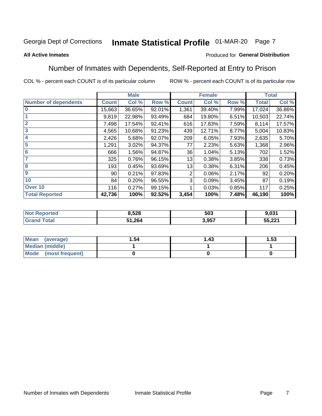# Inmate Statistical Profile 01-MAR-20 Page 7

#### **All Active Inmates**

#### Produced for General Distribution

### Number of Inmates with Dependents, Self-Reported at Entry to Prison

COL % - percent each COUNT is of its particular column

|                             | <b>Male</b>     |        |        | <b>Female</b> | <b>Total</b> |       |              |        |
|-----------------------------|-----------------|--------|--------|---------------|--------------|-------|--------------|--------|
| <b>Number of dependents</b> | <b>Count</b>    | Col %  | Row %  | <b>Count</b>  | Col %        | Row % | <b>Total</b> | Col %  |
| l 0                         | 15,663          | 36.65% | 92.01% | 1,361         | 39.40%       | 7.99% | 17,024       | 36.86% |
|                             | 9,819           | 22.98% | 93.49% | 684           | 19.80%       | 6.51% | 10,503       | 22.74% |
| $\overline{2}$              | 7,498           | 17.54% | 92.41% | 616           | 17.83%       | 7.59% | 8,114        | 17.57% |
| $\mathbf{3}$                | 4,565           | 10.68% | 91.23% | 439           | 12.71%       | 8.77% | 5,004        | 10.83% |
| $\overline{\mathbf{4}}$     | 2,426           | 5.68%  | 92.07% | 209           | 6.05%        | 7.93% | 2,635        | 5.70%  |
| 5                           | 1,291           | 3.02%  | 94.37% | 77            | 2.23%        | 5.63% | 1,368        | 2.96%  |
| 6                           | 666             | 1.56%  | 94.87% | 36            | 1.04%        | 5.13% | 702          | 1.52%  |
| 7                           | 325             | 0.76%  | 96.15% | 13            | 0.38%        | 3.85% | 338          | 0.73%  |
| 8                           | 193             | 0.45%  | 93.69% | 13            | 0.38%        | 6.31% | 206          | 0.45%  |
| 9                           | 90 <sub>1</sub> | 0.21%  | 97.83% | 2             | 0.06%        | 2.17% | 92           | 0.20%  |
| 10                          | 84              | 0.20%  | 96.55% | 3             | 0.09%        | 3.45% | 87           | 0.19%  |
| Over 10                     | 116             | 0.27%  | 99.15% |               | 0.03%        | 0.85% | 117          | 0.25%  |
| <b>Total Reported</b>       | 42,736          | 100%   | 92.52% | 3,454         | 100%         | 7.48% | 46,190       | 100%   |

| 8.528  | 503        | .031                                    |
|--------|------------|-----------------------------------------|
| 51,264 | <b>Q57</b> | EE 004<br>$\cdot$ . A and $\cdot$<br>JJ |

| Mean (average)       | 1.54 | l.43 | l.53 |
|----------------------|------|------|------|
| Median (middle)      |      |      |      |
| Mode (most frequent) |      |      |      |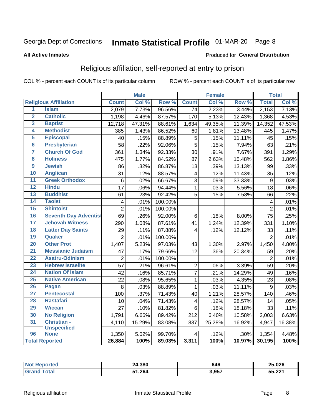# Inmate Statistical Profile 01-MAR-20 Page 8

#### **All Active Inmates**

#### Produced for General Distribution

### Religious affiliation, self-reported at entry to prison

COL % - percent each COUNT is of its particular column

|                     |                              |                 | <b>Male</b> |         |                  | <b>Female</b> |                  |                | <b>Total</b> |
|---------------------|------------------------------|-----------------|-------------|---------|------------------|---------------|------------------|----------------|--------------|
|                     | <b>Religious Affiliation</b> | <b>Count</b>    | Col %       | Row %   | <b>Count</b>     | Col %         | Row <sup>%</sup> | <b>Total</b>   | Col %        |
| 1                   | <b>Islam</b>                 | 2,079           | 7.73%       | 96.56%  | $\overline{74}$  | 2.23%         | 3.44%            | 2,153          | 7.13%        |
| $\overline{2}$      | <b>Catholic</b>              | 1,198           | 4.46%       | 87.57%  | 170              | 5.13%         | 12.43%           | 1,368          | 4.53%        |
| 3                   | <b>Baptist</b>               | 12,718          | 47.31%      | 88.61%  | 1,634            | 49.35%        | 11.39%           | 14,352         | 47.53%       |
| 4                   | <b>Methodist</b>             | 385             | 1.43%       | 86.52%  | 60               | 1.81%         | 13.48%           | 445            | 1.47%        |
| 5                   | <b>Episcopal</b>             | 40              | .15%        | 88.89%  | 5                | .15%          | 11.11%           | 45             | .15%         |
| $\overline{\bf{6}}$ | <b>Presbyterian</b>          | 58              | .22%        | 92.06%  | $\overline{5}$   | .15%          | 7.94%            | 63             | .21%         |
| 7                   | <b>Church Of God</b>         | 361             | 1.34%       | 92.33%  | 30               | .91%          | 7.67%            | 391            | 1.29%        |
| 8                   | <b>Holiness</b>              | 475             | 1.77%       | 84.52%  | 87               | 2.63%         | 15.48%           | 562            | 1.86%        |
| $\overline{9}$      | <b>Jewish</b>                | 86              | .32%        | 86.87%  | 13               | .39%          | 13.13%           | 99             | .33%         |
| 10                  | <b>Anglican</b>              | 31              | .12%        | 88.57%  | 4                | .12%          | 11.43%           | 35             | .12%         |
| 11                  | <b>Greek Orthodox</b>        | $6\phantom{1}6$ | .02%        | 66.67%  | $\overline{3}$   | .09%          | 33.33%           | $\overline{9}$ | .03%         |
| 12                  | <b>Hindu</b>                 | $\overline{17}$ | .06%        | 94.44%  | $\mathbf{1}$     | .03%          | 5.56%            | 18             | .06%         |
| 13                  | <b>Buddhist</b>              | 61              | .23%        | 92.42%  | 5                | .15%          | 7.58%            | 66             | .22%         |
| 14                  | <b>Taoist</b>                | $\overline{4}$  | .01%        | 100.00% |                  |               |                  | 4              | .01%         |
| 15                  | <b>Shintoist</b>             | $\overline{2}$  | .01%        | 100.00% |                  |               |                  | $\overline{2}$ | .01%         |
| 16                  | <b>Seventh Day Adventist</b> | 69              | .26%        | 92.00%  | 6                | .18%          | 8.00%            | 75             | .25%         |
| 17                  | <b>Jehovah Witness</b>       | 290             | 1.08%       | 87.61%  | 41               | 1.24%         | 12.39%           | 331            | 1.10%        |
| 18                  | <b>Latter Day Saints</b>     | 29              | .11%        | 87.88%  | 4                | .12%          | 12.12%           | 33             | .11%         |
| 19                  | Quaker                       | $\overline{2}$  | .01%        | 100.00% |                  |               |                  | $\overline{2}$ | .01%         |
| 20                  | <b>Other Prot</b>            | 1,407           | 5.23%       | 97.03%  | 43               | 1.30%         | 2.97%            | 1,450          | 4.80%        |
| 21                  | <b>Messianic Judaism</b>     | 47              | .17%        | 79.66%  | 12               | .36%          | 20.34%           | 59             | .20%         |
| 22                  | <b>Asatru-Odinism</b>        | $\overline{2}$  | .01%        | 100.00% |                  |               |                  | $\overline{2}$ | .01%         |
| 23                  | <b>Hebrew Israelite</b>      | $\overline{57}$ | .21%        | 96.61%  | $\overline{2}$   | .06%          | 3.39%            | 59             | .20%         |
| 24                  | <b>Nation Of Islam</b>       | $\overline{42}$ | .16%        | 85.71%  | $\overline{7}$   | .21%          | 14.29%           | 49             | .16%         |
| 25                  | <b>Native American</b>       | 22              | .08%        | 95.65%  | $\mathbf 1$      | .03%          | 4.35%            | 23             | .08%         |
| 26                  | Pagan                        | 8               | .03%        | 88.89%  | $\mathbf{1}$     | .03%          | 11.11%           | 9              | .03%         |
| $\overline{27}$     | <b>Pentecostal</b>           | 100             | .37%        | 71.43%  | 40               | 1.21%         | 28.57%           | 140            | .46%         |
| 28                  | <b>Rastafari</b>             | 10              | .04%        | 71.43%  | 4                | .12%          | 28.57%           | 14             | .05%         |
| 29                  | <b>Wiccan</b>                | 27              | .10%        | 81.82%  | 6                | .18%          | 18.18%           | 33             | .11%         |
| 30                  | <b>No Religion</b>           | 1,791           | 6.66%       | 89.42%  | $\overline{212}$ | 6.40%         | 10.58%           | 2,003          | 6.63%        |
| 31                  | Christian -                  | 4,110           | 15.29%      | 83.08%  | 837              | 25.28%        | 16.92%           | 4,947          | 16.38%       |
|                     | <b>Unspecified</b>           |                 |             |         |                  |               |                  |                |              |
| 96                  | <b>None</b>                  | 1,350           | 5.02%       | 99.70%  | 4                | .12%          | .30%             | 1,354          | 4.48%        |
|                     | <b>Total Reported</b>        | 26,884          | 100%        | 89.03%  | 3,311            | 100%          | 10.97%           | 30,195         | 100%         |

| 24,380       | 646   | 25,026            |
|--------------|-------|-------------------|
| 20A<br>1.ZD4 | 3,957 | 55 221<br>JJ.ZZ I |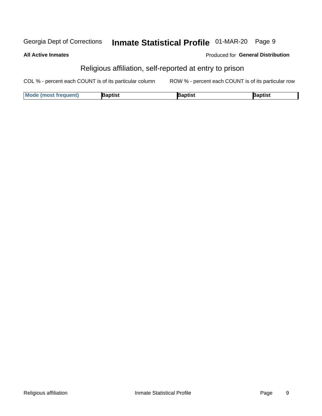#### Inmate Statistical Profile 01-MAR-20 Page 9 Georgia Dept of Corrections

**All Active Inmates** 

| <b>Produced for General Distribution</b> |  |  |
|------------------------------------------|--|--|
|------------------------------------------|--|--|

### Religious affiliation, self-reported at entry to prison

COL % - percent each COUNT is of its particular column ROW % - percent each COUNT is of its particular row

| <b>Mode (most frequent)</b> | <b>3aptist</b> | }aptist | <b>Baptist</b> |
|-----------------------------|----------------|---------|----------------|
|-----------------------------|----------------|---------|----------------|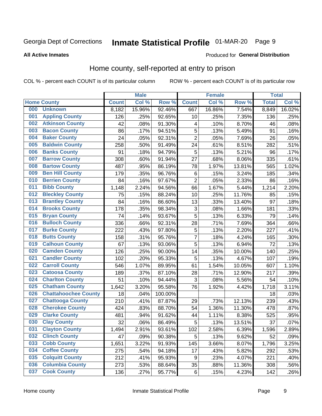# Inmate Statistical Profile 01-MAR-20 Page 9

#### **All Active Inmates**

### **Produced for General Distribution**

### Home county, self-reported at entry to prison

COL % - percent each COUNT is of its particular column

|     |                             |              | <b>Male</b> |                  |                  | <b>Female</b> |        | <b>Total</b> |                     |
|-----|-----------------------------|--------------|-------------|------------------|------------------|---------------|--------|--------------|---------------------|
|     | <b>Home County</b>          | <b>Count</b> | Col %       | Row <sup>%</sup> | <b>Count</b>     | Col %         | Row %  | <b>Total</b> | Col %               |
| 000 | <b>Unknown</b>              | 8,182        | 15.96%      | 92.46%           | 667              | 16.86%        | 7.54%  | 8,849        | 16.02%              |
| 001 | <b>Appling County</b>       | 126          | .25%        | 92.65%           | 10               | .25%          | 7.35%  | 136          | .25%                |
| 002 | <b>Atkinson County</b>      | 42           | .08%        | 91.30%           | 4                | .10%          | 8.70%  | 46           | .08%                |
| 003 | <b>Bacon County</b>         | 86           | .17%        | 94.51%           | 5                | .13%          | 5.49%  | 91           | .16%                |
| 004 | <b>Baker County</b>         | 24           | .05%        | 92.31%           | $\overline{c}$   | .05%          | 7.69%  | 26           | .05%                |
| 005 | <b>Baldwin County</b>       | 258          | .50%        | 91.49%           | 24               | .61%          | 8.51%  | 282          | .51%                |
| 006 | <b>Banks County</b>         | 91           | .18%        | 94.79%           | $\overline{5}$   | .13%          | 5.21%  | 96           | .17%                |
| 007 | <b>Barrow County</b>        | 308          | .60%        | 91.94%           | 27               | .68%          | 8.06%  | 335          | .61%                |
| 008 | <b>Bartow County</b>        | 487          | .95%        | 86.19%           | 78               | 1.97%         | 13.81% | 565          | 1.02%               |
| 009 | <b>Ben Hill County</b>      | 179          | .35%        | 96.76%           | $\,6$            | .15%          | 3.24%  | 185          | .34%                |
| 010 | <b>Berrien County</b>       | 84           | .16%        | 97.67%           | $\overline{2}$   | .05%          | 2.33%  | 86           | .16%                |
| 011 | <b>Bibb County</b>          | 1,148        | 2.24%       | 94.56%           | 66               | 1.67%         | 5.44%  | 1,214        | 2.20%               |
| 012 | <b>Bleckley County</b>      | 75           | .15%        | 88.24%           | 10               | .25%          | 11.76% | 85           | .15%                |
| 013 | <b>Brantley County</b>      | 84           | .16%        | 86.60%           | 13               | .33%          | 13.40% | 97           | .18%                |
| 014 | <b>Brooks County</b>        | 178          | .35%        | 98.34%           | 3                | .08%          | 1.66%  | 181          | .33%                |
| 015 | <b>Bryan County</b>         | 74           | .14%        | 93.67%           | 5                | .13%          | 6.33%  | 79           | .14%                |
| 016 | <b>Bulloch County</b>       | 336          | .66%        | 92.31%           | 28               | .71%          | 7.69%  | 364          | .66%                |
| 017 | <b>Burke County</b>         | 222          | .43%        | 97.80%           | 5                | .13%          | 2.20%  | 227          | .41%                |
| 018 | <b>Butts County</b>         | 158          | .31%        | 95.76%           | $\overline{7}$   | .18%          | 4.24%  | 165          | .30%                |
| 019 | <b>Calhoun County</b>       | 67           | .13%        | 93.06%           | 5                | .13%          | 6.94%  | 72           | .13%                |
| 020 | <b>Camden County</b>        | 126          | .25%        | 90.00%           | 14               | .35%          | 10.00% | 140          | .25%                |
| 021 | <b>Candler County</b>       | 102          | .20%        | 95.33%           | 5                | .13%          | 4.67%  | 107          | .19%                |
| 022 | <b>Carroll County</b>       | 546          | 1.07%       | 89.95%           | 61               | 1.54%         | 10.05% | 607          | $\overline{1.10\%}$ |
| 023 | <b>Catoosa County</b>       | 189          | .37%        | 87.10%           | 28               | .71%          | 12.90% | 217          | .39%                |
| 024 | <b>Charlton County</b>      | 51           | .10%        | 94.44%           | 3                | .08%          | 5.56%  | 54           | .10%                |
| 025 | <b>Chatham County</b>       | 1,642        | 3.20%       | 95.58%           | 76               | 1.92%         | 4.42%  | 1,718        | 3.11%               |
| 026 | <b>Chattahoochee County</b> | 18           | .04%        | 100.00%          |                  |               |        | 18           | .03%                |
| 027 | <b>Chattooga County</b>     | 210          | .41%        | 87.87%           | 29               | .73%          | 12.13% | 239          | .43%                |
| 028 | <b>Cherokee County</b>      | 424          | .83%        | 88.70%           | 54               | 1.36%         | 11.30% | 478          | .87%                |
| 029 | <b>Clarke County</b>        | 481          | .94%        | 91.62%           | 44               | 1.11%         | 8.38%  | 525          | .95%                |
| 030 | <b>Clay County</b>          | 32           | .06%        | 86.49%           | 5                | .13%          | 13.51% | 37           | .07%                |
| 031 | <b>Clayton County</b>       | 1,494        | 2.91%       | 93.61%           | 102              | 2.58%         | 6.39%  | 1,596        | 2.89%               |
| 032 | <b>Clinch County</b>        | 47           | .09%        | 90.38%           | 5                | .13%          | 9.62%  | 52           | .09%                |
| 033 | <b>Cobb County</b>          | 1,651        | 3.22%       | 91.93%           | 145              | 3.66%         | 8.07%  | 1,796        | 3.25%               |
| 034 | <b>Coffee County</b>        | 275          | .54%        | 94.18%           | 17               | .43%          | 5.82%  | 292          | .53%                |
| 035 | <b>Colquitt County</b>      | 212          | .41%        | 95.93%           | $\boldsymbol{9}$ | .23%          | 4.07%  | 221          | .40%                |
| 036 | <b>Columbia County</b>      | 273          | .53%        | 88.64%           | 35               | .88%          | 11.36% | 308          | .56%                |
| 037 | <b>Cook County</b>          | 136          | .27%        | 95.77%           | $\,6\,$          | .15%          | 4.23%  | 142          | .26%                |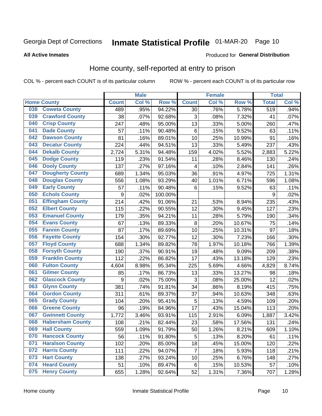# Inmate Statistical Profile 01-MAR-20 Page 10

**All Active Inmates** 

#### Produced for General Distribution

### Home county, self-reported at entry to prison

COL % - percent each COUNT is of its particular column

|     |                         |                  | <b>Male</b> |         |                 | <b>Female</b> |        | <b>Total</b> |       |
|-----|-------------------------|------------------|-------------|---------|-----------------|---------------|--------|--------------|-------|
|     | <b>Home County</b>      | <b>Count</b>     | Col %       | Row %   | <b>Count</b>    | Col %         | Row %  | <b>Total</b> | Col % |
| 038 | <b>Coweta County</b>    | 489              | .95%        | 94.22%  | 30              | .76%          | 5.78%  | 519          | .94%  |
| 039 | <b>Crawford County</b>  | 38               | .07%        | 92.68%  | 3               | .08%          | 7.32%  | 41           | .07%  |
| 040 | <b>Crisp County</b>     | 247              | .48%        | 95.00%  | 13              | .33%          | 5.00%  | 260          | .47%  |
| 041 | <b>Dade County</b>      | 57               | .11%        | 90.48%  | $\,6$           | .15%          | 9.52%  | 63           | .11%  |
| 042 | <b>Dawson County</b>    | 81               | .16%        | 89.01%  | 10              | .25%          | 10.99% | 91           | .16%  |
| 043 | <b>Decatur County</b>   | 224              | .44%        | 94.51%  | 13              | .33%          | 5.49%  | 237          | .43%  |
| 044 | <b>Dekalb County</b>    | 2,724            | 5.31%       | 94.48%  | 159             | 4.02%         | 5.52%  | 2,883        | 5.22% |
| 045 | <b>Dodge County</b>     | 119              | .23%        | 91.54%  | 11              | .28%          | 8.46%  | 130          | .24%  |
| 046 | <b>Dooly County</b>     | 137              | .27%        | 97.16%  | $\overline{4}$  | .10%          | 2.84%  | 141          | .26%  |
| 047 | <b>Dougherty County</b> | 689              | 1.34%       | 95.03%  | 36              | .91%          | 4.97%  | 725          | 1.31% |
| 048 | <b>Douglas County</b>   | 556              | 1.08%       | 93.29%  | 40              | 1.01%         | 6.71%  | 596          | 1.08% |
| 049 | <b>Early County</b>     | 57               | .11%        | 90.48%  | $6\phantom{1}6$ | .15%          | 9.52%  | 63           | .11%  |
| 050 | <b>Echols County</b>    | $\boldsymbol{9}$ | .02%        | 100.00% |                 |               |        | 9            | .02%  |
| 051 | <b>Effingham County</b> | $\overline{2}14$ | .42%        | 91.06%  | 21              | .53%          | 8.94%  | 235          | .43%  |
| 052 | <b>Elbert County</b>    | 115              | .22%        | 90.55%  | 12              | .30%          | 9.45%  | 127          | .23%  |
| 053 | <b>Emanuel County</b>   | 179              | .35%        | 94.21%  | 11              | .28%          | 5.79%  | 190          | .34%  |
| 054 | <b>Evans County</b>     | 67               | .13%        | 89.33%  | $\bf 8$         | .20%          | 10.67% | 75           | .14%  |
| 055 | <b>Fannin County</b>    | 87               | .17%        | 89.69%  | 10              | .25%          | 10.31% | 97           | .18%  |
| 056 | <b>Fayette County</b>   | 154              | .30%        | 92.77%  | 12              | .30%          | 7.23%  | 166          | .30%  |
| 057 | <b>Floyd County</b>     | 688              | 1.34%       | 89.82%  | 78              | 1.97%         | 10.18% | 766          | 1.39% |
| 058 | <b>Forsyth County</b>   | 190              | .37%        | 90.91%  | 19              | .48%          | 9.09%  | 209          | .38%  |
| 059 | <b>Franklin County</b>  | 112              | .22%        | 86.82%  | 17              | .43%          | 13.18% | 129          | .23%  |
| 060 | <b>Fulton County</b>    | 4,604            | 8.98%       | 95.34%  | 225             | 5.69%         | 4.66%  | 4,829        | 8.74% |
| 061 | <b>Gilmer County</b>    | 85               | .17%        | 86.73%  | 13              | .33%          | 13.27% | 98           | .18%  |
| 062 | <b>Glascock County</b>  | 9                | .02%        | 75.00%  | 3               | .08%          | 25.00% | 12           | .02%  |
| 063 | <b>Glynn County</b>     | 381              | .74%        | 91.81%  | 34              | .86%          | 8.19%  | 415          | .75%  |
| 064 | <b>Gordon County</b>    | 311              | .61%        | 89.37%  | 37              | .94%          | 10.63% | 348          | .63%  |
| 065 | <b>Grady County</b>     | 104              | .20%        | 95.41%  | 5               | .13%          | 4.59%  | 109          | .20%  |
| 066 | <b>Greene County</b>    | 96               | .19%        | 84.96%  | 17              | .43%          | 15.04% | 113          | .20%  |
| 067 | <b>Gwinnett County</b>  | 1,772            | 3.46%       | 93.91%  | 115             | 2.91%         | 6.09%  | 1,887        | 3.42% |
| 068 | <b>Habersham County</b> | 108              | .21%        | 82.44%  | 23              | .58%          | 17.56% | 131          | .24%  |
| 069 | <b>Hall County</b>      | 559              | 1.09%       | 91.79%  | 50              | 1.26%         | 8.21%  | 609          | 1.10% |
| 070 | <b>Hancock County</b>   | 56               | .11%        | 91.80%  | 5               | .13%          | 8.20%  | 61           | .11%  |
| 071 | <b>Haralson County</b>  | 102              | .20%        | 85.00%  | 18              | .45%          | 15.00% | 120          | .22%  |
| 072 | <b>Harris County</b>    | 111              | .22%        | 94.07%  | $\overline{7}$  | .18%          | 5.93%  | 118          | .21%  |
| 073 | <b>Hart County</b>      | 138              | .27%        | 93.24%  | 10              | .25%          | 6.76%  | 148          | .27%  |
| 074 | <b>Heard County</b>     | 51               | .10%        | 89.47%  | 6               | .15%          | 10.53% | 57           | .10%  |
| 075 | <b>Henry County</b>     | 655              | 1.28%       | 92.64%  | 52              | 1.31%         | 7.36%  | 707          | 1.28% |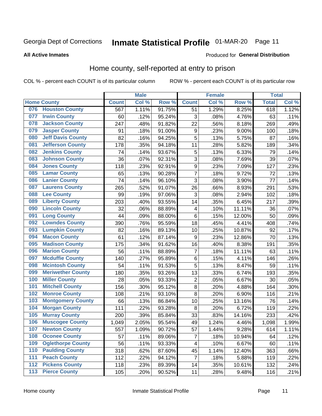# Inmate Statistical Profile 01-MAR-20 Page 11

#### **All Active Inmates**

#### Produced for General Distribution

### Home county, self-reported at entry to prison

COL % - percent each COUNT is of its particular column

|                  |                          |              | <b>Male</b> |                  |                         | <b>Female</b> |        | <b>Total</b> |       |
|------------------|--------------------------|--------------|-------------|------------------|-------------------------|---------------|--------|--------------|-------|
|                  | <b>Home County</b>       | <b>Count</b> | Col %       | Row <sup>%</sup> | <b>Count</b>            | Col %         | Row %  | <b>Total</b> | Col % |
| 076              | <b>Houston County</b>    | 567          | 1.11%       | 91.75%           | 51                      | 1.29%         | 8.25%  | 618          | 1.12% |
| 077              | <b>Irwin County</b>      | 60           | .12%        | 95.24%           | 3                       | .08%          | 4.76%  | 63           | .11%  |
| 078              | <b>Jackson County</b>    | 247          | .48%        | 91.82%           | 22                      | .56%          | 8.18%  | 269          | .49%  |
| 079              | <b>Jasper County</b>     | 91           | .18%        | 91.00%           | $\boldsymbol{9}$        | .23%          | 9.00%  | 100          | .18%  |
| 080              | <b>Jeff Davis County</b> | 82           | .16%        | 94.25%           | 5                       | .13%          | 5.75%  | 87           | .16%  |
| 081              | <b>Jefferson County</b>  | 178          | .35%        | 94.18%           | 11                      | .28%          | 5.82%  | 189          | .34%  |
| 082              | <b>Jenkins County</b>    | 74           | .14%        | 93.67%           | 5                       | .13%          | 6.33%  | 79           | .14%  |
| 083              | <b>Johnson County</b>    | 36           | .07%        | 92.31%           | 3                       | .08%          | 7.69%  | 39           | .07%  |
| 084              | <b>Jones County</b>      | 118          | .23%        | 92.91%           | 9                       | .23%          | 7.09%  | 127          | .23%  |
| 085              | <b>Lamar County</b>      | 65           | .13%        | 90.28%           | $\overline{7}$          | .18%          | 9.72%  | 72           | .13%  |
| 086              | <b>Lanier County</b>     | 74           | .14%        | 96.10%           | 3                       | .08%          | 3.90%  | 77           | .14%  |
| 087              | <b>Laurens County</b>    | 265          | .52%        | 91.07%           | 26                      | .66%          | 8.93%  | 291          | .53%  |
| 088              | <b>Lee County</b>        | 99           | .19%        | 97.06%           | 3                       | .08%          | 2.94%  | 102          | .18%  |
| 089              | <b>Liberty County</b>    | 203          | .40%        | 93.55%           | 14                      | .35%          | 6.45%  | 217          | .39%  |
| 090              | <b>Lincoln County</b>    | 32           | .06%        | 88.89%           | $\overline{\mathbf{4}}$ | .10%          | 11.11% | 36           | .07%  |
| 091              | <b>Long County</b>       | 44           | .09%        | 88.00%           | 6                       | .15%          | 12.00% | 50           | .09%  |
| 092              | <b>Lowndes County</b>    | 390          | .76%        | 95.59%           | 18                      | .45%          | 4.41%  | 408          | .74%  |
| 093              | <b>Lumpkin County</b>    | 82           | .16%        | 89.13%           | 10                      | .25%          | 10.87% | 92           | .17%  |
| 094              | <b>Macon County</b>      | 61           | .12%        | 87.14%           | 9                       | .23%          | 12.86% | 70           | .13%  |
| 095              | <b>Madison County</b>    | 175          | .34%        | 91.62%           | 16                      | .40%          | 8.38%  | 191          | .35%  |
| 096              | <b>Marion County</b>     | 56           | .11%        | 88.89%           | 7                       | .18%          | 11.11% | 63           | .11%  |
| 097              | <b>Mcduffie County</b>   | 140          | .27%        | 95.89%           | 6                       | .15%          | 4.11%  | 146          | .26%  |
| 098              | <b>Mcintosh County</b>   | 54           | .11%        | 91.53%           | 5                       | .13%          | 8.47%  | 59           | .11%  |
| 099              | <b>Meriwether County</b> | 180          | .35%        | 93.26%           | 13                      | .33%          | 6.74%  | 193          | .35%  |
| 100              | <b>Miller County</b>     | 28           | .05%        | 93.33%           | $\mathbf 2$             | .05%          | 6.67%  | 30           | .05%  |
| 101              | <b>Mitchell County</b>   | 156          | .30%        | 95.12%           | $\overline{8}$          | .20%          | 4.88%  | 164          | .30%  |
| 102              | <b>Monroe County</b>     | 108          | .21%        | 93.10%           | $\overline{8}$          | .20%          | 6.90%  | 116          | .21%  |
| 103              | <b>Montgomery County</b> | 66           | .13%        | 86.84%           | 10                      | .25%          | 13.16% | 76           | .14%  |
| 104              | <b>Morgan County</b>     | 111          | .22%        | 93.28%           | 8                       | .20%          | 6.72%  | 119          | .22%  |
| 105              | <b>Murray County</b>     | 200          | .39%        | 85.84%           | 33                      | .83%          | 14.16% | 233          | .42%  |
| 106              | <b>Muscogee County</b>   | 1,049        | 2.05%       | 95.54%           | 49                      | 1.24%         | 4.46%  | 1,098        | 1.99% |
| 107              | <b>Newton County</b>     | 557          | 1.09%       | 90.72%           | 57                      | 1.44%         | 9.28%  | 614          | 1.11% |
| 108              | <b>Oconee County</b>     | 57           | .11%        | 89.06%           | 7                       | .18%          | 10.94% | 64           | .12%  |
| 109              | <b>Oglethorpe County</b> | 56           | .11%        | 93.33%           | 4                       | .10%          | 6.67%  | 60           | .11%  |
| 110              | <b>Paulding County</b>   | 318          | .62%        | 87.60%           | 45                      | 1.14%         | 12.40% | 363          | .66%  |
| 111              | <b>Peach County</b>      | 112          | .22%        | 94.12%           | $\overline{7}$          | .18%          | 5.88%  | 119          | .22%  |
| $\overline{112}$ | <b>Pickens County</b>    | 118          | .23%        | 89.39%           | 14                      | .35%          | 10.61% | 132          | .24%  |
| 113              | <b>Pierce County</b>     | 105          | .20%        | 90.52%           | 11                      | .28%          | 9.48%  | 116          | .21%  |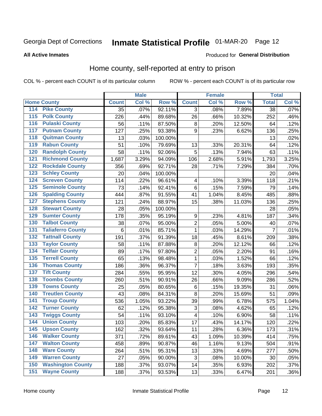# Inmate Statistical Profile 01-MAR-20 Page 12

#### **All Active Inmates**

#### Produced for General Distribution

### Home county, self-reported at entry to prison

COL % - percent each COUNT is of its particular column

|                    |                          |              | <b>Male</b> |                  |                         | <b>Female</b> |        | <b>Total</b>    |         |
|--------------------|--------------------------|--------------|-------------|------------------|-------------------------|---------------|--------|-----------------|---------|
| <b>Home County</b> |                          | <b>Count</b> | Col %       | Row <sup>%</sup> | <b>Count</b>            | Col %         | Row %  | <b>Total</b>    | Col %   |
| 114                | <b>Pike County</b>       | 35           | .07%        | 92.11%           | 3                       | .08%          | 7.89%  | $\overline{38}$ | .07%    |
| 115                | <b>Polk County</b>       | 226          | .44%        | 89.68%           | 26                      | .66%          | 10.32% | 252             | .46%    |
| 116                | <b>Pulaski County</b>    | 56           | .11%        | 87.50%           | 8                       | .20%          | 12.50% | 64              | .12%    |
| 117                | <b>Putnam County</b>     | 127          | .25%        | 93.38%           | 9                       | .23%          | 6.62%  | 136             | .25%    |
| 118                | <b>Quitman County</b>    | 13           | .03%        | 100.00%          |                         |               |        | 13              | .02%    |
| 119                | <b>Rabun County</b>      | 51           | .10%        | 79.69%           | 13                      | .33%          | 20.31% | 64              | .12%    |
| 120                | <b>Randolph County</b>   | 58           | .11%        | 92.06%           | 5                       | .13%          | 7.94%  | 63              | .11%    |
| 121                | <b>Richmond County</b>   | 1,687        | 3.29%       | 94.09%           | 106                     | 2.68%         | 5.91%  | 1,793           | 3.25%   |
| 122                | <b>Rockdale County</b>   | 356          | .69%        | 92.71%           | 28                      | .71%          | 7.29%  | 384             | .70%    |
| 123                | <b>Schley County</b>     | 20           | .04%        | 100.00%          |                         |               |        | 20              | .04%    |
| 124                | <b>Screven County</b>    | 114          | .22%        | 96.61%           | $\overline{\mathbf{4}}$ | .10%          | 3.39%  | 118             | .21%    |
| 125                | <b>Seminole County</b>   | 73           | .14%        | 92.41%           | 6                       | .15%          | 7.59%  | 79              | .14%    |
| 126                | <b>Spalding County</b>   | 444          | .87%        | 91.55%           | 41                      | 1.04%         | 8.45%  | 485             | .88%    |
| 127                | <b>Stephens County</b>   | 121          | .24%        | 88.97%           | 15                      | .38%          | 11.03% | 136             | .25%    |
| 128                | <b>Stewart County</b>    | 28           | .05%        | 100.00%          |                         |               |        | 28              | .05%    |
| 129                | <b>Sumter County</b>     | 178          | .35%        | 95.19%           | 9                       | .23%          | 4.81%  | 187             | .34%    |
| 130                | <b>Talbot County</b>     | 38           | .07%        | 95.00%           | $\overline{2}$          | .05%          | 5.00%  | 40              | .07%    |
| 131                | <b>Taliaferro County</b> | 6            | .01%        | 85.71%           | 1                       | .03%          | 14.29% | $\overline{7}$  | .01%    |
| 132                | <b>Tattnall County</b>   | 191          | .37%        | 91.39%           | 18                      | .45%          | 8.61%  | 209             | .38%    |
| 133                | <b>Taylor County</b>     | 58           | .11%        | 87.88%           | 8                       | .20%          | 12.12% | 66              | .12%    |
| 134                | <b>Telfair County</b>    | 89           | .17%        | 97.80%           | $\overline{2}$          | .05%          | 2.20%  | 91              | .16%    |
| 135                | <b>Terrell County</b>    | 65           | .13%        | 98.48%           | 1                       | .03%          | 1.52%  | 66              | .12%    |
| 136                | <b>Thomas County</b>     | 186          | .36%        | 96.37%           | $\overline{7}$          | .18%          | 3.63%  | 193             | .35%    |
| 137                | <b>Tift County</b>       | 284          | .55%        | 95.95%           | 12                      | .30%          | 4.05%  | 296             | .54%    |
| 138                | <b>Toombs County</b>     | 260          | .51%        | 90.91%           | 26                      | .66%          | 9.09%  | 286             | .52%    |
| 139                | <b>Towns County</b>      | 25           | .05%        | 80.65%           | 6                       | .15%          | 19.35% | 31              | .06%    |
| 140                | <b>Treutlen County</b>   | 43           | .08%        | 84.31%           | 8                       | .20%          | 15.69% | 51              | .09%    |
| 141                | <b>Troup County</b>      | 536          | 1.05%       | 93.22%           | 39                      | .99%          | 6.78%  | 575             | 1.04%   |
| $\overline{142}$   | <b>Turner County</b>     | 62           | .12%        | 95.38%           | $\sqrt{3}$              | .08%          | 4.62%  | 65              | .12%    |
| 143                | <b>Twiggs County</b>     | 54           | .11%        | 93.10%           | 4                       | .10%          | 6.90%  | 58              | .11%    |
| 144                | <b>Union County</b>      | 103          | .20%        | 85.83%           | 17                      | .43%          | 14.17% | 120             | .22%    |
| 145                | <b>Upson County</b>      | 162          | .32%        | 93.64%           | 11                      | .28%          | 6.36%  | 173             | .31%    |
| 146                | <b>Walker County</b>     | 371          | .72%        | 89.61%           | 43                      | 1.09%         | 10.39% | 414             | .75%    |
| 147                | <b>Walton County</b>     | 458          | .89%        | 90.87%           | 46                      | 1.16%         | 9.13%  | 504             | .91%    |
| 148                | <b>Ware County</b>       | 264          | .51%        | 95.31%           | 13                      | .33%          | 4.69%  | 277             | .50%    |
| 149                | <b>Warren County</b>     | 27           | .05%        | 90.00%           | 3                       | .08%          | 10.00% | 30              | .05%    |
| 150                | <b>Washington County</b> | 188          | .37%        | 93.07%           | 14                      | .35%          | 6.93%  | 202             | .37%    |
| 151                | <b>Wayne County</b>      | 188          | .37%        | 93.53%           | 13                      | .33%          | 6.47%  | 201             | $.36\%$ |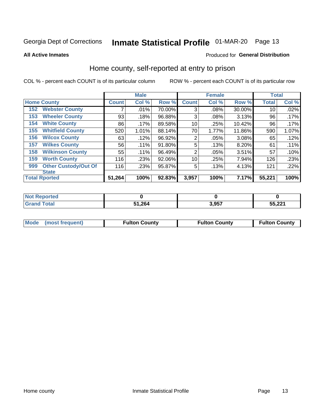# Inmate Statistical Profile 01-MAR-20 Page 13

**All Active Inmates** 

### Produced for General Distribution

### Home county, self-reported at entry to prison

COL % - percent each COUNT is of its particular column

|     |                             |              | <b>Male</b> |        |                | <b>Female</b> |        | <b>Total</b> |       |
|-----|-----------------------------|--------------|-------------|--------|----------------|---------------|--------|--------------|-------|
|     | <b>Home County</b>          | <b>Count</b> | Col %       | Row %  | <b>Count</b>   | Col %         | Row %  | <b>Total</b> | Col % |
| 152 | <b>Webster County</b>       | 7            | .01%        | 70.00% | 3              | .08%          | 30.00% | 10           | .02%  |
| 153 | <b>Wheeler County</b>       | 93           | .18%        | 96.88% | 3              | .08%          | 3.13%  | 96           | .17%  |
| 154 | <b>White County</b>         | 86           | $.17\%$     | 89.58% | 10             | .25%          | 10.42% | 96           | .17%  |
| 155 | <b>Whitfield County</b>     | 520          | 1.01%       | 88.14% | 70             | 1.77%         | 11.86% | 590          | 1.07% |
| 156 | <b>Wilcox County</b>        | 63           | .12%        | 96.92% | $\overline{2}$ | .05%          | 3.08%  | 65           | .12%  |
| 157 | <b>Wilkes County</b>        | 56           | .11%        | 91.80% | 5              | .13%          | 8.20%  | 61           | .11%  |
| 158 | <b>Wilkinson County</b>     | 55           | $.11\%$     | 96.49% | $\overline{2}$ | .05%          | 3.51%  | 57           | .10%  |
| 159 | <b>Worth County</b>         | 116          | .23%        | 92.06% | 10             | .25%          | 7.94%  | 126          | .23%  |
| 999 | <b>Other Custody/Out Of</b> | 116          | .23%        | 95.87% | 5              | .13%          | 4.13%  | 121          | .22%  |
|     | <b>State</b>                |              |             |        |                |               |        |              |       |
|     | <b>Total Rported</b>        | 51,264       | 100%        | 92.83% | 3,957          | 100%          | 7.17%  | 55,221       | 100%  |

| ાલવ |              |      |                 |  |  |
|-----|--------------|------|-----------------|--|--|
|     | . 264<br>E4. | 2057 | EE 004<br>. عدر |  |  |

|  | Mode (most frequent) | <b>Fulton County</b> | <b>Fulton County</b> | <b>Fulton County</b> |
|--|----------------------|----------------------|----------------------|----------------------|
|--|----------------------|----------------------|----------------------|----------------------|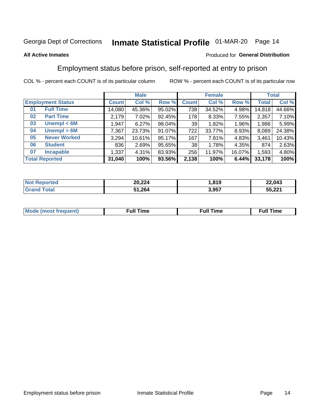# Inmate Statistical Profile 01-MAR-20 Page 14

#### **All Active Inmates**

#### Produced for General Distribution

### Employment status before prison, self-reported at entry to prison

COL % - percent each COUNT is of its particular column

|                           |         | <b>Male</b> |        |              | <b>Female</b> |        |        | <b>Total</b> |
|---------------------------|---------|-------------|--------|--------------|---------------|--------|--------|--------------|
| <b>Employment Status</b>  | Count l | Col %       | Row %  | <b>Count</b> | Col %         | Row %  | Total  | Col %        |
| <b>Full Time</b><br>01    | 14,080  | 45.36%      | 95.02% | 738          | 34.52%        | 4.98%  | 14,818 | 44.66%       |
| <b>Part Time</b><br>02    | 2,179   | 7.02%       | 92.45% | 178          | 8.33%         | 7.55%  | 2,357  | 7.10%        |
| Unempl $<$ 6M<br>03       | 1,947   | 6.27%       | 98.04% | 39           | 1.82%         | 1.96%  | 1,986  | 5.99%        |
| Unempl > 6M<br>04         | 7,367   | 23.73%      | 91.07% | 722          | 33.77%        | 8.93%  | 8,089  | 24.38%       |
| <b>Never Worked</b><br>05 | 3,294   | 10.61%      | 95.17% | 167          | 7.81%         | 4.83%  | 3,461  | 10.43%       |
| <b>Student</b><br>06      | 836     | 2.69%       | 95.65% | 38           | 1.78%         | 4.35%  | 874    | 2.63%        |
| <b>Incapable</b><br>07    | 1,337   | 4.31%       | 83.93% | 256          | 11.97%        | 16.07% | 1,593  | 4.80%        |
| <b>Total Reported</b>     | 31,040  | 100%        | 93.56% | 2,138        | 100%          | 6.44%  | 33,178 | 100%         |

| orteo.<br>NOT.    | 20,224 | 040<br>10 ט. | 22,043 |
|-------------------|--------|--------------|--------|
| $\sim$ for<br>Grr | 51,264 | 3,957        | 55,221 |

| Mc | ----<br>me<br>ш | nc<br>. |
|----|-----------------|---------|
|    |                 |         |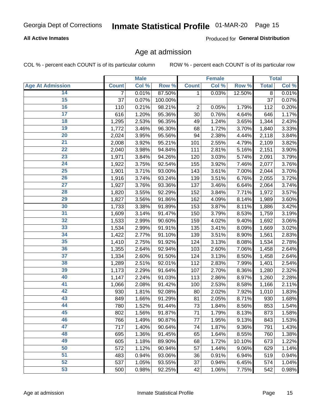### **All Active Inmates**

Produced for General Distribution

### Age at admission

COL % - percent each COUNT is of its particular column

|                         |              | <b>Male</b> |         |                | <b>Female</b> |        |              | <b>Total</b> |
|-------------------------|--------------|-------------|---------|----------------|---------------|--------|--------------|--------------|
| <b>Age At Admission</b> | <b>Count</b> | Col %       | Row %   | <b>Count</b>   | Col %         | Row %  | <b>Total</b> | Col %        |
| 14                      | 7            | 0.01%       | 87.50%  | 1              | 0.03%         | 12.50% | 8            | 0.01%        |
| 15                      | 37           | 0.07%       | 100.00% |                |               |        | 37           | 0.07%        |
| 16                      | 110          | 0.21%       | 98.21%  | $\overline{2}$ | 0.05%         | 1.79%  | 112          | 0.20%        |
| $\overline{17}$         | 616          | 1.20%       | 95.36%  | 30             | 0.76%         | 4.64%  | 646          | 1.17%        |
| $\overline{18}$         | 1,295        | 2.53%       | 96.35%  | 49             | 1.24%         | 3.65%  | 1,344        | 2.43%        |
| 19                      | 1,772        | 3.46%       | 96.30%  | 68             | 1.72%         | 3.70%  | 1,840        | 3.33%        |
| $\overline{20}$         | 2,024        | 3.95%       | 95.56%  | 94             | 2.38%         | 4.44%  | 2,118        | 3.84%        |
| $\overline{21}$         | 2,008        | 3.92%       | 95.21%  | 101            | 2.55%         | 4.79%  | 2,109        | 3.82%        |
| $\overline{22}$         | 2,040        | 3.98%       | 94.84%  | 111            | 2.81%         | 5.16%  | 2,151        | 3.90%        |
| $\overline{23}$         | 1,971        | 3.84%       | 94.26%  | 120            | 3.03%         | 5.74%  | 2,091        | 3.79%        |
| $\overline{24}$         | 1,922        | 3.75%       | 92.54%  | 155            | 3.92%         | 7.46%  | 2,077        | 3.76%        |
| 25                      | 1,901        | 3.71%       | 93.00%  | 143            | 3.61%         | 7.00%  | 2,044        | 3.70%        |
| $\overline{26}$         | 1,916        | 3.74%       | 93.24%  | 139            | 3.51%         | 6.76%  | 2,055        | 3.72%        |
| $\overline{27}$         | 1,927        | 3.76%       | 93.36%  | 137            | 3.46%         | 6.64%  | 2,064        | 3.74%        |
| 28                      | 1,820        | 3.55%       | 92.29%  | 152            | 3.84%         | 7.71%  | 1,972        | 3.57%        |
| 29                      | 1,827        | 3.56%       | 91.86%  | 162            | 4.09%         | 8.14%  | 1,989        | 3.60%        |
| 30                      | 1,733        | 3.38%       | 91.89%  | 153            | 3.87%         | 8.11%  | 1,886        | 3.42%        |
| $\overline{31}$         | 1,609        | 3.14%       | 91.47%  | 150            | 3.79%         | 8.53%  | 1,759        | 3.19%        |
| 32                      | 1,533        | 2.99%       | 90.60%  | 159            | 4.02%         | 9.40%  | 1,692        | 3.06%        |
| 33                      | 1,534        | 2.99%       | 91.91%  | 135            | 3.41%         | 8.09%  | 1,669        | 3.02%        |
| 34                      | 1,422        | 2.77%       | 91.10%  | 139            | 3.51%         | 8.90%  | 1,561        | 2.83%        |
| 35                      | 1,410        | 2.75%       | 91.92%  | 124            | 3.13%         | 8.08%  | 1,534        | 2.78%        |
| 36                      | 1,355        | 2.64%       | 92.94%  | 103            | 2.60%         | 7.06%  | 1,458        | 2.64%        |
| $\overline{37}$         | 1,334        | 2.60%       | 91.50%  | 124            | 3.13%         | 8.50%  | 1,458        | 2.64%        |
| 38                      | 1,289        | 2.51%       | 92.01%  | 112            | 2.83%         | 7.99%  | 1,401        | 2.54%        |
| 39                      | 1,173        | 2.29%       | 91.64%  | 107            | 2.70%         | 8.36%  | 1,280        | 2.32%        |
| 40                      | 1,147        | 2.24%       | 91.03%  | 113            | 2.86%         | 8.97%  | 1,260        | 2.28%        |
| 41                      | 1,066        | 2.08%       | 91.42%  | 100            | 2.53%         | 8.58%  | 1,166        | 2.11%        |
| 42                      | 930          | 1.81%       | 92.08%  | 80             | 2.02%         | 7.92%  | 1,010        | 1.83%        |
| 43                      | 849          | 1.66%       | 91.29%  | 81             | 2.05%         | 8.71%  | 930          | 1.68%        |
| 44                      | 780          | 1.52%       | 91.44%  | 73             | 1.84%         | 8.56%  | 853          | 1.54%        |
| 45                      | 802          | 1.56%       | 91.87%  | 71             | 1.79%         | 8.13%  | 873          | 1.58%        |
| 46                      | 766          | 1.49%       | 90.87%  | 77             | 1.95%         | 9.13%  | 843          | 1.53%        |
| 47                      | 717          | 1.40%       | 90.64%  | 74             | 1.87%         | 9.36%  | 791          | 1.43%        |
| 48                      | 695          | 1.36%       | 91.45%  | 65             | 1.64%         | 8.55%  | 760          | 1.38%        |
| 49                      | 605          | 1.18%       | 89.90%  | 68             | 1.72%         | 10.10% | 673          | 1.22%        |
| 50                      | 572          | 1.12%       | 90.94%  | 57             | 1.44%         | 9.06%  | 629          | 1.14%        |
| 51                      | 483          | 0.94%       | 93.06%  | 36             | 0.91%         | 6.94%  | 519          | 0.94%        |
| 52                      | 537          | 1.05%       | 93.55%  | 37             | 0.94%         | 6.45%  | 574          | 1.04%        |
| 53                      | 500          | 0.98%       | 92.25%  | 42             | 1.06%         | 7.75%  | 542          | 0.98%        |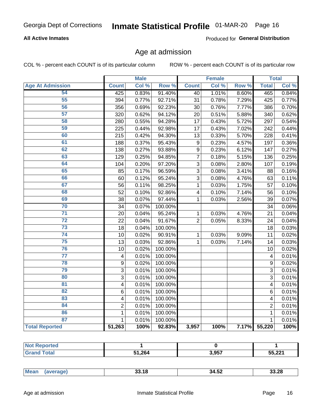### **All Active Inmates**

Produced for General Distribution

### Age at admission

COL % - percent each COUNT is of its particular column

|                         |                         | <b>Male</b> |         |                | <b>Female</b> |       |                         | <b>Total</b> |
|-------------------------|-------------------------|-------------|---------|----------------|---------------|-------|-------------------------|--------------|
| <b>Age At Admission</b> | <b>Count</b>            | Col %       | Row %   | <b>Count</b>   | Col %         | Row % | <b>Total</b>            | Col %        |
| 54                      | 425                     | 0.83%       | 91.40%  | 40             | 1.01%         | 8.60% | 465                     | 0.84%        |
| $\overline{55}$         | 394                     | 0.77%       | 92.71%  | 31             | 0.78%         | 7.29% | 425                     | 0.77%        |
| 56                      | 356                     | 0.69%       | 92.23%  | 30             | 0.76%         | 7.77% | 386                     | 0.70%        |
| $\overline{57}$         | 320                     | 0.62%       | 94.12%  | 20             | 0.51%         | 5.88% | 340                     | 0.62%        |
| 58                      | 280                     | 0.55%       | 94.28%  | 17             | 0.43%         | 5.72% | 297                     | 0.54%        |
| 59                      | 225                     | 0.44%       | 92.98%  | 17             | 0.43%         | 7.02% | 242                     | 0.44%        |
| 60                      | 215                     | 0.42%       | 94.30%  | 13             | 0.33%         | 5.70% | 228                     | 0.41%        |
| 61                      | 188                     | 0.37%       | 95.43%  | 9              | 0.23%         | 4.57% | 197                     | 0.36%        |
| 62                      | 138                     | 0.27%       | 93.88%  | 9              | 0.23%         | 6.12% | 147                     | 0.27%        |
| 63                      | 129                     | 0.25%       | 94.85%  | $\overline{7}$ | 0.18%         | 5.15% | 136                     | 0.25%        |
| 64                      | 104                     | 0.20%       | 97.20%  | 3              | 0.08%         | 2.80% | 107                     | 0.19%        |
| 65                      | 85                      | 0.17%       | 96.59%  | $\overline{3}$ | 0.08%         | 3.41% | 88                      | 0.16%        |
| 66                      | 60                      | 0.12%       | 95.24%  | $\overline{3}$ | 0.08%         | 4.76% | 63                      | 0.11%        |
| 67                      | 56                      | 0.11%       | 98.25%  | $\mathbf{1}$   | 0.03%         | 1.75% | 57                      | 0.10%        |
| 68                      | 52                      | 0.10%       | 92.86%  | 4              | 0.10%         | 7.14% | 56                      | 0.10%        |
| 69                      | 38                      | 0.07%       | 97.44%  | 1              | 0.03%         | 2.56% | 39                      | 0.07%        |
| 70                      | 34                      | 0.07%       | 100.00% |                |               |       | 34                      | 0.06%        |
| $\overline{71}$         | 20                      | 0.04%       | 95.24%  | $\mathbf{1}$   | 0.03%         | 4.76% | 21                      | 0.04%        |
| $\overline{72}$         | 22                      | 0.04%       | 91.67%  | $\overline{2}$ | 0.05%         | 8.33% | 24                      | 0.04%        |
| $\overline{73}$         | 18                      | 0.04%       | 100.00% |                |               |       | 18                      | 0.03%        |
| $\overline{74}$         | 10                      | 0.02%       | 90.91%  | $\mathbf{1}$   | 0.03%         | 9.09% | 11                      | 0.02%        |
| 75                      | 13                      | 0.03%       | 92.86%  | 1              | 0.03%         | 7.14% | 14                      | 0.03%        |
| 76                      | 10                      | 0.02%       | 100.00% |                |               |       | 10                      | 0.02%        |
| $\overline{77}$         | $\overline{\mathbf{4}}$ | 0.01%       | 100.00% |                |               |       | $\overline{\mathbf{4}}$ | 0.01%        |
| 78                      | $\boldsymbol{9}$        | 0.02%       | 100.00% |                |               |       | $\overline{9}$          | 0.02%        |
| 79                      | $\overline{3}$          | 0.01%       | 100.00% |                |               |       | $\overline{3}$          | 0.01%        |
| 80                      | 3                       | 0.01%       | 100.00% |                |               |       | 3                       | 0.01%        |
| $\overline{81}$         | $\overline{\mathbf{4}}$ | 0.01%       | 100.00% |                |               |       | 4                       | 0.01%        |
| 82                      | 6                       | 0.01%       | 100.00% |                |               |       | 6                       | 0.01%        |
| 83                      | 4                       | 0.01%       | 100.00% |                |               |       | 4                       | 0.01%        |
| 84                      | $\overline{2}$          | 0.01%       | 100.00% |                |               |       | $\overline{2}$          | 0.01%        |
| 86                      | $\mathbf 1$             | 0.01%       | 100.00% |                |               |       | 1                       | 0.01%        |
| 87                      | $\mathbf{1}$            | 0.01%       | 100.00% |                |               |       | $\mathbf{1}$            | 0.01%        |
| <b>Total Reported</b>   | 51,263                  | 100%        | 92.83%  | 3,957          | 100%          | 7.17% | 55,220                  | 100%         |

| τeα<br>. |        |       |        |
|----------|--------|-------|--------|
|          | 51,264 | 3,957 | 55,221 |

| 33.18<br>33.28<br>⊺34.ວ∠ |
|--------------------------|
|--------------------------|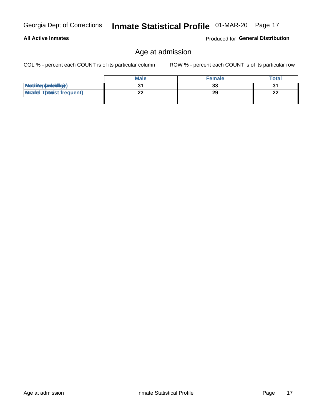**All Active Inmates** 

# Inmate Statistical Profile 01-MAR-20 Page 17

# Age at admission

COL % - percent each COUNT is of its particular column

ROW % - percent each COUNT is of its particular row

Produced for General Distribution

|                                   | <b>Male</b> | <b>Female</b> | Total |
|-----------------------------------|-------------|---------------|-------|
| MetiRep(anieldig)                 |             | 33            | 31    |
| <b>Micaded Tortadst frequent)</b> |             | 29            | 22    |
|                                   |             |               |       |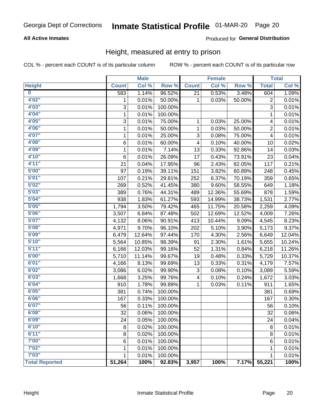### **All Active Inmates**

### Produced for General Distribution

### Height, measured at entry to prison

COL % - percent each COUNT is of its particular column

|                       |              | <b>Male</b> |         |              | <b>Female</b>             |        |                | <b>Total</b> |
|-----------------------|--------------|-------------|---------|--------------|---------------------------|--------|----------------|--------------|
| <b>Height</b>         | <b>Count</b> | Col %       | Row %   | <b>Count</b> | $\overline{\text{Col 9}}$ | Row %  | <b>Total</b>   | Col %        |
| $\bf{0}$              | 583          | 1.14%       | 96.52%  | 21           | 0.53%                     | 3.48%  | 604            | 1.09%        |
| 4'02''                | 1            | 0.01%       | 50.00%  | 1            | 0.03%                     | 50.00% | 2              | 0.01%        |
| 4'03''                | 3            | 0.01%       | 100.00% |              |                           |        | 3              | 0.01%        |
| 4'04"                 | 1            | 0.01%       | 100.00% |              |                           |        | 1              | 0.01%        |
| 4'05"                 | 3            | 0.01%       | 75.00%  | 1            | 0.03%                     | 25.00% | 4              | 0.01%        |
| 4'06"                 | 1            | 0.01%       | 50.00%  | $\mathbf{1}$ | 0.03%                     | 50.00% | $\overline{2}$ | 0.01%        |
| 4'07"                 | $\mathbf{1}$ | 0.01%       | 25.00%  | 3            | 0.08%                     | 75.00% | 4              | 0.01%        |
| 4'08"                 | 6            | 0.01%       | 60.00%  | 4            | 0.10%                     | 40.00% | 10             | 0.02%        |
| 4'09"                 | 1            | 0.01%       | 7.14%   | 13           | 0.33%                     | 92.86% | 14             | 0.03%        |
| 4'10"                 | 6            | 0.01%       | 26.09%  | 17           | 0.43%                     | 73.91% | 23             | 0.04%        |
| 4'11''                | 21           | 0.04%       | 17.95%  | 96           | 2.43%                     | 82.05% | 117            | 0.21%        |
| 5'00''                | 97           | 0.19%       | 39.11%  | 151          | 3.82%                     | 60.89% | 248            | 0.45%        |
| 5'01"                 | 107          | 0.21%       | 29.81%  | 252          | 6.37%                     | 70.19% | 359            | 0.65%        |
| 5'02"                 | 269          | 0.52%       | 41.45%  | 380          | 9.60%                     | 58.55% | 649            | 1.18%        |
| 5'03''                | 389          | 0.76%       | 44.31%  | 489          | 12.36%                    | 55.69% | 878            | 1.59%        |
| 5'04"                 | 938          | 1.83%       | 61.27%  | 593          | 14.99%                    | 38.73% | 1,531          | 2.77%        |
| 5'05"                 | 1,794        | 3.50%       | 79.42%  | 465          | 11.75%                    | 20.58% | 2,259          | 4.09%        |
| 5'06''                | 3,507        | 6.84%       | 87.48%  | 502          | 12.69%                    | 12.52% | 4,009          | 7.26%        |
| 5'07"                 | 4,132        | 8.06%       | 90.91%  | 413          | 10.44%                    | 9.09%  | 4,545          | 8.23%        |
| 5'08''                | 4,971        | 9.70%       | 96.10%  | 202          | 5.10%                     | 3.90%  | 5,173          | 9.37%        |
| 5'09''                | 6,479        | 12.64%      | 97.44%  | 170          | 4.30%                     | 2.56%  | 6,649          | 12.04%       |
| 5'10''                | 5,564        | 10.85%      | 98.39%  | 91           | 2.30%                     | 1.61%  | 5,655          | 10.24%       |
| 5'11''                | 6,166        | 12.03%      | 99.16%  | 52           | 1.31%                     | 0.84%  | 6,218          | 11.26%       |
| 6'00''                | 5,710        | 11.14%      | 99.67%  | 19           | 0.48%                     | 0.33%  | 5,729          | 10.37%       |
| 6'01''                | 4,166        | 8.13%       | 99.69%  | 13           | 0.33%                     | 0.31%  | 4,179          | 7.57%        |
| 6'02"                 | 3,086        | 6.02%       | 99.90%  | 3            | 0.08%                     | 0.10%  | 3,089          | 5.59%        |
| 6'03''                | 1,668        | 3.25%       | 99.76%  | 4            | 0.10%                     | 0.24%  | 1,672          | 3.03%        |
| 6'04"                 | 910          | 1.78%       | 99.89%  | 1            | 0.03%                     | 0.11%  | 911            | 1.65%        |
| 6'05"                 | 381          | 0.74%       | 100.00% |              |                           |        | 381            | 0.69%        |
| 6'06''                | 167          | 0.33%       | 100.00% |              |                           |        | 167            | 0.30%        |
| 6'07''                | 56           | 0.11%       | 100.00% |              |                           |        | 56             | 0.10%        |
| 6'08''                | 32           | 0.06%       | 100.00% |              |                           |        | 32             | 0.06%        |
| 6'09''                | 24           | 0.05%       | 100.00% |              |                           |        | 24             | 0.04%        |
| 6'10''                | 8            | 0.02%       | 100.00% |              |                           |        | 8              | 0.01%        |
| 6'11''                | 8            | 0.02%       | 100.00% |              |                           |        | 8              | 0.01%        |
| 7'00"                 | 6            | 0.01%       | 100.00% |              |                           |        | $\,6$          | 0.01%        |
| 7'02"                 | 1            | 0.01%       | 100.00% |              |                           |        | 1              | 0.01%        |
| 7'03''                | 1            | 0.01%       | 100.00% |              |                           |        | 1              | 0.01%        |
| <b>Total Reported</b> | 51,264       | 100%        | 92.83%  | 3,957        | 100%                      | 7.17%  | 55,221         | 100%         |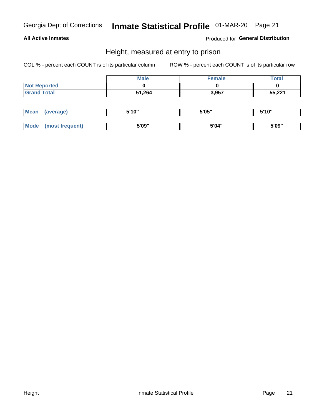### **All Active Inmates**

Produced for General Distribution

### Height, measured at entry to prison

COL % - percent each COUNT is of its particular column

|                     | <b>Male</b> | Female | Total  |
|---------------------|-------------|--------|--------|
| <b>Not Reported</b> |             |        |        |
| <b>Grand Total</b>  | 51,264      | 3,957  | 55,221 |

| <b>Mean</b> | 'average) | EI4 OIL | 5'05" | 5'10" |
|-------------|-----------|---------|-------|-------|
|             |           |         |       |       |
| $M_{\odot}$ | frequent) | 5'09"   | 5'04" | 5'09" |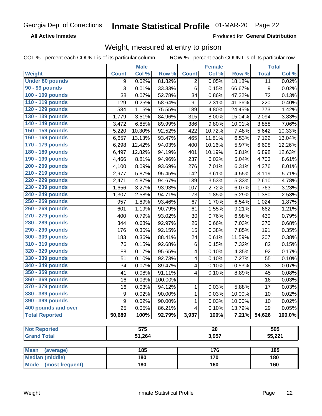**All Active Inmates** 

Produced for General Distribution

### Weight, measured at entry to prison

COL % - percent each COUNT is of its particular column ROW % - percent each COUNT is of its particular row

|                                |                  | <b>Male</b> |         |                         | <b>Female</b>   |        |              | <b>Total</b> |  |
|--------------------------------|------------------|-------------|---------|-------------------------|-----------------|--------|--------------|--------------|--|
| Weight                         | <b>Count</b>     | Col %       | Row %   | <b>Count</b>            | Col %           | Row %  | <b>Total</b> | Col %        |  |
| <b>Under 80 pounds</b>         | 9                | 0.02%       | 81.82%  | 2                       | 0.05%           | 18.18% | 11           | 0.02%        |  |
| 90 - 99 pounds                 | $\overline{3}$   | 0.01%       | 33.33%  | 6                       | 0.15%           | 66.67% | 9            | 0.02%        |  |
| 100 - 109 pounds               | 38               | 0.07%       | 52.78%  | 34                      | 0.86%           | 47.22% | 72           | 0.13%        |  |
| 110 - 119 pounds               | 129              | 0.25%       | 58.64%  | 91                      | 2.31%           | 41.36% | 220          | 0.40%        |  |
| 120 - 129 pounds               | 584              | 1.15%       | 75.55%  | 189                     | 4.80%           | 24.45% | 773          | 1.42%        |  |
| 130 - 139 pounds               | 1,779            | 3.51%       | 84.96%  | 315                     | 8.00%           | 15.04% | 2,094        | 3.83%        |  |
| 140 - 149 pounds               | 3,472            | 6.85%       | 89.99%  | 386                     | 9.80%           | 10.01% | 3,858        | 7.06%        |  |
| 150 - 159 pounds               | 5,220            | 10.30%      | 92.52%  | 422                     | 10.72%          | 7.48%  | 5,642        | 10.33%       |  |
| 160 - 169 pounds               | 6,657            | 13.13%      | 93.47%  | 465                     | 11.81%          | 6.53%  | 7,122        | 13.04%       |  |
| 170 - 179 pounds               | 6,298            | 12.42%      | 94.03%  | 400                     | 10.16%          | 5.97%  | 6,698        | 12.26%       |  |
| 180 - 189 pounds               | 6,497            | 12.82%      | 94.19%  | 401                     | 10.19%          | 5.81%  | 6,898        | 12.63%       |  |
| 190 - 199 pounds               | 4,466            | 8.81%       | 94.96%  | 237                     | 6.02%           | 5.04%  | 4,703        | 8.61%        |  |
| 200 - 209 pounds               | 4,100            | 8.09%       | 93.69%  | 276                     | 7.01%           | 6.31%  | 4,376        | 8.01%        |  |
| 210 - 219 pounds               | 2,977            | 5.87%       | 95.45%  | 142                     | 3.61%           | 4.55%  | 3,119        | 5.71%        |  |
| 220 - 229 pounds               | 2,471            | 4.87%       | 94.67%  | 139                     | 3.53%           | 5.33%  | 2,610        | 4.78%        |  |
| 230 - 239 pounds               | 1,656            | 3.27%       | 93.93%  | 107                     | 2.72%           | 6.07%  | 1,763        | 3.23%        |  |
| 240 - 249 pounds               | 1,307            | 2.58%       | 94.71%  | 73                      | 1.85%           | 5.29%  | 1,380        | 2.53%        |  |
| 250 - 259 pounds               | 957              | 1.89%       | 93.46%  | 67                      | 1.70%           | 6.54%  | 1,024        | 1.87%        |  |
| 260 - 269 pounds               | 601              | 1.19%       | 90.79%  | 61                      | 1.55%           | 9.21%  | 662          | 1.21%        |  |
| 270 - 279 pounds               | 400              | 0.79%       | 93.02%  | 30                      | 0.76%           | 6.98%  | 430          | 0.79%        |  |
| 280 - 289 pounds               | 344              | 0.68%       | 92.97%  | 26                      | 0.66%           | 7.03%  | 370          | 0.68%        |  |
| 290 - 299 pounds               | 176              | 0.35%       | 92.15%  | 15                      | 0.38%           | 7.85%  | 191          | 0.35%        |  |
| 300 - 309 pounds               | 183              | 0.36%       | 88.41%  | 24                      | 0.61%           | 11.59% | 207          | 0.38%        |  |
| 310 - 319 pounds               | 76               | 0.15%       | 92.68%  | 6                       | 0.15%           | 7.32%  | 82           | 0.15%        |  |
| 320 - 329 pounds               | 88               | 0.17%       | 95.65%  | 4                       | 0.10%           | 4.35%  | 92           | 0.17%        |  |
| 330 - 339 pounds               | 51               | 0.10%       | 92.73%  | 4                       | 0.10%           | 7.27%  | 55           | 0.10%        |  |
| 340 - 349 pounds               | 34               | 0.07%       | 89.47%  | 4                       | 0.10%           | 10.53% | 38           | 0.07%        |  |
| 350 - 359 pounds               | 41               | 0.08%       | 91.11%  | $\overline{\mathbf{4}}$ | 0.10%           | 8.89%  | 45           | 0.08%        |  |
| 360 - 369 pounds               | 16               | 0.03%       | 100.00% |                         |                 |        | 16           | 0.03%        |  |
| 370 - 379 pounds               | 16               | 0.03%       | 94.12%  | $\mathbf 1$             | 0.03%           | 5.88%  | 17           | 0.03%        |  |
| 380 - 389 pounds               | $\boldsymbol{9}$ | 0.02%       | 90.00%  | 1                       | 0.03%           | 10.00% | 10           | 0.02%        |  |
| 390 - 399 pounds               | 9                | 0.02%       | 90.00%  | 1                       | 0.03%           | 10.00% | 10           | 0.02%        |  |
| 400 pounds and over            | 25               | 0.05%       | 86.21%  | 4                       | 0.10%           | 13.79% | 29           | 0.05%        |  |
| <b>Total Reported</b>          | 50,689           | 100%        | 92.79%  | 3,937                   | 100%            | 7.21%  | 54,626       | 100.0%       |  |
| <b>Not Reported</b>            |                  | 575         |         |                         | $\overline{20}$ |        |              | 595          |  |
| <b>Grand Total</b>             |                  | 51,264      |         |                         |                 |        |              | 55,221       |  |
|                                |                  |             |         | 3,957                   |                 |        |              |              |  |
| <b>Mean</b><br>(average)       |                  | 185         |         |                         | 176             |        |              | 185          |  |
| <b>Median (middle)</b>         |                  | 180         |         |                         | 170             |        |              | 180          |  |
| <b>Mode</b><br>(most frequent) |                  | 180         |         |                         | 160             |        |              | 160          |  |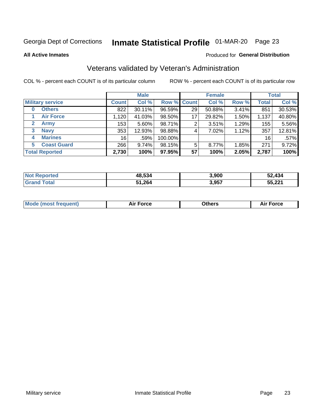# Inmate Statistical Profile 01-MAR-20 Page 23

**All Active Inmates** 

#### Produced for General Distribution

### Veterans validated by Veteran's Administration

COL % - percent each COUNT is of its particular column

|                             |              | <b>Male</b> |         |                    | <b>Female</b> |       |              | <b>Total</b> |
|-----------------------------|--------------|-------------|---------|--------------------|---------------|-------|--------------|--------------|
| <b>Military service</b>     | <b>Count</b> | Col %       |         | <b>Row % Count</b> | Col %         | Row % | <b>Total</b> | Col %        |
| <b>Others</b><br>0          | 822          | 30.11%      | 96.59%  | 29                 | 50.88%        | 3.41% | 851          | 30.53%       |
| <b>Air Force</b>            | 1,120        | 41.03%      | 98.50%  | 17                 | 29.82%        | 1.50% | 1,137        | 40.80%       |
| <b>Army</b><br>$\mathbf{2}$ | 153          | 5.60%       | 98.71%  | 2                  | 3.51%         | 1.29% | 155          | 5.56%        |
| <b>Navy</b><br>3            | 353          | 12.93%      | 98.88%  | 4                  | 7.02%         | 1.12% | 357          | 12.81%       |
| <b>Marines</b><br>4         | 16           | .59%        | 100.00% |                    |               |       | 16           | .57%         |
| <b>Coast Guard</b><br>5.    | 266          | 9.74%       | 98.15%  | 5                  | 8.77%         | 1.85% | 271          | 9.72%        |
| <b>Total Reported</b>       | 2,730        | 100%        | 97.95%  | 57                 | 100%          | 2.05% | 2,787        | 100%         |

| <b>Not</b><br>. Reported | 48,534 | 3,900 | 52.434 |
|--------------------------|--------|-------|--------|
| ⊺otal                    | 51,264 | 3,957 | 55,221 |

| <b>Mode (most frequent)</b> | <b>Force</b> | )thers | Force<br>AI |
|-----------------------------|--------------|--------|-------------|
|                             |              |        |             |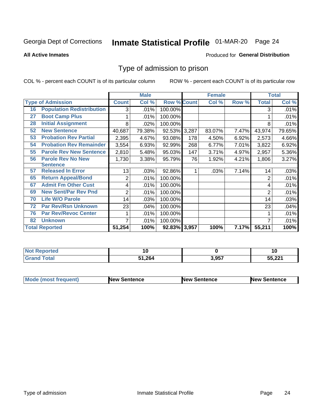# Inmate Statistical Profile 01-MAR-20 Page 24

**All Active Inmates** 

#### Produced for General Distribution

### Type of admission to prison

COL % - percent each COUNT is of its particular column

|    |                                  |              | <b>Male</b> |                    |       | <b>Female</b> |       |              | <b>Total</b> |
|----|----------------------------------|--------------|-------------|--------------------|-------|---------------|-------|--------------|--------------|
|    | <b>Type of Admission</b>         | <b>Count</b> | Col %       | <b>Row % Count</b> |       | Col %         | Row % | <b>Total</b> | Col %        |
| 16 | <b>Population Redistribution</b> | 3            | .01%        | 100.00%            |       |               |       | 3            | .01%         |
| 27 | <b>Boot Camp Plus</b>            |              | .01%        | 100.00%            |       |               |       |              | .01%         |
| 28 | <b>Initial Assignment</b>        | 8            | .02%        | 100.00%            |       |               |       | 8            | .01%         |
| 52 | <b>New Sentence</b>              | 40,687       | 79.38%      | 92.53%             | 3,287 | 83.07%        | 7.47% | 43,974       | 79.65%       |
| 53 | <b>Probation Rev Partial</b>     | 2,395        | 4.67%       | 93.08%             | 178   | 4.50%         | 6.92% | 2,573        | 4.66%        |
| 54 | <b>Probation Rev Remainder</b>   | 3,554        | 6.93%       | 92.99%             | 268   | 6.77%         | 7.01% | 3,822        | 6.92%        |
| 55 | <b>Parole Rev New Sentence</b>   | 2,810        | 5.48%       | 95.03%             | 147   | 3.71%         | 4.97% | 2,957        | 5.36%        |
| 56 | <b>Parole Rev No New</b>         | 1,730        | 3.38%       | 95.79%             | 76    | 1.92%         | 4.21% | 1,806        | 3.27%        |
|    | <b>Sentence</b>                  |              |             |                    |       |               |       |              |              |
| 57 | <b>Released In Error</b>         | 13           | .03%        | 92.86%             | 1     | .03%          | 7.14% | 14           | .03%         |
| 65 | <b>Return Appeal/Bond</b>        | 2            | .01%        | 100.00%            |       |               |       | 2            | .01%         |
| 67 | <b>Admit Fm Other Cust</b>       | 4            | .01%        | 100.00%            |       |               |       | 4            | .01%         |
| 69 | <b>New Sent/Par Rev Pnd</b>      | 2            | .01%        | 100.00%            |       |               |       | 2            | .01%         |
| 70 | <b>Life W/O Parole</b>           | 14           | .03%        | 100.00%            |       |               |       | 14           | .03%         |
| 72 | <b>Par Rev/Rsn Unknown</b>       | 23           | .04%        | 100.00%            |       |               |       | 23           | .04%         |
| 76 | <b>Par Rev/Revoc Center</b>      |              | .01%        | 100.00%            |       |               |       |              | .01%         |
| 82 | <b>Unknown</b>                   |              | .01%        | 100.00%            |       |               |       | 7            | .01%         |
|    | <b>Total Reported</b>            | 51,254       | 100%        | 92.83% 3,957       |       | 100%          | 7.17% | 55,211       | 100%         |

| <b>Not Reported</b>   |        |       |        |
|-----------------------|--------|-------|--------|
| Total<br><b>Grand</b> | 51,264 | 3,957 | 55,221 |

| <b>Mode (most frequent)</b> | <b>New Sentence</b> | <b>New Sentence</b> | <b>New Sentence</b> |
|-----------------------------|---------------------|---------------------|---------------------|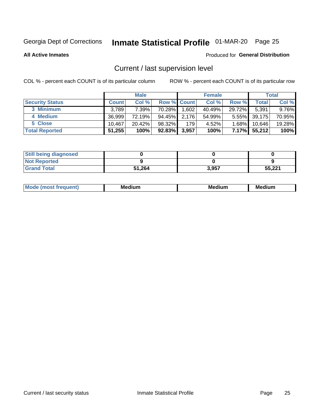# Inmate Statistical Profile 01-MAR-20 Page 25

**All Active Inmates** 

#### Produced for General Distribution

## Current / last supervision level

COL % - percent each COUNT is of its particular column

|                        |              | <b>Male</b> |                    |       | <b>Female</b> |          |        | <b>Total</b> |
|------------------------|--------------|-------------|--------------------|-------|---------------|----------|--------|--------------|
| <b>Security Status</b> | <b>Count</b> | Col %       | <b>Row % Count</b> |       | Col %         | Row %    | Total  | Col %        |
| 3 Minimum              | 3.789        | 7.39%       | 70.28%             | .602  | 40.49%        | 29.72%   | 5,391  | 9.76%        |
| 4 Medium               | 36.999       | 72.19%      | 94.45%             | 2.176 | 54.99%        | $5.55\%$ | 39,175 | 70.95%       |
| 5 Close                | 10.467       | $20.42\%$   | 98.32%             | 179   | 4.52%         | $1.68\%$ | 10.646 | 19.28%       |
| <b>Total Reported</b>  | 51,255       | 100%        | $92.83\%$          | 3,957 | 100%          | 7.17%    | 55,212 | 100%         |

| <b>Still being diagnosed</b> |        |       |        |
|------------------------------|--------|-------|--------|
| <b>Not Reported</b>          |        |       |        |
| <b>Grand Total</b>           | 51,264 | 3,957 | 55,221 |

| M | M | . . |
|---|---|-----|
|   |   |     |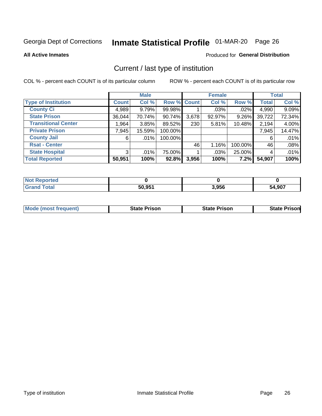# Inmate Statistical Profile 01-MAR-20 Page 26

**All Active Inmates** 

#### Produced for General Distribution

## Current / last type of institution

COL % - percent each COUNT is of its particular column

|                            |                | <b>Male</b> |             |       | <b>Female</b> |         |              | <b>Total</b> |
|----------------------------|----------------|-------------|-------------|-------|---------------|---------|--------------|--------------|
| <b>Type of Institution</b> | <b>Count</b>   | Col %       | Row % Count |       | Col %         | Row %   | <b>Total</b> | Col %        |
| <b>County Ci</b>           | 4,989          | 9.79%       | 99.98%      |       | $.03\%$       | .02%    | 4,990        | 9.09%        |
| <b>State Prison</b>        | 36,044         | 70.74%      | 90.74%      | 3,678 | 92.97%        | 9.26%   | 39,722       | 72.34%       |
| <b>Transitional Center</b> | 1,964          | 3.85%       | 89.52%      | 230   | 5.81%         | 10.48%  | 2,194        | 4.00%        |
| <b>Private Prison</b>      | 7,945          | 15.59%      | 100.00%     |       |               |         | 7,945        | 14.47%       |
| <b>County Jail</b>         | 6              | $.01\%$     | 100.00%     |       |               |         | 6            | .01%         |
| <b>Rsat - Center</b>       |                |             |             | 46    | 1.16%         | 100.00% | 46           | .08%         |
| <b>State Hospital</b>      | 3 <sup>1</sup> | $.01\%$     | 75.00%      |       | .03%          | 25.00%  | 4            | .01%         |
| <b>Total Reported</b>      | 50,951         | 100%        | 92.8%       | 3,956 | 100%          | 7.2%    | 54,907       | 100%         |

| portea<br>NA |        |       |             |
|--------------|--------|-------|-------------|
| $\sim$ 40    | 50.951 | 3,956 | 4,907<br>54 |

| <b>Mode (most frequent)</b> | State Prison | <b>State Prison</b> | <b>State Prison</b> |
|-----------------------------|--------------|---------------------|---------------------|
|                             |              |                     |                     |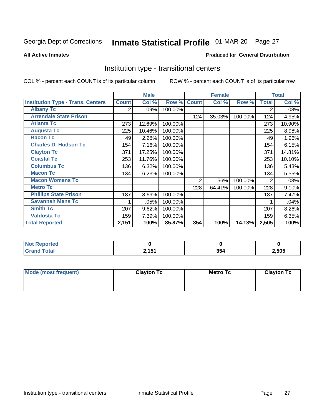# Inmate Statistical Profile 01-MAR-20 Page 27

**All Active Inmates** 

### Produced for General Distribution

### Institution type - transitional centers

COL % - percent each COUNT is of its particular column

|                                          |              | <b>Male</b> |         |                | <b>Female</b> |         |                | <b>Total</b> |
|------------------------------------------|--------------|-------------|---------|----------------|---------------|---------|----------------|--------------|
| <b>Institution Type - Trans. Centers</b> | <b>Count</b> | Col %       | Row %   | <b>Count</b>   | Col %         | Row %   | <b>Total</b>   | Col %        |
| <b>Albany Tc</b>                         | 2            | .09%        | 100.00% |                |               |         | 2              | .08%         |
| <b>Arrendale State Prison</b>            |              |             |         | 124            | 35.03%        | 100.00% | 124            | 4.95%        |
| <b>Atlanta Tc</b>                        | 273          | 12.69%      | 100.00% |                |               |         | 273            | 10.90%       |
| <b>Augusta Tc</b>                        | 225          | 10.46%      | 100.00% |                |               |         | 225            | 8.98%        |
| <b>Bacon Tc</b>                          | 49           | 2.28%       | 100.00% |                |               |         | 49             | 1.96%        |
| <b>Charles D. Hudson Tc</b>              | 154          | 7.16%       | 100.00% |                |               |         | 154            | 6.15%        |
| <b>Clayton Tc</b>                        | 371          | 17.25%      | 100.00% |                |               |         | 371            | 14.81%       |
| <b>Coastal Tc</b>                        | 253          | 11.76%      | 100.00% |                |               |         | 253            | 10.10%       |
| <b>Columbus Tc</b>                       | 136          | 6.32%       | 100.00% |                |               |         | 136            | 5.43%        |
| <b>Macon Tc</b>                          | 134          | 6.23%       | 100.00% |                |               |         | 134            | 5.35%        |
| <b>Macon Womens Tc</b>                   |              |             |         | $\overline{2}$ | .56%          | 100.00% | $\overline{2}$ | .08%         |
| <b>Metro Tc</b>                          |              |             |         | 228            | 64.41%        | 100.00% | 228            | 9.10%        |
| <b>Phillips State Prison</b>             | 187          | 8.69%       | 100.00% |                |               |         | 187            | 7.47%        |
| <b>Savannah Mens Tc</b>                  | 1            | .05%        | 100.00% |                |               |         |                | .04%         |
| <b>Smith Tc</b>                          | 207          | 9.62%       | 100.00% |                |               |         | 207            | 8.26%        |
| <b>Valdosta Tc</b>                       | 159          | 7.39%       | 100.00% |                |               |         | 159            | 6.35%        |
| <b>Total Reported</b>                    | 2,151        | 100%        | 85.87%  | 354            | 100%          | 14.13%  | 2,505          | 100%         |

| <b>Reported</b><br><b>NOT</b> |                           |     |       |
|-------------------------------|---------------------------|-----|-------|
| Total                         | $^{\sim}$ 454<br><u>.</u> | 354 | 2,505 |

| Mode (most frequent) | <b>Clayton Tc</b> | Metro Tc | <b>Clayton Tc</b> |  |
|----------------------|-------------------|----------|-------------------|--|
|                      |                   |          |                   |  |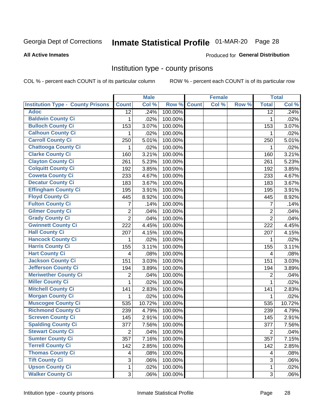# Inmate Statistical Profile 01-MAR-20 Page 28

Produced for General Distribution

#### **All Active Inmates**

### Institution type - county prisons

COL % - percent each COUNT is of its particular column

|                                          |                         | <b>Male</b> |         |              | <b>Female</b> |       |                 | <b>Total</b> |
|------------------------------------------|-------------------------|-------------|---------|--------------|---------------|-------|-----------------|--------------|
| <b>Institution Type - County Prisons</b> | <b>Count</b>            | Col %       | Row %   | <b>Count</b> | Col %         | Row % | <b>Total</b>    | Col %        |
| <b>Adoc</b>                              | $\overline{12}$         | .24%        | 100.00% |              |               |       | $\overline{12}$ | .24%         |
| <b>Baldwin County Ci</b>                 | 1.                      | .02%        | 100.00% |              |               |       | 1               | .02%         |
| <b>Bulloch County Ci</b>                 | 153                     | 3.07%       | 100.00% |              |               |       | 153             | 3.07%        |
| <b>Calhoun County Ci</b>                 | 1                       | .02%        | 100.00% |              |               |       | 1               | .02%         |
| <b>Carroll County Ci</b>                 | 250                     | 5.01%       | 100.00% |              |               |       | 250             | 5.01%        |
| <b>Chattooga County Ci</b>               | 1                       | .02%        | 100.00% |              |               |       | 1               | .02%         |
| <b>Clarke County Ci</b>                  | 160                     | 3.21%       | 100.00% |              |               |       | 160             | 3.21%        |
| <b>Clayton County Ci</b>                 | 261                     | 5.23%       | 100.00% |              |               |       | 261             | 5.23%        |
| <b>Colquitt County Ci</b>                | 192                     | 3.85%       | 100.00% |              |               |       | 192             | 3.85%        |
| <b>Coweta County Ci</b>                  | 233                     | 4.67%       | 100.00% |              |               |       | 233             | 4.67%        |
| <b>Decatur County Ci</b>                 | 183                     | 3.67%       | 100.00% |              |               |       | 183             | 3.67%        |
| <b>Effingham County Ci</b>               | 195                     | 3.91%       | 100.00% |              |               |       | 195             | 3.91%        |
| <b>Floyd County Ci</b>                   | 445                     | 8.92%       | 100.00% |              |               |       | 445             | 8.92%        |
| <b>Fulton County Ci</b>                  | 7                       | .14%        | 100.00% |              |               |       | 7               | .14%         |
| <b>Gilmer County Ci</b>                  | $\overline{2}$          | .04%        | 100.00% |              |               |       | $\overline{2}$  | .04%         |
| <b>Grady County Ci</b>                   | $\overline{2}$          | .04%        | 100.00% |              |               |       | $\overline{2}$  | .04%         |
| <b>Gwinnett County Ci</b>                | 222                     | 4.45%       | 100.00% |              |               |       | 222             | 4.45%        |
| <b>Hall County Ci</b>                    | 207                     | 4.15%       | 100.00% |              |               |       | 207             | 4.15%        |
| <b>Hancock County Ci</b>                 | 1                       | .02%        | 100.00% |              |               |       | 1               | .02%         |
| <b>Harris County Ci</b>                  | 155                     | 3.11%       | 100.00% |              |               |       | 155             | 3.11%        |
| <b>Hart County Ci</b>                    | 4                       | .08%        | 100.00% |              |               |       | $\overline{4}$  | .08%         |
| <b>Jackson County Ci</b>                 | 151                     | 3.03%       | 100.00% |              |               |       | 151             | 3.03%        |
| Jefferson County Ci                      | 194                     | 3.89%       | 100.00% |              |               |       | 194             | 3.89%        |
| <b>Meriwether County Ci</b>              | 2                       | .04%        | 100.00% |              |               |       | $\overline{2}$  | .04%         |
| <b>Miller County Ci</b>                  | 1                       | .02%        | 100.00% |              |               |       | $\mathbf{1}$    | .02%         |
| <b>Mitchell County Ci</b>                | 141                     | 2.83%       | 100.00% |              |               |       | 141             | 2.83%        |
| <b>Morgan County Ci</b>                  | 1                       | .02%        | 100.00% |              |               |       | 1               | .02%         |
| <b>Muscogee County Ci</b>                | 535                     | 10.72%      | 100.00% |              |               |       | 535             | 10.72%       |
| <b>Richmond County Ci</b>                | 239                     | 4.79%       | 100.00% |              |               |       | 239             | 4.79%        |
| <b>Screven County Ci</b>                 | 145                     | 2.91%       | 100.00% |              |               |       | 145             | 2.91%        |
| <b>Spalding County Ci</b>                | 377                     | 7.56%       | 100.00% |              |               |       | 377             | 7.56%        |
| <b>Stewart County Ci</b>                 | $\overline{2}$          | .04%        | 100.00% |              |               |       | $\overline{2}$  | .04%         |
| <b>Sumter County Ci</b>                  | 357                     | 7.16%       | 100.00% |              |               |       | 357             | 7.15%        |
| <b>Terrell County Ci</b>                 | 142                     | 2.85%       | 100.00% |              |               |       | 142             | 2.85%        |
| <b>Thomas County Ci</b>                  | $\overline{\mathbf{4}}$ | .08%        | 100.00% |              |               |       | 4               | .08%         |
| <b>Tift County Ci</b>                    | 3                       | .06%        | 100.00% |              |               |       | 3               | .06%         |
| <b>Upson County Ci</b>                   | 1                       | .02%        | 100.00% |              |               |       | 1               | .02%         |
| <b>Walker County Ci</b>                  | 3                       | .06%        | 100.00% |              |               |       | 3               | .06%         |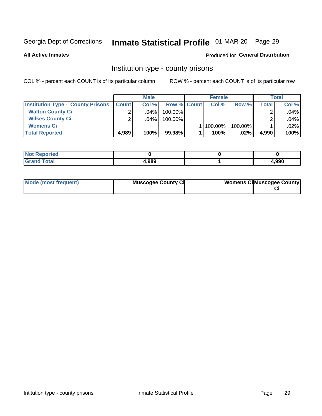# Inmate Statistical Profile 01-MAR-20 Page 29

**All Active Inmates** 

#### Produced for General Distribution

### Institution type - county prisons

COL % - percent each COUNT is of its particular column

|                                          |              | <b>Male</b> |                    | <b>Female</b> |         |       | <b>Total</b> |
|------------------------------------------|--------------|-------------|--------------------|---------------|---------|-------|--------------|
| <b>Institution Type - County Prisons</b> | <b>Count</b> | Col%        | <b>Row % Count</b> | Col%          | Row %   | Total | Col %        |
| <b>Walton County Ci</b>                  | ⌒            | $.04\%$     | 100.00%            |               |         |       | .04%         |
| <b>Wilkes County Ci</b>                  |              | $.04\%$     | 100.00%            |               |         |       | .04%         |
| <b>Womens Ci</b>                         |              |             |                    | 100.00%       | 100.00% |       | .02%         |
| <b>Total Reported</b>                    | 4,989        | 100%        | 99.98%             | 100%          | $.02\%$ | 4,990 | 100%         |

| <b>NI</b><br>τeα |       |       |
|------------------|-------|-------|
| _____            | 4,989 | l.990 |

| Mode (most frequent) | <b>Muscogee County Ci</b> | <b>Womens CilMuscogee County</b> |
|----------------------|---------------------------|----------------------------------|
|----------------------|---------------------------|----------------------------------|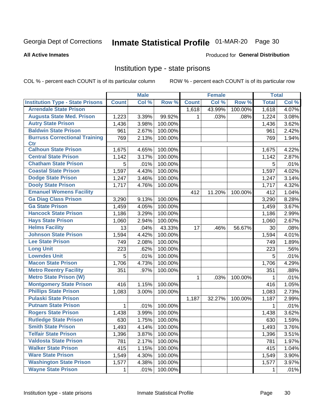# Inmate Statistical Profile 01-MAR-20 Page 30

#### **All Active Inmates**

### **Produced for General Distribution**

### Institution type - state prisons

COL % - percent each COUNT is of its particular column

|                                         |              | <b>Male</b> |         |              | <b>Female</b> |         | <b>Total</b> |       |
|-----------------------------------------|--------------|-------------|---------|--------------|---------------|---------|--------------|-------|
| <b>Institution Type - State Prisons</b> | <b>Count</b> | Col %       | Row %   | <b>Count</b> | Col %         | Row %   | <b>Total</b> | Col % |
| <b>Arrendale State Prison</b>           |              |             |         | 1,618        | 43.99%        | 100.00% | 1,618        | 4.07% |
| <b>Augusta State Med. Prison</b>        | 1,223        | 3.39%       | 99.92%  | 1            | .03%          | .08%    | 1,224        | 3.08% |
| <b>Autry State Prison</b>               | 1,436        | 3.98%       | 100.00% |              |               |         | 1,436        | 3.62% |
| <b>Baldwin State Prison</b>             | 961          | 2.67%       | 100.00% |              |               |         | 961          | 2.42% |
| <b>Burruss Correctional Training</b>    | 769          | 2.13%       | 100.00% |              |               |         | 769          | 1.94% |
| <b>Ctr</b>                              |              |             |         |              |               |         |              |       |
| <b>Calhoun State Prison</b>             | 1,675        | 4.65%       | 100.00% |              |               |         | 1,675        | 4.22% |
| <b>Central State Prison</b>             | 1,142        | 3.17%       | 100.00% |              |               |         | 1,142        | 2.87% |
| <b>Chatham State Prison</b>             | 5            | .01%        | 100.00% |              |               |         | 5            | .01%  |
| <b>Coastal State Prison</b>             | 1,597        | 4.43%       | 100.00% |              |               |         | 1,597        | 4.02% |
| <b>Dodge State Prison</b>               | 1,247        | 3.46%       | 100.00% |              |               |         | 1,247        | 3.14% |
| <b>Dooly State Prison</b>               | 1,717        | 4.76%       | 100.00% |              |               |         | 1,717        | 4.32% |
| <b>Emanuel Womens Facility</b>          |              |             |         | 412          | 11.20%        | 100.00% | 412          | 1.04% |
| <b>Ga Diag Class Prison</b>             | 3,290        | 9.13%       | 100.00% |              |               |         | 3,290        | 8.28% |
| <b>Ga State Prison</b>                  | 1,459        | 4.05%       | 100.00% |              |               |         | 1,459        | 3.67% |
| <b>Hancock State Prison</b>             | 1,186        | 3.29%       | 100.00% |              |               |         | 1,186        | 2.99% |
| <b>Hays State Prison</b>                | 1,060        | 2.94%       | 100.00% |              |               |         | 1,060        | 2.67% |
| <b>Helms Facility</b>                   | 13           | .04%        | 43.33%  | 17           | .46%          | 56.67%  | 30           | .08%  |
| <b>Johnson State Prison</b>             | 1,594        | 4.42%       | 100.00% |              |               |         | 1,594        | 4.01% |
| <b>Lee State Prison</b>                 | 749          | 2.08%       | 100.00% |              |               |         | 749          | 1.89% |
| <b>Long Unit</b>                        | 223          | .62%        | 100.00% |              |               |         | 223          | .56%  |
| <b>Lowndes Unit</b>                     | 5            | .01%        | 100.00% |              |               |         | 5            | .01%  |
| <b>Macon State Prison</b>               | 1,706        | 4.73%       | 100.00% |              |               |         | 1,706        | 4.29% |
| <b>Metro Reentry Facility</b>           | 351          | .97%        | 100.00% |              |               |         | 351          | .88%  |
| <b>Metro State Prison (W)</b>           |              |             |         | 1            | .03%          | 100.00% | 1            | .01%  |
| <b>Montgomery State Prison</b>          | 416          | 1.15%       | 100.00% |              |               |         | 416          | 1.05% |
| <b>Phillips State Prison</b>            | 1,083        | 3.00%       | 100.00% |              |               |         | 1,083        | 2.73% |
| <b>Pulaski State Prison</b>             |              |             |         | 1,187        | 32.27%        | 100.00% | 1,187        | 2.99% |
| <b>Putnam State Prison</b>              | 1            | .01%        | 100.00% |              |               |         | 1            | .01%  |
| <b>Rogers State Prison</b>              | 1,438        | 3.99%       | 100.00% |              |               |         | 1,438        | 3.62% |
| <b>Rutledge State Prison</b>            | 630          | 1.75%       | 100.00% |              |               |         | 630          | 1.59% |
| <b>Smith State Prison</b>               | 1,493        | 4.14%       | 100.00% |              |               |         | 1,493        | 3.76% |
| <b>Telfair State Prison</b>             | 1,396        | 3.87%       | 100.00% |              |               |         | 1,396        | 3.51% |
| <b>Valdosta State Prison</b>            | 781          | 2.17%       | 100.00% |              |               |         | 781          | 1.97% |
| <b>Walker State Prison</b>              | 415          | 1.15%       | 100.00% |              |               |         | 415          | 1.04% |
| <b>Ware State Prison</b>                | 1,549        | 4.30%       | 100.00% |              |               |         | 1,549        | 3.90% |
| <b>Washington State Prison</b>          | 1,577        | 4.38%       | 100.00% |              |               |         | 1,577        | 3.97% |
| <b>Wayne State Prison</b>               | 1            | .01%        | 100.00% |              |               |         | 1            | .01%  |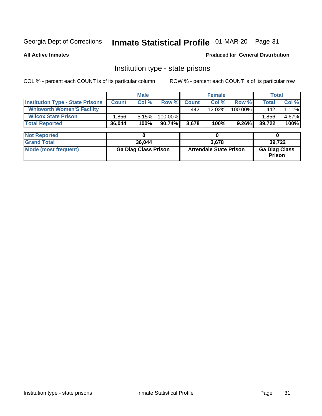# Inmate Statistical Profile 01-MAR-20 Page 31

**All Active Inmates** 

Produced for General Distribution

### Institution type - state prisons

COL % - percent each COUNT is of its particular column

|                                         |              | <b>Male</b>                 |         |              | <b>Female</b>                 |         | <b>Total</b>                   |        |
|-----------------------------------------|--------------|-----------------------------|---------|--------------|-------------------------------|---------|--------------------------------|--------|
| <b>Institution Type - State Prisons</b> | <b>Count</b> | Col %                       | Row %   | <b>Count</b> | Col %                         | Row %   | <b>Total</b>                   | Col %  |
| <b>Whitworth Women'S Facility</b>       |              |                             |         | 442          | 12.02%                        | 100.00% | 442                            | 1.11%  |
| <b>Wilcox State Prison</b>              | .856         | 5.15%                       | 100.00% |              |                               |         | 1,856                          | 4.67%  |
| <b>Total Reported</b>                   | 36,044       | 100%                        | 90.74%  | 3,678        | 100%                          | 9.26%   | 39,722                         | 100%   |
|                                         |              |                             |         |              |                               |         |                                |        |
| <b>Not Reported</b>                     |              | 0                           |         |              | 0                             |         | 0                              |        |
| <b>Grand Total</b>                      |              | 36,044                      |         |              | 3.678                         |         |                                | 39,722 |
| <b>Mode (most frequent)</b>             |              | <b>Ga Diag Class Prison</b> |         |              | <b>Arrendale State Prison</b> |         | <b>Ga Diag Class</b><br>Prison |        |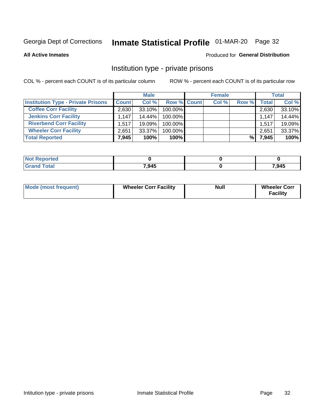# Inmate Statistical Profile 01-MAR-20 Page 32

**All Active Inmates** 

#### Produced for General Distribution

### Institution type - private prisons

COL % - percent each COUNT is of its particular column

|                                           |              | <b>Male</b> |                    | <b>Female</b> |       |       | <b>Total</b> |
|-------------------------------------------|--------------|-------------|--------------------|---------------|-------|-------|--------------|
| <b>Institution Type - Private Prisons</b> | <b>Count</b> | Col %       | <b>Row % Count</b> | Col %         | Row % | Total | Col %        |
| <b>Coffee Corr Facility</b>               | 2.630        | $33.10\%$   | 100.00%            |               |       | 2,630 | 33.10%       |
| <b>Jenkins Corr Facility</b>              | 1.147        | $14.44\%$   | 100.00%            |               |       | 1,147 | 14.44%       |
| <b>Riverbend Corr Facility</b>            | 1.517        | 19.09%      | 100.00%            |               |       | 1,517 | 19.09%       |
| <b>Wheeler Corr Facility</b>              | 2.651        | 33.37%      | 100.00%            |               |       | 2,651 | 33.37%       |
| <b>Total Reported</b>                     | 7,945        | 100%        | $100\%$            |               | %     | 7,945 | 100%         |

| <b>Not</b><br>' Reported |       |       |
|--------------------------|-------|-------|
| <b>otal</b>              | 7,945 | 7,945 |

| <b>Mode (most frequent)</b> | <b>Wheeler Corr Facility</b> | <b>Null</b> | <b>Wheeler Corr</b><br><b>Facility</b> |
|-----------------------------|------------------------------|-------------|----------------------------------------|
|-----------------------------|------------------------------|-------------|----------------------------------------|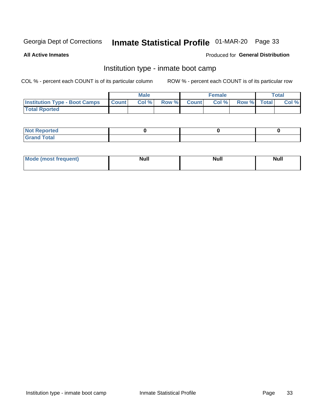# Inmate Statistical Profile 01-MAR-20 Page 33

**All Active Inmates** 

#### Produced for General Distribution

### Institution type - inmate boot camp

COL % - percent each COUNT is of its particular column

|                                      |              | <b>Male</b> |             | <b>Female</b> |                   | <b>Total</b> |
|--------------------------------------|--------------|-------------|-------------|---------------|-------------------|--------------|
| <b>Institution Type - Boot Camps</b> | <b>Count</b> | Col %       | Row % Count |               | Col % Row % Total | Col %        |
| <b>Total Rported</b>                 |              |             |             |               |                   |              |

| <b>Not Reported</b>            |  |  |
|--------------------------------|--|--|
| <b>Total</b><br>C <sub>r</sub> |  |  |

| Mod<br>uamo | Nul.<br>$- - - - - -$ | <b>Null</b> | . .<br>uu.<br>------ |
|-------------|-----------------------|-------------|----------------------|
|             |                       |             |                      |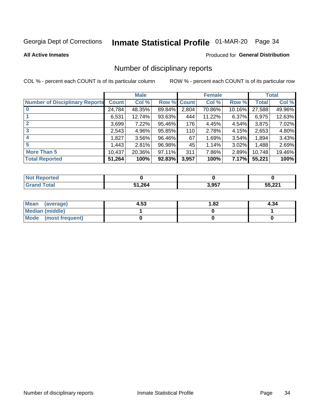# Inmate Statistical Profile 01-MAR-20 Page 34

#### **All Active Inmates**

### **Produced for General Distribution**

### Number of disciplinary reports

COL % - percent each COUNT is of its particular column

|                                       |              | <b>Male</b> |             |       | <b>Female</b> |          |        | <b>Total</b> |
|---------------------------------------|--------------|-------------|-------------|-------|---------------|----------|--------|--------------|
| <b>Number of Disciplinary Reports</b> | <b>Count</b> | Col %       | Row % Count |       | Col %         | Row %    | Total  | Col %        |
| $\bf{0}$                              | 24,784       | 48.35%      | 89.84%      | 2,804 | 70.86%        | 10.16%   | 27,588 | 49.96%       |
|                                       | 6,531        | 12.74%      | 93.63%      | 444   | 11.22%        | $6.37\%$ | 6,975  | 12.63%       |
| $\mathbf{2}$                          | 3,699        | 7.22%       | 95.46%      | 176   | 4.45%         | 4.54%    | 3,875  | 7.02%        |
| 3                                     | 2,543        | 4.96%       | 95.85%      | 110   | 2.78%         | 4.15%    | 2,653  | 4.80%        |
|                                       | .827         | 3.56%       | 96.46%      | 67    | 1.69%         | 3.54%    | 1,894  | 3.43%        |
| 5                                     | .443         | 2.81%       | 96.98%      | 45    | 1.14%         | 3.02%    | 1,488  | 2.69%        |
| <b>More Than 5</b>                    | 10,437       | 20.36%      | 97.11%      | 311   | 7.86%         | 2.89%    | 10,748 | 19.46%       |
| <b>Total Reported</b>                 | 51,264       | 100%        | 92.83%      | 3,957 | 100%          | 7.17%    | 55,221 | 100%         |

| orted<br>NO. |        |       |                 |
|--------------|--------|-------|-----------------|
| <b>Total</b> | 51,264 | 3,957 | ビビ つつイ<br>. عمر |

| Mean (average)         | 4.53 | 1.82 | 4.34 |
|------------------------|------|------|------|
| <b>Median (middle)</b> |      |      |      |
| Mode (most frequent)   |      |      |      |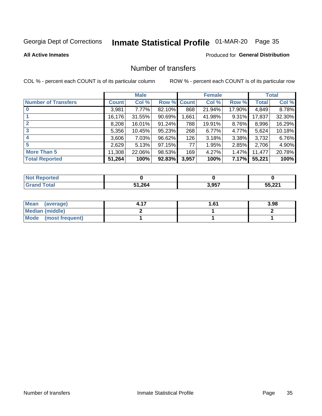# Inmate Statistical Profile 01-MAR-20 Page 35

#### **All Active Inmates**

### **Produced for General Distribution**

### Number of transfers

COL % - percent each COUNT is of its particular column

|                            |              | <b>Male</b> |        |              | <b>Female</b> |          |              | <b>Total</b> |
|----------------------------|--------------|-------------|--------|--------------|---------------|----------|--------------|--------------|
| <b>Number of Transfers</b> | <b>Count</b> | Col %       | Row %  | <b>Count</b> | Col %         | Row %    | <b>Total</b> | Col %        |
|                            | 3,981        | $7.77\%$    | 82.10% | 868          | 21.94%        | 17.90%   | 4,849        | 8.78%        |
|                            | 16,176       | 31.55%      | 90.69% | 1,661        | 41.98%        | $9.31\%$ | 17,837       | 32.30%       |
| $\mathbf{2}$               | 8,208        | 16.01%      | 91.24% | 788          | 19.91%        | 8.76%    | 8,996        | 16.29%       |
| 3                          | 5,356        | 10.45%      | 95.23% | 268          | 6.77%         | 4.77%    | 5,624        | 10.18%       |
| 4                          | 3,606        | 7.03%       | 96.62% | 126          | 3.18%         | 3.38%    | 3,732        | 6.76%        |
| 5                          | 2,629        | 5.13%       | 97.15% | 77           | 1.95%         | 2.85%    | 2,706        | 4.90%        |
| <b>More Than 5</b>         | 11,308       | 22.06%      | 98.53% | 169          | 4.27%         | $1.47\%$ | 11,477       | 20.78%       |
| <b>Total Reported</b>      | 51,264       | 100%        | 92.83% | 3,957        | 100%          | 7.17%    | 55,221       | 100%         |

| Reported<br><b>Not</b> F |        |       |                  |
|--------------------------|--------|-------|------------------|
| ™otai                    | 51,264 | 3,957 | ビビ へへイ<br>55.221 |

| Mean (average)         | 61.، ا | 3.98 |
|------------------------|--------|------|
| <b>Median (middle)</b> |        |      |
| Mode (most frequent)   |        |      |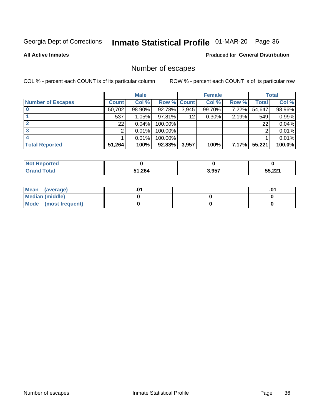# Inmate Statistical Profile 01-MAR-20 Page 36

**All Active Inmates** 

### Produced for General Distribution

## Number of escapes

COL % - percent each COUNT is of its particular column

|                          |              | <b>Male</b> |                    |       | <b>Female</b> |          |              | <b>Total</b> |
|--------------------------|--------------|-------------|--------------------|-------|---------------|----------|--------------|--------------|
| <b>Number of Escapes</b> | <b>Count</b> | Col %       | <b>Row % Count</b> |       | Col %         | Row %    | <b>Total</b> | Col %        |
|                          | 50,702       | 98.90%      | 92.78%             | 3,945 | 99.70%        | 7.22%    | 54,647       | 98.96%       |
|                          | 537          | 1.05%       | 97.81%             | 12    | 0.30%         | 2.19%    | 549          | 0.99%        |
|                          | 22           | 0.04%       | 100.00%            |       |               |          | 22           | 0.04%        |
|                          | っ            | 0.01%       | 100.00%            |       |               |          | ົ            | 0.01%        |
|                          |              | 0.01%       | 100.00%            |       |               |          |              | $0.01\%$     |
| <b>Total Reported</b>    | 51,264       | 100%        | 92.83%             | 3,957 | 100%          | $7.17\%$ | 55,221       | $100.0\%$    |

| orten |        |       |        |
|-------|--------|-------|--------|
| Total | 51,264 | 3,957 | 55,221 |

| Mean (average)         |  | .0 <sup>4</sup> |
|------------------------|--|-----------------|
| <b>Median (middle)</b> |  |                 |
| Mode (most frequent)   |  |                 |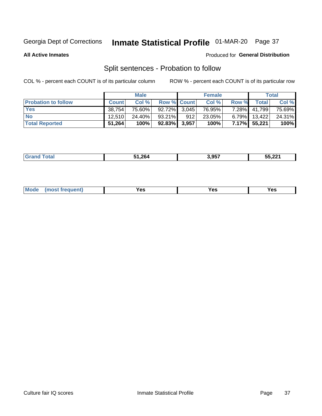# Inmate Statistical Profile 01-MAR-20 Page 37

**All Active Inmates** 

#### Produced for General Distribution

## Split sentences - Probation to follow

COL % - percent each COUNT is of its particular column

|                            |              | <b>Male</b> |                    |      | <b>Female</b> |          |                 | <b>Total</b> |
|----------------------------|--------------|-------------|--------------------|------|---------------|----------|-----------------|--------------|
| <b>Probation to follow</b> | <b>Count</b> | Col%        | <b>Row % Count</b> |      | Col %         | Row %    | <b>Total</b>    | Col %        |
| <b>Yes</b>                 | 38.754       | 75.60%      | $92.72\%$ 3.045    |      | 76.95%        | $7.28\%$ | 41,799          | 75.69%       |
| <b>No</b>                  | 12.510       | 24.40%      | 93.21%             | 912' | 23.05%        |          | $6.79\%$ 13,422 | 24.31%       |
| <b>Total Reported</b>      | 51,264       | 100%        | 92.83% 3,957       |      | 100%          | $7.17\%$ | 55,221          | 100%         |

| ________ | 51.264 | 3.957 | EE OOA<br>55,Zz |
|----------|--------|-------|-----------------|
|          |        |       |                 |

| <b>Mode</b><br>reauent)<br>Yes<br>v.c<br>0٥<br>.<br>. .<br>$\sim$ |
|-------------------------------------------------------------------|
|-------------------------------------------------------------------|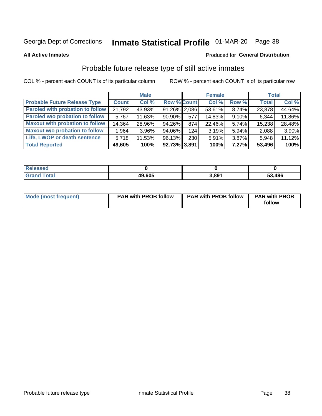# Inmate Statistical Profile 01-MAR-20 Page 38

**All Active Inmates** 

### Produced for General Distribution

# Probable future release type of still active inmates

COL % - percent each COUNT is of its particular column

|                                         |              | <b>Male</b> |                    |     | <b>Female</b> |       | <b>Total</b> |        |
|-----------------------------------------|--------------|-------------|--------------------|-----|---------------|-------|--------------|--------|
| <b>Probable Future Release Type</b>     | <b>Count</b> | Col %       | <b>Row % Count</b> |     | Col %         | Row % | <b>Total</b> | Col %  |
| <b>Paroled with probation to follow</b> | 21,792       | 43.93%      | 91.26% 2,086       |     | 53.61%        | 8.74% | 23,878       | 44.64% |
| Paroled w/o probation to follow         | 5,767        | 11.63%      | 90.90%             | 577 | 14.83%        | 9.10% | 6,344        | 11.86% |
| <b>Maxout with probation to follow</b>  | 14,364       | 28.96%      | 94.26%             | 874 | 22.46%        | 5.74% | 15,238       | 28.48% |
| <b>Maxout w/o probation to follow</b>   | 1,964        | 3.96%       | 94.06%             | 124 | 3.19%         | 5.94% | 2,088        | 3.90%  |
| Life, LWOP or death sentence            | 5,718        | 11.53%      | 96.13%             | 230 | 5.91%         | 3.87% | 5,948        | 11.12% |
| <b>Total Reported</b>                   | 49,605       | 100%        | 92.73% 3,891       |     | 100%          | 7.27% | 53,496       | 100%   |

| $F0+0$ | 49,605 | 3.891 | 53,496 |
|--------|--------|-------|--------|

| <b>Mode (most frequent)</b> | <b>PAR with PROB follow</b> | <b>PAR with PROB follow</b> | <b>PAR with PROB</b> |
|-----------------------------|-----------------------------|-----------------------------|----------------------|
|                             |                             |                             | follow               |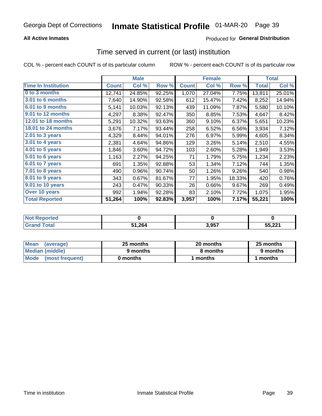### **All Active Inmates**

### **Produced for General Distribution**

### Time served in current (or last) institution

COL % - percent each COUNT is of its particular column

|                              |              | <b>Male</b> |        |              | <b>Female</b> |        |              | <b>Total</b> |
|------------------------------|--------------|-------------|--------|--------------|---------------|--------|--------------|--------------|
| <b>Time In Institution</b>   | <b>Count</b> | Col %       | Row %  | <b>Count</b> | Col %         | Row %  | <b>Total</b> | Col %        |
| 0 to 3 months                | 12,741       | 24.85%      | 92.25% | 1,070        | 27.04%        | 7.75%  | 13,811       | 25.01%       |
| 3.01 to 6 months             | 7,640        | 14.90%      | 92.58% | 612          | 15.47%        | 7.42%  | 8,252        | 14.94%       |
| 6.01 to 9 months             | 5,141        | 10.03%      | 92.13% | 439          | 11.09%        | 7.87%  | 5,580        | 10.10%       |
| 9.01 to 12 months            | 4,297        | 8.38%       | 92.47% | 350          | 8.85%         | 7.53%  | 4,647        | 8.42%        |
| <b>12.01 to 18 months</b>    | 5,291        | 10.32%      | 93.63% | 360          | 9.10%         | 6.37%  | 5,651        | 10.23%       |
| <b>18.01 to 24 months</b>    | 3,676        | 7.17%       | 93.44% | 258          | 6.52%         | 6.56%  | 3,934        | 7.12%        |
| 2.01 to 3 years              | 4,329        | 8.44%       | 94.01% | 276          | 6.97%         | 5.99%  | 4,605        | 8.34%        |
| $3.01$ to 4 years            | 2,381        | 4.64%       | 94.86% | 129          | 3.26%         | 5.14%  | 2,510        | 4.55%        |
| 4.01 to 5 years              | 1,846        | 3.60%       | 94.72% | 103          | 2.60%         | 5.28%  | 1,949        | 3.53%        |
| 5.01 to 6 years              | 1,163        | 2.27%       | 94.25% | 71           | 1.79%         | 5.75%  | 1,234        | 2.23%        |
| 6.01 to 7 years              | 691          | 1.35%       | 92.88% | 53           | 1.34%         | 7.12%  | 744          | 1.35%        |
| $\overline{7.01}$ to 8 years | 490          | 0.96%       | 90.74% | 50           | 1.26%         | 9.26%  | 540          | 0.98%        |
| 8.01 to 9 years              | 343          | 0.67%       | 81.67% | 77           | 1.95%         | 18.33% | 420          | 0.76%        |
| 9.01 to 10 years             | 243          | 0.47%       | 90.33% | 26           | 0.66%         | 9.67%  | 269          | 0.49%        |
| Over 10 years                | 992          | 1.94%       | 92.28% | 83           | 2.10%         | 7.72%  | 1,075        | 1.95%        |
| <b>Total Reported</b>        | 51,264       | 100%        | 92.83% | 3,957        | 100%          | 7.17%  | 55,221       | 100%         |

| orted<br><b>Not</b> |        |      |        |
|---------------------|--------|------|--------|
| <b>otal</b>         | 51,264 | 2057 | 55 221 |

| <b>Mean</b><br>(average) | 25 months | 20 months | 25 months |  |
|--------------------------|-----------|-----------|-----------|--|
| Median (middle)          | 9 months  | 8 months  | 9 months  |  |
| Mode<br>(most frequent)  | 0 months  | months    | ∖ months  |  |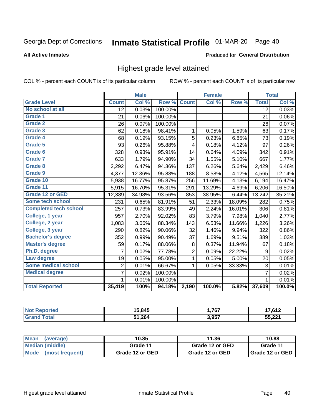# Inmate Statistical Profile 01-MAR-20 Page 40

**All Active Inmates** 

#### Produced for General Distribution

### Highest grade level attained

COL % - percent each COUNT is of its particular column

|                              |                 | <b>Male</b> |         |                | <b>Female</b> |        |                 | <b>Total</b> |
|------------------------------|-----------------|-------------|---------|----------------|---------------|--------|-----------------|--------------|
| <b>Grade Level</b>           | <b>Count</b>    | Col %       | Row %   | <b>Count</b>   | Col %         | Row %  | <b>Total</b>    | Col %        |
| No school at all             | $\overline{12}$ | 0.03%       | 100.00% |                |               |        | $\overline{12}$ | 0.03%        |
| <b>Grade 1</b>               | 21              | 0.06%       | 100.00% |                |               |        | 21              | 0.06%        |
| <b>Grade 2</b>               | 26              | 0.07%       | 100.00% |                |               |        | 26              | 0.07%        |
| Grade 3                      | 62              | 0.18%       | 98.41%  | $\mathbf{1}$   | 0.05%         | 1.59%  | 63              | 0.17%        |
| Grade 4                      | 68              | 0.19%       | 93.15%  | 5              | 0.23%         | 6.85%  | 73              | 0.19%        |
| Grade 5                      | 93              | 0.26%       | 95.88%  | 4              | 0.18%         | 4.12%  | 97              | 0.26%        |
| Grade 6                      | 328             | 0.93%       | 95.91%  | 14             | 0.64%         | 4.09%  | 342             | 0.91%        |
| <b>Grade 7</b>               | 633             | 1.79%       | 94.90%  | 34             | 1.55%         | 5.10%  | 667             | 1.77%        |
| Grade 8                      | 2,292           | 6.47%       | 94.36%  | 137            | 6.26%         | 5.64%  | 2,429           | 6.46%        |
| Grade 9                      | 4,377           | 12.36%      | 95.88%  | 188            | 8.58%         | 4.12%  | 4,565           | 12.14%       |
| Grade 10                     | 5,938           | 16.77%      | 95.87%  | 256            | 11.69%        | 4.13%  | 6,194           | 16.47%       |
| Grade 11                     | 5,915           | 16.70%      | 95.31%  | 291            | 13.29%        | 4.69%  | 6,206           | 16.50%       |
| <b>Grade 12 or GED</b>       | 12,389          | 34.98%      | 93.56%  | 853            | 38.95%        | 6.44%  | 13,242          | 35.21%       |
| <b>Some tech school</b>      | 231             | 0.65%       | 81.91%  | 51             | 2.33%         | 18.09% | 282             | 0.75%        |
| <b>Completed tech school</b> | 257             | 0.73%       | 83.99%  | 49             | 2.24%         | 16.01% | 306             | 0.81%        |
| College, 1 year              | 957             | 2.70%       | 92.02%  | 83             | 3.79%         | 7.98%  | 1,040           | 2.77%        |
| College, 2 year              | 1,083           | 3.06%       | 88.34%  | 143            | 6.53%         | 11.66% | 1,226           | 3.26%        |
| College, 3 year              | 290             | 0.82%       | 90.06%  | 32             | 1.46%         | 9.94%  | 322             | 0.86%        |
| <b>Bachelor's degree</b>     | 352             | 0.99%       | 90.49%  | 37             | 1.69%         | 9.51%  | 389             | 1.03%        |
| <b>Master's degree</b>       | 59              | 0.17%       | 88.06%  | 8              | 0.37%         | 11.94% | 67              | 0.18%        |
| Ph.D. degree                 | 7               | 0.02%       | 77.78%  | $\overline{2}$ | 0.09%         | 22.22% | 9               | 0.02%        |
| Law degree                   | 19              | 0.05%       | 95.00%  | $\mathbf{1}$   | 0.05%         | 5.00%  | 20              | 0.05%        |
| <b>Some medical school</b>   | $\overline{2}$  | 0.01%       | 66.67%  | 1              | 0.05%         | 33.33% | 3               | 0.01%        |
| <b>Medical degree</b>        | $\overline{7}$  | 0.02%       | 100.00% |                |               |        | $\overline{7}$  | 0.02%        |
|                              | 1               | 0.01%       | 100.00% |                |               |        | 1               | 0.01%        |
| <b>Total Reported</b>        | 35,419          | 100%        | 94.18%  | 2,190          | 100.0%        | 5.82%  | 37,609          | 100.0%       |

| 5.845  | ,767          | , 640               |
|--------|---------------|---------------------|
| 51.264 | 3057<br>J,JJ. | <b>1004</b><br>$-L$ |

| <b>Mean</b><br>(average) | 10.85           | 11.36           | 10.88           |  |
|--------------------------|-----------------|-----------------|-----------------|--|
| Median (middle)          | Grade 11        | Grade 12 or GED | Grade 11        |  |
| Mode (most frequent)     | Grade 12 or GED | Grade 12 or GED | Grade 12 or GED |  |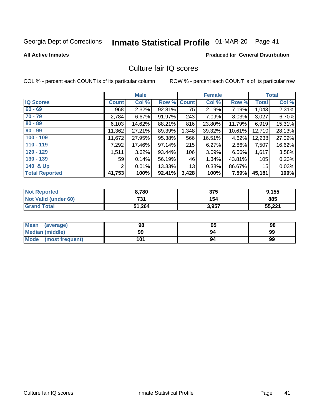# Inmate Statistical Profile 01-MAR-20 Page 41

**All Active Inmates** 

### **Produced for General Distribution**

### Culture fair IQ scores

COL % - percent each COUNT is of its particular column

|                       |              | <b>Male</b> |             |       | <b>Female</b> |        |              | <b>Total</b> |
|-----------------------|--------------|-------------|-------------|-------|---------------|--------|--------------|--------------|
| <b>IQ Scores</b>      | <b>Count</b> | Col %       | Row % Count |       | Col %         | Row %  | <b>Total</b> | Col %        |
| $60 - 69$             | 968          | 2.32%       | 92.81%      | 75    | 2.19%         | 7.19%  | 1,043        | 2.31%        |
| $70 - 79$             | 2,784        | 6.67%       | 91.97%      | 243   | 7.09%         | 8.03%  | 3,027        | 6.70%        |
| $80 - 89$             | 6,103        | 14.62%      | 88.21%      | 816   | 23.80%        | 11.79% | 6,919        | 15.31%       |
| $90 - 99$             | 11,362       | 27.21%      | 89.39%      | 1,348 | 39.32%        | 10.61% | 12,710       | 28.13%       |
| $100 - 109$           | 11,672       | 27.95%      | 95.38%      | 566   | 16.51%        | 4.62%  | 12,238       | 27.09%       |
| $110 - 119$           | 7,292        | 17.46%      | 97.14%      | 215   | 6.27%         | 2.86%  | 7,507        | 16.62%       |
| $120 - 129$           | 1,511        | 3.62%       | 93.44%      | 106   | 3.09%         | 6.56%  | 1,617        | 3.58%        |
| $130 - 139$           | 59           | 0.14%       | 56.19%      | 46    | 1.34%         | 43.81% | 105          | 0.23%        |
| 140 & Up              | 2            | 0.01%       | 13.33%      | 13    | 0.38%         | 86.67% | 15           | 0.03%        |
| <b>Total Reported</b> | 41,753       | 100%        | 92.41%      | 3,428 | 100%          | 7.59%  | 45,181       | 100%         |

| <b>Not Reported</b>         | 8,780  | 375   | 9,155  |
|-----------------------------|--------|-------|--------|
| <b>Not Valid (under 60)</b> | 731    | 154   | 885    |
| <b>Grand Total</b>          | 51,264 | 3,957 | 55,221 |

| <b>Mean</b><br>(average) | 98  | 95 | 98 |
|--------------------------|-----|----|----|
| <b>Median (middle)</b>   | 99  | 94 | 99 |
| Mode<br>(most frequent)  | 101 | 94 | 99 |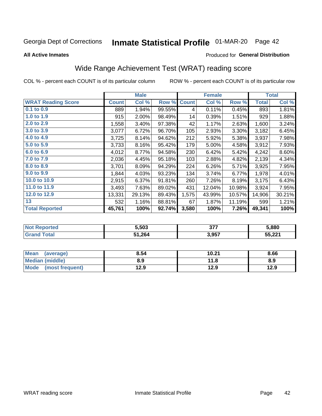# Inmate Statistical Profile 01-MAR-20 Page 42

**All Active Inmates** 

### Produced for General Distribution

# Wide Range Achievement Test (WRAT) reading score

COL % - percent each COUNT is of its particular column

|                           |              | <b>Male</b> |        |              | <b>Female</b> |        |              | <b>Total</b> |
|---------------------------|--------------|-------------|--------|--------------|---------------|--------|--------------|--------------|
| <b>WRAT Reading Score</b> | <b>Count</b> | Col %       | Row %  | <b>Count</b> | Col %         | Row %  | <b>Total</b> | Col %        |
| $0.1$ to $0.9$            | 889          | 1.94%       | 99.55% | 4            | 0.11%         | 0.45%  | 893          | 1.81%        |
| 1.0 to 1.9                | 915          | 2.00%       | 98.49% | 14           | 0.39%         | 1.51%  | 929          | 1.88%        |
| 2.0 to 2.9                | 1,558        | 3.40%       | 97.38% | 42           | 1.17%         | 2.63%  | 1,600        | 3.24%        |
| 3.0 to 3.9                | 3,077        | 6.72%       | 96.70% | 105          | 2.93%         | 3.30%  | 3,182        | 6.45%        |
| 4.0 to 4.9                | 3,725        | 8.14%       | 94.62% | 212          | 5.92%         | 5.38%  | 3,937        | 7.98%        |
| 5.0 to 5.9                | 3,733        | 8.16%       | 95.42% | 179          | 5.00%         | 4.58%  | 3,912        | 7.93%        |
| 6.0 to 6.9                | 4,012        | 8.77%       | 94.58% | 230          | 6.42%         | 5.42%  | 4,242        | 8.60%        |
| 7.0 to 7.9                | 2,036        | 4.45%       | 95.18% | 103          | 2.88%         | 4.82%  | 2,139        | 4.34%        |
| 8.0 to 8.9                | 3,701        | 8.09%       | 94.29% | 224          | 6.26%         | 5.71%  | 3,925        | 7.95%        |
| 9.0 to 9.9                | 1,844        | 4.03%       | 93.23% | 134          | 3.74%         | 6.77%  | 1,978        | 4.01%        |
| 10.0 to 10.9              | 2,915        | 6.37%       | 91.81% | 260          | 7.26%         | 8.19%  | 3,175        | 6.43%        |
| 11.0 to 11.9              | 3,493        | 7.63%       | 89.02% | 431          | 12.04%        | 10.98% | 3,924        | 7.95%        |
| 12.0 to 12.9              | 13,331       | 29.13%      | 89.43% | 1,575        | 43.99%        | 10.57% | 14,906       | 30.21%       |
| 13                        | 532          | 1.16%       | 88.81% | 67           | 1.87%         | 11.19% | 599          | 1.21%        |
| <b>Total Reported</b>     | 45,761       | 100%        | 92.74% | 3,580        | 100%          | 7.26%  | 49,341       | 100%         |

| ≺eported    | 5.503  | - 277<br>. J I . | 5,880  |
|-------------|--------|------------------|--------|
| <b>otal</b> | 51,264 | 3,957            | 55,221 |

| <b>Mean</b><br>(average)       | 8.54 | 10.21 | 8.66 |
|--------------------------------|------|-------|------|
| Median (middle)                | 8.9  | 11.8  | 8.9  |
| <b>Mode</b><br>(most frequent) | 12.9 | 12.9  | 12.9 |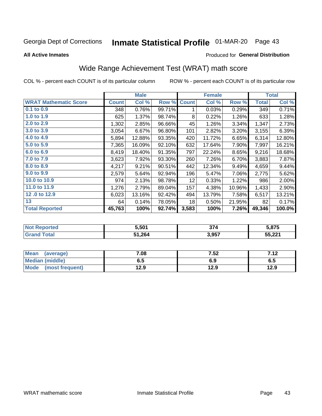# Inmate Statistical Profile 01-MAR-20 Page 43

**All Active Inmates** 

### Produced for General Distribution

# Wide Range Achievement Test (WRAT) math score

COL % - percent each COUNT is of its particular column

|                              |              | <b>Male</b> |        |              | <b>Female</b> |        |              | <b>Total</b> |
|------------------------------|--------------|-------------|--------|--------------|---------------|--------|--------------|--------------|
| <b>WRAT Mathematic Score</b> | <b>Count</b> | Col %       | Row %  | <b>Count</b> | Col %         | Row %  | <b>Total</b> | Col %        |
| 0.1 to 0.9                   | 348          | 0.76%       | 99.71% | 1            | 0.03%         | 0.29%  | 349          | 0.71%        |
| 1.0 to 1.9                   | 625          | 1.37%       | 98.74% | 8            | 0.22%         | 1.26%  | 633          | 1.28%        |
| 2.0 to 2.9                   | 1,302        | 2.85%       | 96.66% | 45           | 1.26%         | 3.34%  | 1,347        | 2.73%        |
| 3.0 to 3.9                   | 3,054        | 6.67%       | 96.80% | 101          | 2.82%         | 3.20%  | 3,155        | 6.39%        |
| 4.0 to 4.9                   | 5,894        | 12.88%      | 93.35% | 420          | 11.72%        | 6.65%  | 6,314        | 12.80%       |
| 5.0 to 5.9                   | 7,365        | 16.09%      | 92.10% | 632          | 17.64%        | 7.90%  | 7,997        | 16.21%       |
| 6.0 to 6.9                   | 8,419        | 18.40%      | 91.35% | 797          | 22.24%        | 8.65%  | 9,216        | 18.68%       |
| 7.0 to 7.9                   | 3,623        | 7.92%       | 93.30% | 260          | 7.26%         | 6.70%  | 3,883        | 7.87%        |
| 8.0 to 8.9                   | 4,217        | 9.21%       | 90.51% | 442          | 12.34%        | 9.49%  | 4,659        | 9.44%        |
| 9.0 to 9.9                   | 2,579        | 5.64%       | 92.94% | 196          | 5.47%         | 7.06%  | 2,775        | 5.62%        |
| 10.0 to 10.9                 | 974          | 2.13%       | 98.78% | 12           | 0.33%         | 1.22%  | 986          | 2.00%        |
| 11.0 to 11.9                 | 1,276        | 2.79%       | 89.04% | 157          | 4.38%         | 10.96% | 1,433        | 2.90%        |
| 12.0 to 12.9                 | 6,023        | 13.16%      | 92.42% | 494          | 13.79%        | 7.58%  | 6,517        | 13.21%       |
| 13                           | 64           | 0.14%       | 78.05% | 18           | 0.50%         | 21.95% | 82           | 0.17%        |
| <b>Total Reported</b>        | 45,763       | 100%        | 92.74% | 3,583        | 100%          | 7.26%  | 49,346       | 100.0%       |

| rtea<br>NO | 5.501  | - 27.<br>، ر | 5,875             |
|------------|--------|--------------|-------------------|
|            | 51,264 | 3,957        | 55 221<br>JJ.ZZ I |

| <b>Mean</b><br>(average)       | 7.08 | 7.52 | 712<br>7. IZ |
|--------------------------------|------|------|--------------|
| <b>Median (middle)</b>         | כ.ס  | 6.9  | v. o         |
| <b>Mode</b><br>(most frequent) | l2.9 | 12.9 | 12.9         |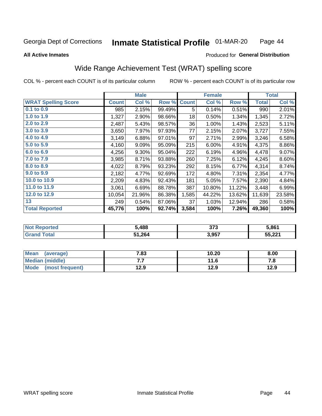#### Inmate Statistical Profile 01-MAR-20 Page 44

#### **All Active Inmates**

### Produced for General Distribution

# Wide Range Achievement Test (WRAT) spelling score

COL % - percent each COUNT is of its particular column

|                            |              | <b>Male</b> |        |              | <b>Female</b> |        |              | <b>Total</b> |
|----------------------------|--------------|-------------|--------|--------------|---------------|--------|--------------|--------------|
| <b>WRAT Spelling Score</b> | <b>Count</b> | Col %       | Row %  | <b>Count</b> | Col %         | Row %  | <b>Total</b> | Col %        |
| 0.1 to 0.9                 | 985          | 2.15%       | 99.49% | 5            | 0.14%         | 0.51%  | 990          | 2.01%        |
| 1.0 to 1.9                 | 1,327        | 2.90%       | 98.66% | 18           | 0.50%         | 1.34%  | 1,345        | 2.72%        |
| 2.0 to 2.9                 | 2,487        | 5.43%       | 98.57% | 36           | 1.00%         | 1.43%  | 2,523        | 5.11%        |
| 3.0 to 3.9                 | 3,650        | 7.97%       | 97.93% | 77           | 2.15%         | 2.07%  | 3,727        | 7.55%        |
| 4.0 to 4.9                 | 3,149        | 6.88%       | 97.01% | 97           | 2.71%         | 2.99%  | 3,246        | 6.58%        |
| 5.0 to 5.9                 | 4,160        | 9.09%       | 95.09% | 215          | 6.00%         | 4.91%  | 4,375        | 8.86%        |
| 6.0 to 6.9                 | 4,256        | 9.30%       | 95.04% | 222          | 6.19%         | 4.96%  | 4,478        | 9.07%        |
| 7.0 to 7.9                 | 3,985        | 8.71%       | 93.88% | 260          | 7.25%         | 6.12%  | 4,245        | 8.60%        |
| 8.0 to 8.9                 | 4,022        | 8.79%       | 93.23% | 292          | 8.15%         | 6.77%  | 4,314        | 8.74%        |
| 9.0 to 9.9                 | 2,182        | 4.77%       | 92.69% | 172          | 4.80%         | 7.31%  | 2,354        | 4.77%        |
| 10.0 to 10.9               | 2,209        | 4.83%       | 92.43% | 181          | 5.05%         | 7.57%  | 2,390        | 4.84%        |
| 11.0 to 11.9               | 3,061        | 6.69%       | 88.78% | 387          | 10.80%        | 11.22% | 3,448        | 6.99%        |
| 12.0 to 12.9               | 10,054       | 21.96%      | 86.38% | 1,585        | 44.22%        | 13.62% | 11,639       | 23.58%       |
| 13                         | 249          | 0.54%       | 87.06% | 37           | 1.03%         | 12.94% | 286          | 0.58%        |
| <b>Total Reported</b>      | 45,776       | 100%        | 92.74% | 3,584        | 100%          | 7.26%  | 49,360       | 100%         |

| тес.<br>NO | 5,488  | 373   | 5,861                    |
|------------|--------|-------|--------------------------|
|            | 51,264 | 3,957 | <b>EE 224</b><br>JJ.ZZ I |

| <b>Mean</b><br>(average) | 7.83 | 10.20 | 8.00 |
|--------------------------|------|-------|------|
| <b>Median (middle)</b>   | .    | 11.6  | ه. ، |
| Mode (most frequent)     | 12.9 | 12.9  | 12.9 |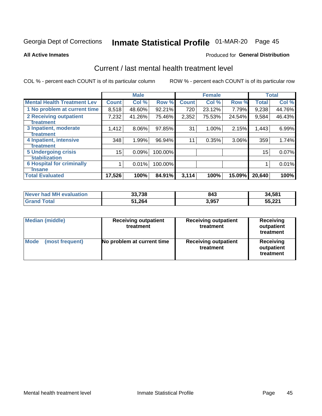# Inmate Statistical Profile 01-MAR-20 Page 45

**All Active Inmates** 

### Produced for General Distribution

### Current / last mental health treatment level

COL % - percent each COUNT is of its particular column

|                                    |              | <b>Male</b> |         |              | <b>Female</b> |          |              | <b>Total</b> |
|------------------------------------|--------------|-------------|---------|--------------|---------------|----------|--------------|--------------|
| <b>Mental Health Treatment Lev</b> | <b>Count</b> | Col%        | Row %   | <b>Count</b> | Col %         | Row %    | <b>Total</b> | Col %        |
| 1 No problem at current time       | 8,518        | 48.60%      | 92.21%  | 720          | 23.12%        | 7.79%    | 9,238        | 44.76%       |
| 2 Receiving outpatient             | 7,232        | 41.26%      | 75.46%  | 2,352        | 75.53%        | 24.54%   | 9,584        | 46.43%       |
| <b>Treatment</b>                   |              |             |         |              |               |          |              |              |
| 3 Inpatient, moderate              | 1,412        | 8.06%       | 97.85%  | 31           | 1.00%         | 2.15%    | 1,443        | 6.99%        |
| Treatment                          |              |             |         |              |               |          |              |              |
| 4 Inpatient, intensive             | 348          | 1.99%       | 96.94%  | 11           | 0.35%         | $3.06\%$ | 359          | 1.74%        |
| <b>Treatment</b>                   |              |             |         |              |               |          |              |              |
| 5 Undergoing crisis                | 15           | 0.09%       | 100.00% |              |               |          | $15\,$       | 0.07%        |
| <b>stabilization</b>               |              |             |         |              |               |          |              |              |
| <b>6 Hospital for criminally</b>   |              | 0.01%       | 100.00% |              |               |          |              | 0.01%        |
| <b>Tinsane</b>                     |              |             |         |              |               |          |              |              |
| <b>Total Evaluated</b>             | 17,526       | 100%        | 84.91%  | 3,114        | 100%          | 15.09%   | 20,640       | 100%         |

| Never had MH evaluation | 33,738 | 843   | 34,581 |
|-------------------------|--------|-------|--------|
| $\tau$ otal             | 51,264 | 3,957 | 55,221 |

| <b>Median (middle)</b>         | <b>Receiving outpatient</b><br>treatment | <b>Receiving outpatient</b><br>treatment | <b>Receiving</b><br>outpatient<br>treatment |  |  |
|--------------------------------|------------------------------------------|------------------------------------------|---------------------------------------------|--|--|
| <b>Mode</b><br>(most frequent) | No problem at current time               | <b>Receiving outpatient</b><br>treatment | Receiving<br>outpatient<br>treatment        |  |  |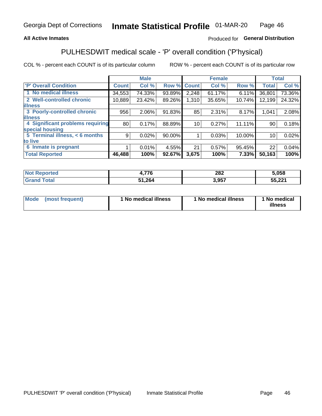### **All Active Inmates**

### Produced for General Distribution

# PULHESDWIT medical scale - 'P' overall condition ('P'hysical)

COL % - percent each COUNT is of its particular column

|                                  |              | <b>Male</b> |        |              | <b>Female</b> |        |                 | <b>Total</b> |
|----------------------------------|--------------|-------------|--------|--------------|---------------|--------|-----------------|--------------|
| <b>'P' Overall Condition</b>     | <b>Count</b> | Col %       | Row %  | <b>Count</b> | Col %         | Row %  | <b>Total</b>    | Col %        |
| 1 No medical illness             | 34,553       | 74.33%      | 93.89% | 2,248        | 61.17%        | 6.11%  | 36,801          | 73.36%       |
| 2 Well-controlled chronic        | 10,889       | 23.42%      | 89.26% | 1,310        | 35.65%        | 10.74% | 12,199          | 24.32%       |
| <b>illness</b>                   |              |             |        |              |               |        |                 |              |
| 3 Poorly-controlled chronic      | 956          | $2.06\%$    | 91.83% | 85           | 2.31%         | 8.17%  | 1,041           | 2.08%        |
| <b>illness</b>                   |              |             |        |              |               |        |                 |              |
| 4 Significant problems requiring | 80           | 0.17%       | 88.89% | 10           | 0.27%         | 11.11% | 90              | 0.18%        |
| special housing                  |              |             |        |              |               |        |                 |              |
| 5 Terminal illness, < 6 months   | 9            | 0.02%       | 90.00% |              | 0.03%         | 10.00% | 10 <sup>1</sup> | 0.02%        |
| to live                          |              |             |        |              |               |        |                 |              |
| 6 Inmate is pregnant             |              | $0.01\%$    | 4.55%  | 21           | 0.57%         | 95.45% | 22              | 0.04%        |
| <b>Total Reported</b>            | 46,488       | 100%        | 92.67% | 3,675        | 100%          | 7.33%  | 50,163          | 100%         |

| тео | ---<br><i>.</i> | 282  | 5.058         |
|-----|-----------------|------|---------------|
|     | -264            | .057 | <b>EE 221</b> |

| Mode<br>(most frequent) |  | <sup>1</sup> No medical illness | 1 No medical illness | 1 No medical<br>illness |
|-------------------------|--|---------------------------------|----------------------|-------------------------|
|-------------------------|--|---------------------------------|----------------------|-------------------------|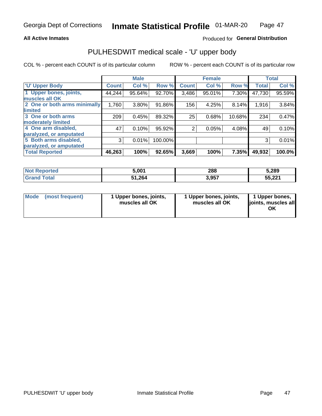### **All Active Inmates**

### Produced for General Distribution

# PULHESDWIT medical scale - 'U' upper body

COL % - percent each COUNT is of its particular column

|                              |              | <b>Male</b> |         |                | <b>Female</b> |        |              | <b>Total</b> |
|------------------------------|--------------|-------------|---------|----------------|---------------|--------|--------------|--------------|
| <b>U' Upper Body</b>         | <b>Count</b> | Col %       | Row %   | <b>Count</b>   | Col %         | Row %  | <b>Total</b> | Col %        |
| 1 Upper bones, joints,       | 44,244       | 95.64%      | 92.70%  | 3,486          | 95.01%        | 7.30%  | 47,730       | 95.59%       |
| muscles all OK               |              |             |         |                |               |        |              |              |
| 2 One or both arms minimally | 1,760        | $3.80\%$    | 91.86%  | 156            | 4.25%         | 8.14%  | 1,916        | 3.84%        |
| limited                      |              |             |         |                |               |        |              |              |
| 3 One or both arms           | 209          | 0.45%       | 89.32%  | 25             | 0.68%         | 10.68% | 234          | 0.47%        |
| <b>moderately limited</b>    |              |             |         |                |               |        |              |              |
| 4 One arm disabled,          | 47           | 0.10%       | 95.92%  | $\overline{2}$ | 0.05%         | 4.08%  | 49           | 0.10%        |
| paralyzed, or amputated      |              |             |         |                |               |        |              |              |
| 5 Both arms disabled,        | 3            | 0.01%       | 100.00% |                |               |        | 3            | 0.01%        |
| paralyzed, or amputated      |              |             |         |                |               |        |              |              |
| <b>Total Reported</b>        | 46,263       | 100%        | 92.65%  | 3,669          | 100%          | 7.35%  | 49,932       | 100.0%       |

| <b>Not Reported</b>    | 5,001  | 288   | 5,289  |
|------------------------|--------|-------|--------|
| <b>Total</b><br>'Grand | 51,264 | 3,957 | 55,221 |

| Mode (most frequent) | 1 Upper bones, joints,<br>muscles all OK | 1 Upper bones, joints,<br>muscles all OK | 1 Upper bones,<br>joints, muscles all<br>ΟK |
|----------------------|------------------------------------------|------------------------------------------|---------------------------------------------|
|----------------------|------------------------------------------|------------------------------------------|---------------------------------------------|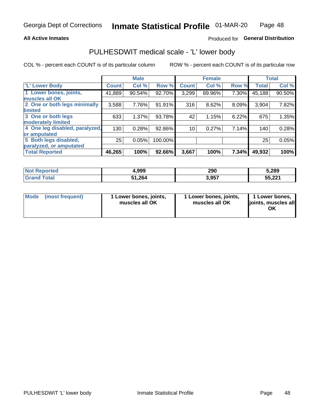### **All Active Inmates**

### Produced for General Distribution

### PULHESDWIT medical scale - 'L' lower body

COL % - percent each COUNT is of its particular column

|                                |              | <b>Male</b> |         |              | <b>Female</b> |       |              | <b>Total</b> |
|--------------------------------|--------------|-------------|---------|--------------|---------------|-------|--------------|--------------|
| 'L' Lower Body                 | <b>Count</b> | Col %       | Row %   | <b>Count</b> | Col %         | Row % | <b>Total</b> | Col %        |
| 1 Lower bones, joints,         | 41,889       | 90.54%      | 92.70%  | 3,299        | 89.96%        | 7.30% | 45,188       | 90.50%       |
| muscles all OK                 |              |             |         |              |               |       |              |              |
| 2 One or both legs minimally   | 3,588        | 7.76%       | 91.91%  | 316          | 8.62%         | 8.09% | 3,904        | 7.82%        |
| limited                        |              |             |         |              |               |       |              |              |
| 3 One or both legs             | 633          | 1.37%       | 93.78%  | 42           | 1.15%         | 6.22% | 675          | 1.35%        |
| moderately limited             |              |             |         |              |               |       |              |              |
| 4 One leg disabled, paralyzed, | 130          | 0.28%       | 92.86%  | 10           | 0.27%         | 7.14% | 140          | 0.28%        |
| or amputated                   |              |             |         |              |               |       |              |              |
| 5 Both legs disabled,          | 25           | 0.05%       | 100.00% |              |               |       | 25           | 0.05%        |
| paralyzed, or amputated        |              |             |         |              |               |       |              |              |
| <b>Total Reported</b>          | 46,265       | 100%        | 92.66%  | 3,667        | 100%          | 7.34% | 49,932       | 100%         |

| <b>Not Reported</b>    | 4,999  | 290   | 5,289  |
|------------------------|--------|-------|--------|
| <b>Total</b><br>'Grand | 51,264 | 3,957 | 55,221 |

| Mode | (most frequent) | 1 Lower bones, joints,<br>muscles all OK | I Lower bones, joints,<br>muscles all OK | 1 Lower bones,<br>joints, muscles all<br>ΟK |
|------|-----------------|------------------------------------------|------------------------------------------|---------------------------------------------|
|------|-----------------|------------------------------------------|------------------------------------------|---------------------------------------------|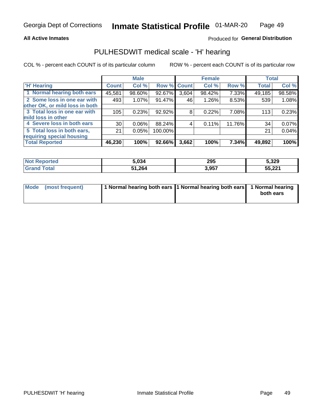### **All Active Inmates**

### Produced for General Distribution

### PULHESDWIT medical scale - 'H' hearing

COL % - percent each COUNT is of its particular column

|                                |                 | <b>Male</b> |             |       | <b>Female</b> |        | <b>Total</b> |        |
|--------------------------------|-----------------|-------------|-------------|-------|---------------|--------|--------------|--------|
| <b>'H' Hearing</b>             | <b>Count</b>    | Col %       | Row % Count |       | Col %         | Row %  | <b>Total</b> | Col %  |
| 1 Normal hearing both ears     | 45,581          | 98.60%      | 92.67%      | 3,604 | 98.42%        | 7.33%  | 49,185       | 98.58% |
| 2 Some loss in one ear with    | 493             | 1.07%       | 91.47%      | 46    | 1.26%         | 8.53%  | 539          | 1.08%  |
| other OK, or mild loss in both |                 |             |             |       |               |        |              |        |
| 3 Total loss in one ear with   | 105             | 0.23%       | $92.92\%$   | 8     | 0.22%         | 7.08%  | 113          | 0.23%  |
| mild loss in other             |                 |             |             |       |               |        |              |        |
| 4 Severe loss in both ears     | 30 <sup>1</sup> | 0.06%       | 88.24%      | 4     | 0.11%         | 11.76% | 34           | 0.07%  |
| 5 Total loss in both ears,     | 21              | 0.05%       | 100.00%     |       |               |        | 21           | 0.04%  |
| requiring special housing      |                 |             |             |       |               |        |              |        |
| <b>Total Reported</b>          | 46,230          | 100%        | 92.66%      | 3,662 | 100%          | 7.34%  | 49,892       | 100%   |

| <b>Not Renc</b><br>™orted | 5,034  | 295   | 5,329                |
|---------------------------|--------|-------|----------------------|
| Total                     | 51,264 | 3,957 | າາາ<br>--<br>1 13.CC |

| Mode (most frequent) | 1 Normal hearing both ears 11 Normal hearing both ears 1 Normal hearing | both ears |
|----------------------|-------------------------------------------------------------------------|-----------|
|                      |                                                                         |           |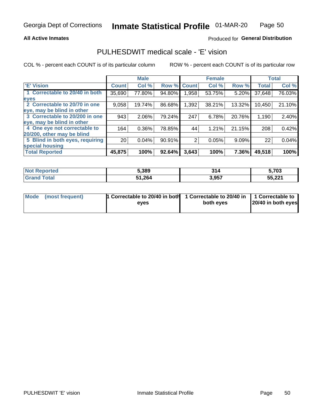### **All Active Inmates**

### Produced for General Distribution

### PULHESDWIT medical scale - 'E' vision

COL % - percent each COUNT is of its particular column

|                                 |                 | <b>Male</b> |        |              | <b>Female</b> |        |              | <b>Total</b> |
|---------------------------------|-----------------|-------------|--------|--------------|---------------|--------|--------------|--------------|
| 'E' Vision                      | <b>Count</b>    | Col %       | Row %  | <b>Count</b> | Col %         | Row %  | <b>Total</b> | Col %        |
| 1 Correctable to 20/40 in both  | 35,690          | 77.80%      | 94.80% | .958         | 53.75%        | 5.20%  | 37,648       | 76.03%       |
| eyes                            |                 |             |        |              |               |        |              |              |
| 2 Correctable to 20/70 in one   | 9,058           | 19.74%      | 86.68% | .392         | 38.21%        | 13.32% | 10,450       | 21.10%       |
| eye, may be blind in other      |                 |             |        |              |               |        |              |              |
| 3 Correctable to 20/200 in one  | 943             | 2.06%       | 79.24% | 247          | 6.78%         | 20.76% | 1,190        | 2.40%        |
| leye, may be blind in other     |                 |             |        |              |               |        |              |              |
| 4 One eye not correctable to    | 164             | 0.36%       | 78.85% | 44           | 1.21%         | 21.15% | 208          | 0.42%        |
| 20/200, other may be blind      |                 |             |        |              |               |        |              |              |
| 5 Blind in both eyes, requiring | 20 <sub>1</sub> | 0.04%       | 90.91% | 2            | 0.05%         | 9.09%  | 22           | 0.04%        |
| special housing                 |                 |             |        |              |               |        |              |              |
| <b>Total Reported</b>           | 45,875          | 100%        | 92.64% | 3,643        | 100%          | 7.36%  | 49,518       | 100%         |

| <b>Not Reported</b> | 5,389         | 314   | 5,703  |
|---------------------|---------------|-------|--------|
| <b>Total</b>        | 31,264<br>54. | 3,957 | 55,221 |

| Mode (most frequent) | 1 Correctable to 20/40 in both<br>eves | 1 Correctable to 20/40 in   1 Correctable to  <br>both eves | 20/40 in both eyes |
|----------------------|----------------------------------------|-------------------------------------------------------------|--------------------|
|                      |                                        |                                                             |                    |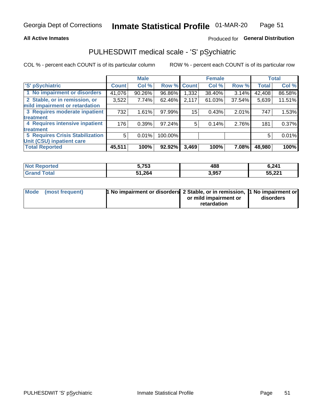### **All Active Inmates**

### Produced for General Distribution

# PULHESDWIT medical scale - 'S' pSychiatric

COL % - percent each COUNT is of its particular column

|                                        |              | <b>Male</b> |         |             | <b>Female</b> |        |              | <b>Total</b> |
|----------------------------------------|--------------|-------------|---------|-------------|---------------|--------|--------------|--------------|
| 'S' pSychiatric                        | <b>Count</b> | Col %       |         | Row % Count | Col %         | Row %  | <b>Total</b> | Col %        |
| 1 No impairment or disorders           | 41,076       | 90.26%      | 96.86%  | 1,332       | 38.40%        | 3.14%  | 42,408       | 86.58%       |
| 2 Stable, or in remission, or          | 3,522        | 7.74%       | 62.46%  | 2,117       | 61.03%        | 37.54% | 5,639        | 11.51%       |
| mild impairment or retardation         |              |             |         |             |               |        |              |              |
| 3 Requires moderate inpatient          | 732          | 1.61%       | 97.99%  | 15          | 0.43%         | 2.01%  | 747          | 1.53%        |
| treatment                              |              |             |         |             |               |        |              |              |
| 4 Requires intensive inpatient         | 176          | 0.39%       | 97.24%  | 5.          | 0.14%         | 2.76%  | 181          | 0.37%        |
| treatment                              |              |             |         |             |               |        |              |              |
| <b>5 Requires Crisis Stabilization</b> | 5            | 0.01%       | 100.00% |             |               |        | 5            | 0.01%        |
| Unit (CSU) inpatient care              |              |             |         |             |               |        |              |              |
| <b>Total Reported</b>                  | 45,511       | 100%        | 92.92%  | 3,469       | 100%          | 7.08%  | 48,980       | 100%         |

| <b>Not Reported</b> | 5,753  | 488   | 6,241  |
|---------------------|--------|-------|--------|
| Total<br>Grand      | 51,264 | 3,957 | 55,221 |

| Mode (most frequent) | <b>t No impairment or disorders 2 Stable, or in remission, 1 No impairment or</b> |                       |           |
|----------------------|-----------------------------------------------------------------------------------|-----------------------|-----------|
|                      |                                                                                   | or mild impairment or | disorders |
|                      |                                                                                   | retardation           |           |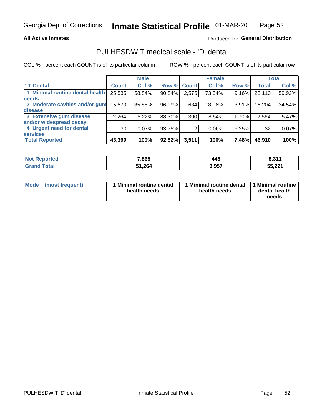### **All Active Inmates**

### Produced for General Distribution

# PULHESDWIT medical scale - 'D' dental

COL % - percent each COUNT is of its particular column

|                                 |              | <b>Male</b> |             |       | <b>Female</b> |          |              | <b>Total</b> |
|---------------------------------|--------------|-------------|-------------|-------|---------------|----------|--------------|--------------|
| <b>D'</b> Dental                | <b>Count</b> | Col %       | Row % Count |       | Col %         | Row %    | <b>Total</b> | Col %        |
| 1 Minimal routine dental health | 25,535       | 58.84%      | 90.84%      | 2,575 | 73.34%        | $9.16\%$ | 28,110       | 59.92%       |
| <b>needs</b>                    |              |             |             |       |               |          |              |              |
| 2 Moderate cavities and/or gum  | 15,570       | 35.88%      | 96.09%      | 634   | 18.06%        | 3.91%    | 16,204       | 34.54%       |
| disease                         |              |             |             |       |               |          |              |              |
| 3 Extensive gum disease         | 2,264        | 5.22%       | 88.30%      | 300   | 8.54%         | 11.70%   | 2,564        | 5.47%        |
| and/or widespread decay         |              |             |             |       |               |          |              |              |
| 4 Urgent need for dental        | 30           | 0.07%       | 93.75%      | 2     | 0.06%         | 6.25%    | 32           | 0.07%        |
| <b>services</b>                 |              |             |             |       |               |          |              |              |
| <b>Total Reported</b>           | 43,399       | 100%        | 92.52%      | 3,511 | 100%          | 7.48%    | 46,910       | 100%         |

| <b>Not Reported</b>   | 7,865  | 446   | 0.244<br>0.31. |
|-----------------------|--------|-------|----------------|
| Total<br><b>Grand</b> | 51,264 | 3,957 | 55,221         |

| <b>Mode</b> | (most frequent) | <b>Minimal routine dental</b><br>health needs | 1 Minimal routine dental   1 Minimal routine  <br>health needs | dental health<br>needs |
|-------------|-----------------|-----------------------------------------------|----------------------------------------------------------------|------------------------|
|-------------|-----------------|-----------------------------------------------|----------------------------------------------------------------|------------------------|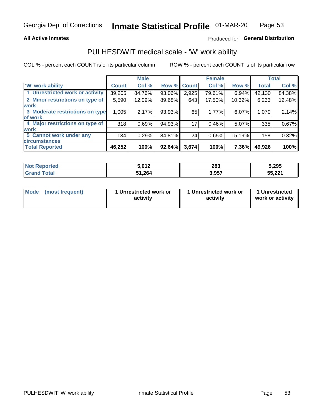### **All Active Inmates**

### Produced for General Distribution

# PULHESDWIT medical scale - 'W' work ability

COL % - percent each COUNT is of its particular column

|                                 |              | <b>Male</b> |        |              | <b>Female</b> |        |              | <b>Total</b> |
|---------------------------------|--------------|-------------|--------|--------------|---------------|--------|--------------|--------------|
| <b>W' work ability</b>          | <b>Count</b> | Col %       | Row %  | <b>Count</b> | Col %         | Row %  | <b>Total</b> | Col %        |
| 1 Unrestricted work or activity | 39,205       | 84.76%      | 93.06% | 2,925        | 79.61%        | 6.94%  | 42,130       | 84.38%       |
| 2 Minor restrictions on type of | 5,590        | 12.09%      | 89.68% | 643          | 17.50%        | 10.32% | 6,233        | 12.48%       |
| <b>work</b>                     |              |             |        |              |               |        |              |              |
| 3 Moderate restrictions on type | 1,005        | 2.17%       | 93.93% | 65           | 1.77%         | 6.07%  | 1,070        | 2.14%        |
| lof work                        |              |             |        |              |               |        |              |              |
| 4 Major restrictions on type of | 318          | 0.69%       | 94.93% | 17           | 0.46%         | 5.07%  | 335          | 0.67%        |
| <b>work</b>                     |              |             |        |              |               |        |              |              |
| 5 Cannot work under any         | 134          | 0.29%       | 84.81% | 24           | 0.65%         | 15.19% | 158          | 0.32%        |
| <b>circumstances</b>            |              |             |        |              |               |        |              |              |
| <b>Total Reported</b>           | 46,252       | 100%        | 92.64% | 3,674        | 100%          | 7.36%  | 49,926       | 100%         |

| <b>Not Reported</b> | ร ครว<br>J.VIZ | 283   | 5,295  |
|---------------------|----------------|-------|--------|
| Total<br>Grand      | 51,264         | 3,957 | 55,221 |

| <b>Mode</b>     | 1 Unrestricted work or | 1 Unrestricted work or | 1 Unrestricted   |
|-----------------|------------------------|------------------------|------------------|
| (most frequent) | activity               | activity               | work or activity |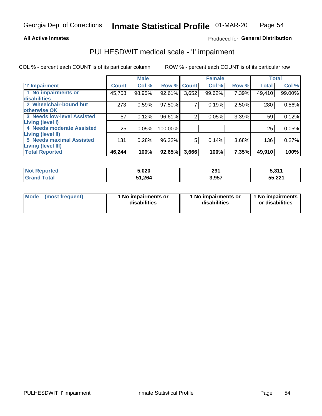### **All Active Inmates**

### Produced for General Distribution

# PULHESDWIT medical scale - 'I' impairment

COL % - percent each COUNT is of its particular column ROW % - percent each COUNT is of its particular row

|                                   |              | <b>Male</b> |           |             | <b>Female</b> |       |              | <b>Total</b> |
|-----------------------------------|--------------|-------------|-----------|-------------|---------------|-------|--------------|--------------|
| <b>T</b> Impairment               | <b>Count</b> | Col %       |           | Row % Count | Col %         | Row % | <b>Total</b> | Col %        |
| 1 No impairments or               | 45,758       | 98.95%      | $92.61\%$ | 3,652       | 99.62%        | 7.39% | 49,410       | 99.00%       |
| disabilities                      |              |             |           |             |               |       |              |              |
| 2 Wheelchair-bound but            | 273          | 0.59%       | 97.50%    | 7           | 0.19%         | 2.50% | 280          | 0.56%        |
| otherwise OK                      |              |             |           |             |               |       |              |              |
| <b>3 Needs low-level Assisted</b> | 57           | 0.12%       | 96.61%    | 2           | 0.05%         | 3.39% | 59           | 0.12%        |
| Living (level I)                  |              |             |           |             |               |       |              |              |
| 4 Needs moderate Assisted         | 25           | 0.05%       | 100.00%   |             |               |       | 25           | 0.05%        |
| Living (level II)                 |              |             |           |             |               |       |              |              |
| 5 Needs maximal Assisted          | 131          | 0.28%       | 96.32%    | 5           | 0.14%         | 3.68% | 136          | 0.27%        |
| <b>Living (level III)</b>         |              |             |           |             |               |       |              |              |
| <b>Total Reported</b>             | 46,244       | 100%        | 92.65%    | 3,666       | 100%          | 7.35% | 49,910       | 100%         |

| ported<br><b>NOT</b> | 5,020  | 201<br>2J I<br>__ | <b>E</b> 244<br>. |
|----------------------|--------|-------------------|-------------------|
| $\sim$ form          | 51,264 | 3,957             | 55,221            |

| <b>Mode</b> | (most frequent) | <b>No impairments or</b><br>disabilities | 1 No impairments or<br>disabilities | 1 No impairments<br>or disabilities |
|-------------|-----------------|------------------------------------------|-------------------------------------|-------------------------------------|
|-------------|-----------------|------------------------------------------|-------------------------------------|-------------------------------------|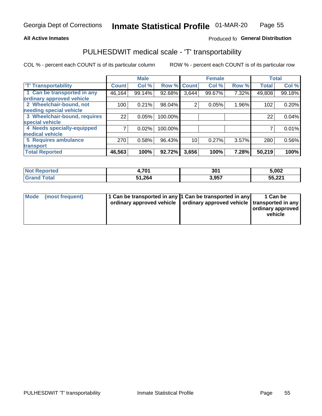### **All Active Inmates**

### Produced fo General Distribution

### PULHESDWIT medical scale - 'T' transportability

COL % - percent each COUNT is of its particular column

|                              |              | <b>Male</b> |         |              | <b>Female</b> |       |              | <b>Total</b> |
|------------------------------|--------------|-------------|---------|--------------|---------------|-------|--------------|--------------|
| <b>T' Transportability</b>   | <b>Count</b> | Col %       | Row %   | <b>Count</b> | Col %         | Row % | <b>Total</b> | Col %        |
| 1 Can be transported in any  | 46,164       | 99.14%      | 92.68%  | 3,644        | 99.67%        | 7.32% | 49,808       | 99.18%       |
| ordinary approved vehicle    |              |             |         |              |               |       |              |              |
| 2 Wheelchair-bound, not      | 100          | 0.21%       | 98.04%  | 2            | 0.05%         | 1.96% | 102          | 0.20%        |
| needing special vehicle      |              |             |         |              |               |       |              |              |
| 3 Wheelchair-bound, requires | 22           | 0.05%       | 100.00% |              |               |       | 22           | 0.04%        |
| special vehicle              |              |             |         |              |               |       |              |              |
| 4 Needs specially-equipped   |              | 0.02%       | 100.00% |              |               |       |              | 0.01%        |
| medical vehicle              |              |             |         |              |               |       |              |              |
| <b>5 Requires ambulance</b>  | 270          | 0.58%       | 96.43%  | 10           | 0.27%         | 3.57% | 280          | 0.56%        |
| transport                    |              |             |         |              |               |       |              |              |
| <b>Total Reported</b>        | 46,563       | 100%        | 92.72%  | 3,656        | 100%          | 7.28% | 50,219       | 100%         |

| eported: | <b>704</b><br>י טי | 301   | 5,002  |
|----------|--------------------|-------|--------|
| 'otal    | 51,264             | 3,957 | 55,221 |

|  | Mode (most frequent) | 1 Can be transported in any 1 Can be transported in any | ordinary approved vehicle   ordinary approved vehicle   transported in any | 1 Can be<br>  ordinary approved  <br>vehicle |
|--|----------------------|---------------------------------------------------------|----------------------------------------------------------------------------|----------------------------------------------|
|--|----------------------|---------------------------------------------------------|----------------------------------------------------------------------------|----------------------------------------------|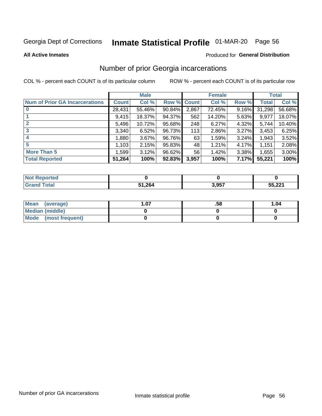# Inmate Statistical Profile 01-MAR-20 Page 56

**All Active Inmates** 

### **Produced for General Distribution**

### Number of prior Georgia incarcerations

COL % - percent each COUNT is of its particular column

|                                       |              | <b>Male</b> |             |       | <b>Female</b> |       |        | <b>Total</b> |
|---------------------------------------|--------------|-------------|-------------|-------|---------------|-------|--------|--------------|
| <b>Num of Prior GA Incarcerations</b> | <b>Count</b> | Col %       | Row % Count |       | Col %         | Row % | Total  | Col %        |
|                                       | 28,431       | 55.46%      | 90.84%      | 2,867 | 72.45%        | 9.16% | 31,298 | 56.68%       |
|                                       | 9,415        | 18.37%      | 94.37%      | 562   | 14.20%        | 5.63% | 9,977  | 18.07%       |
| $\overline{2}$                        | 5,496        | 10.72%      | 95.68%      | 248   | 6.27%         | 4.32% | 5,744  | 10.40%       |
| 3                                     | 3,340        | 6.52%       | 96.73%      | 113   | 2.86%         | 3.27% | 3,453  | 6.25%        |
| $\boldsymbol{4}$                      | 1,880        | 3.67%       | 96.76%      | 63    | 1.59%         | 3.24% | 1,943  | 3.52%        |
| 5                                     | 1,103        | 2.15%       | 95.83%      | 48    | 1.21%         | 4.17% | 1,151  | 2.08%        |
| <b>More Than 5</b>                    | 1,599        | 3.12%       | $96.62\%$   | 56    | 1.42%         | 3.38% | 1,655  | 3.00%        |
| <b>Total Reported</b>                 | 51,264       | 100%        | 92.83%      | 3,957 | 100%          | 7.17% | 55,221 | 100%         |

| ∣N∩f<br>Reported |        |       |        |  |
|------------------|--------|-------|--------|--|
| Total<br>"Granu  | 51,264 | 3,957 | 55,221 |  |

| Mean (average)       | . .07 | .58 | 1.04 |
|----------------------|-------|-----|------|
| Median (middle)      |       |     |      |
| Mode (most frequent) |       |     |      |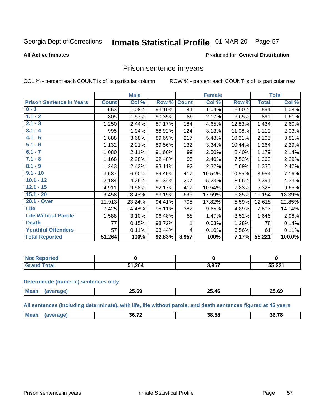# Inmate Statistical Profile 01-MAR-20 Page 57

### **All Active Inmates**

### Produced for General Distribution

### Prison sentence in years

COL % - percent each COUNT is of its particular column

ROW % - percent each COUNT is of its particular row

|                                 |              | <b>Male</b> |        |              | <b>Female</b> |        |              | <b>Total</b> |
|---------------------------------|--------------|-------------|--------|--------------|---------------|--------|--------------|--------------|
| <b>Prison Sentence In Years</b> | <b>Count</b> | Col %       | Row %  | <b>Count</b> | Col %         | Row %  | <b>Total</b> | Col %        |
| $0 - 1$                         | 553          | 1.08%       | 93.10% | 41           | 1.04%         | 6.90%  | 594          | 1.08%        |
| $1.1 - 2$                       | 805          | 1.57%       | 90.35% | 86           | 2.17%         | 9.65%  | 891          | 1.61%        |
| $2.1 - 3$                       | 1,250        | 2.44%       | 87.17% | 184          | 4.65%         | 12.83% | 1,434        | 2.60%        |
| $3.1 - 4$                       | 995          | 1.94%       | 88.92% | 124          | 3.13%         | 11.08% | 1,119        | 2.03%        |
| $4.1 - 5$                       | 1,888        | 3.68%       | 89.69% | 217          | 5.48%         | 10.31% | 2,105        | 3.81%        |
| $5.1 - 6$                       | 1,132        | 2.21%       | 89.56% | 132          | 3.34%         | 10.44% | 1,264        | 2.29%        |
| $6.1 - 7$                       | 1,080        | 2.11%       | 91.60% | 99           | 2.50%         | 8.40%  | 1,179        | 2.14%        |
| $7.1 - 8$                       | 1,168        | 2.28%       | 92.48% | 95           | 2.40%         | 7.52%  | 1,263        | 2.29%        |
| $8.1 - 9$                       | 1,243        | 2.42%       | 93.11% | 92           | 2.32%         | 6.89%  | 1,335        | 2.42%        |
| $9.1 - 10$                      | 3,537        | 6.90%       | 89.45% | 417          | 10.54%        | 10.55% | 3,954        | 7.16%        |
| $10.1 - 12$                     | 2,184        | 4.26%       | 91.34% | 207          | 5.23%         | 8.66%  | 2,391        | 4.33%        |
| $12.1 - 15$                     | 4,911        | 9.58%       | 92.17% | 417          | 10.54%        | 7.83%  | 5,328        | 9.65%        |
| $15.1 - 20$                     | 9,458        | 18.45%      | 93.15% | 696          | 17.59%        | 6.85%  | 10,154       | 18.39%       |
| 20.1 - Over                     | 11,913       | 23.24%      | 94.41% | 705          | 17.82%        | 5.59%  | 12,618       | 22.85%       |
| <b>Life</b>                     | 7,425        | 14.48%      | 95.11% | 382          | 9.65%         | 4.89%  | 7,807        | 14.14%       |
| <b>Life Without Parole</b>      | 1,588        | 3.10%       | 96.48% | 58           | 1.47%         | 3.52%  | 1,646        | 2.98%        |
| <b>Death</b>                    | 77           | 0.15%       | 98.72% |              | 0.03%         | 1.28%  | 78           | 0.14%        |
| <b>Youthful Offenders</b>       | 57           | 0.11%       | 93.44% | 4            | 0.10%         | 6.56%  | 61           | 0.11%        |
| <b>Total Reported</b>           | 51,264       | 100%        | 92.83% | 3,957        | 100%          | 7.17%  | 55,221       | 100.0%       |

| <b>Not Reported</b> |      |       |        |
|---------------------|------|-------|--------|
| <b>Total</b>        | .264 | 3,957 | 55,221 |

#### **Determinate (numeric) sentences only**

| <b>Mean</b> | <b>AF AA</b><br>_ა.ხყ | ሳሮ<br>$\overline{\phantom{a}}$<br>. ЛЕ<br>- J. TV | 25.69 |
|-------------|-----------------------|---------------------------------------------------|-------|
|             |                       |                                                   |       |

All sentences (including determinate), with life, life without parole, and death sentences figured at 45 years

| M <sub>PA</sub> | 00.70<br>5h | 38.68 | <br>36 |
|-----------------|-------------|-------|--------|
|                 |             |       |        |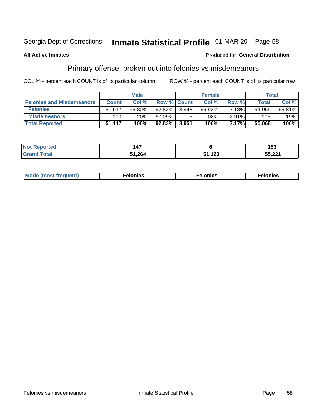# Inmate Statistical Profile 01-MAR-20 Page 58

#### **All Active Inmates**

### **Produced for General Distribution**

### Primary offense, broken out into felonies vs misdemeanors

COL % - percent each COUNT is of its particular column

|                                  | <b>Male</b>  |        |                    |       | <b>Female</b> | Total |              |        |
|----------------------------------|--------------|--------|--------------------|-------|---------------|-------|--------------|--------|
| <b>Felonies and Misdemeanors</b> | <b>Count</b> | Col %  | <b>Row % Count</b> |       | Col %         | Row % | <b>Total</b> | Col %  |
| <b>Felonies</b>                  | 51,017       | 99.80% | $92.82\%$          | 3.948 | 99.92%        | 7.18% | 54,965       | 99.81% |
| <b>Misdemeanors</b>              | 100          | .20%   | 97.09%             |       | .08%          | 2.91% | 103          | .19%   |
| <b>Total Reported</b>            | 51,117       | 100%   | $92.83\%$          | 3,951 | 100%          | 7.17% | 55,068       | 100%   |

| <b>Not Reported</b>   | $\overline{\phantom{a}}$<br>147 |             | Б2<br>၊၁၁ |
|-----------------------|---------------------------------|-------------|-----------|
| Total<br><b>Grand</b> | 51,264                          | 122<br>. 20 | 55,221    |

| Mo | ____ | 11 C.S<br>. | onies<br>. |
|----|------|-------------|------------|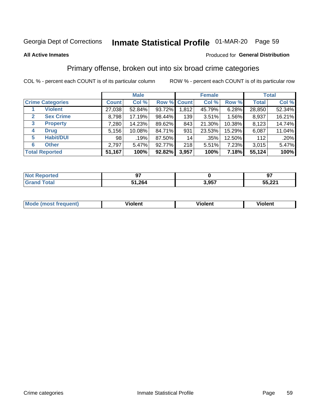# Inmate Statistical Profile 01-MAR-20 Page 59

#### **All Active Inmates**

### Produced for General Distribution

### Primary offense, broken out into six broad crime categories

COL % - percent each COUNT is of its particular column

|                                 |              | <b>Male</b> |           |                    | <b>Female</b> | <b>Total</b> |              |        |
|---------------------------------|--------------|-------------|-----------|--------------------|---------------|--------------|--------------|--------|
| <b>Crime Categories</b>         | <b>Count</b> | Col %       |           | <b>Row % Count</b> | Col %         | Row %        | <b>Total</b> | Col %  |
| <b>Violent</b>                  | 27,038       | 52.84%      | 93.72%    | 1,812              | 45.79%        | 6.28%        | 28,850       | 52.34% |
| <b>Sex Crime</b><br>2           | 8,798        | 17.19%      | 98.44%    | 139                | 3.51%         | 1.56%        | 8,937        | 16.21% |
| $\mathbf{3}$<br><b>Property</b> | 7,280        | 14.23%      | 89.62%    | 843                | 21.30%        | 10.38%       | 8,123        | 14.74% |
| <b>Drug</b><br>4                | 5,156        | 10.08%      | 84.71%    | 931                | 23.53%        | 15.29%       | 6,087        | 11.04% |
| <b>Habit/DUI</b><br>5           | 98           | .19%        | 87.50%    | 14                 | .35%          | 12.50%       | 112          | .20%   |
| <b>Other</b><br>6               | 2,797        | 5.47%       | 92.77%    | 218                | 5.51%         | 7.23%        | 3,015        | 5.47%  |
| <b>Total Reported</b>           | 51,167       | 100%        | $92.82\%$ | 3,957              | 100%          | 7.18%        | 55,124       | 100%   |

| <b>Not Reported</b> | ~-            |       | _റ−    |
|---------------------|---------------|-------|--------|
| <b>Total</b>        | 51,264<br>C 4 | 3,957 | 55,221 |

| Mo<br>uent)<br>nos | .<br>/iolent | <br>Violent | - --<br><b>Tiolent</b> |
|--------------------|--------------|-------------|------------------------|
|                    |              |             |                        |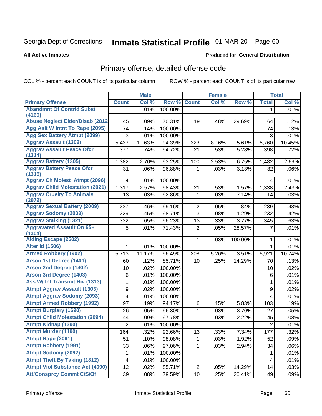# Inmate Statistical Profile 01-MAR-20 Page 60

**All Active Inmates** 

### **Produced for General Distribution**

# Primary offense, detailed offense code

COL % - percent each COUNT is of its particular column

|                                                   |                  | <b>Male</b> |         |                | <b>Female</b> |         |                         | <b>Total</b> |
|---------------------------------------------------|------------------|-------------|---------|----------------|---------------|---------|-------------------------|--------------|
| <b>Primary Offense</b>                            | <b>Count</b>     | Col %       | Row %   | <b>Count</b>   | Col %         | Row %   | <b>Total</b>            | Col %        |
| <b>Abandmnt Of Contrid Subst</b>                  | 1.               | .01%        | 100.00% |                |               |         | 1                       | .01%         |
| (4160)<br><b>Abuse Neglect Elder/Disab (2812)</b> | 45               | .09%        | 70.31%  | 19             | .48%          | 29.69%  | 64                      | .12%         |
| Agg Aslt W Intnt To Rape (2095)                   | 74               | .14%        | 100.00% |                |               |         | 74                      | .13%         |
| <b>Agg Sex Battery Atmpt (2099)</b>               | $\mathfrak{S}$   | .01%        | 100.00% |                |               |         | 3                       | .01%         |
| <b>Aggrav Assault (1302)</b>                      | 5,437            | 10.63%      | 94.39%  | 323            | 8.16%         | 5.61%   | 5,760                   | 10.45%       |
| <b>Aggrav Assault Peace Ofcr</b>                  | 377              | .74%        | 94.72%  | 21             | .53%          | 5.28%   | 398                     | .72%         |
| (1314)                                            |                  |             |         |                |               |         |                         |              |
| <b>Aggrav Battery (1305)</b>                      | 1,382            | 2.70%       | 93.25%  | 100            | 2.53%         | 6.75%   | 1,482                   | 2.69%        |
| <b>Aggrav Battery Peace Ofcr</b><br>(1315)        | 31               | .06%        | 96.88%  | 1              | .03%          | 3.13%   | 32                      | .06%         |
| <b>Aggrav Ch Molest Atmpt (2096)</b>              | 4                | .01%        | 100.00% |                |               |         | 4                       | .01%         |
| <b>Aggrav Child Molestation (2021)</b>            | 1,317            | 2.57%       | 98.43%  | 21             | .53%          | 1.57%   | 1,338                   | 2.43%        |
| <b>Aggrav Cruelty To Animals</b><br>(2972)        | 13               | .03%        | 92.86%  | 1              | .03%          | 7.14%   | 14                      | .03%         |
| <b>Aggrav Sexual Battery (2009)</b>               | 237              | .46%        | 99.16%  | $\overline{2}$ | .05%          | .84%    | 239                     | .43%         |
| <b>Aggrav Sodomy (2003)</b>                       | 229              | .45%        | 98.71%  | $\overline{3}$ | .08%          | 1.29%   | 232                     | .42%         |
| <b>Aggrav Stalking (1321)</b>                     | 332              | .65%        | 96.23%  | 13             | .33%          | 3.77%   | 345                     | .63%         |
| <b>Aggravated Assault On 65+</b><br>(1304)        | 5                | .01%        | 71.43%  | $\overline{2}$ | .05%          | 28.57%  | 7                       | .01%         |
| <b>Aiding Escape (2502)</b>                       |                  |             |         | $\mathbf 1$    | .03%          | 100.00% | 1                       | .01%         |
| <b>Alter Id (1506)</b>                            | 1                | .01%        | 100.00% |                |               |         | $\mathbf{1}$            | .01%         |
| <b>Armed Robbery (1902)</b>                       | 5,713            | 11.17%      | 96.49%  | 208            | 5.26%         | 3.51%   | 5,921                   | 10.74%       |
| Arson 1st Degree (1401)                           | 60               | .12%        | 85.71%  | 10             | .25%          | 14.29%  | 70                      | .13%         |
| <b>Arson 2nd Degree (1402)</b>                    | 10               | .02%        | 100.00% |                |               |         | 10                      | .02%         |
| <b>Arson 3rd Degree (1403)</b>                    | $\,6$            | .01%        | 100.00% |                |               |         | 6                       | .01%         |
| <b>Ass W/ Int Transmit Hiv (1313)</b>             | 1                | .01%        | 100.00% |                |               |         | 1                       | .01%         |
| <b>Atmpt Aggrav Assault (1303)</b>                | $\boldsymbol{9}$ | .02%        | 100.00% |                |               |         | $\boldsymbol{9}$        | .02%         |
| <b>Atmpt Aggrav Sodomy (2093)</b>                 | 4                | .01%        | 100.00% |                |               |         | $\overline{\mathbf{4}}$ | .01%         |
| <b>Atmpt Armed Robbery (1992)</b>                 | 97               | .19%        | 94.17%  | 6              | .15%          | 5.83%   | 103                     | .19%         |
| <b>Atmpt Burglary (1690)</b>                      | 26               | .05%        | 96.30%  | $\mathbf{1}$   | .03%          | 3.70%   | 27                      | .05%         |
| <b>Atmpt Child Molestation (2094)</b>             | 44               | .09%        | 97.78%  | 1              | .03%          | 2.22%   | 45                      | .08%         |
| <b>Atmpt Kidnap (1390)</b>                        | $\overline{2}$   | .01%        | 100.00% |                |               |         | $\overline{2}$          | .01%         |
| <b>Atmpt Murder (1190)</b>                        | 164              | .32%        | 92.66%  | 13             | .33%          | 7.34%   | 177                     | .32%         |
| Atmpt Rape (2091)                                 | 51               | .10%        | 98.08%  | 1              | .03%          | 1.92%   | 52                      | .09%         |
| <b>Atmpt Robbery (1991)</b>                       | 33               | .06%        | 97.06%  | $\mathbf{1}$   | .03%          | 2.94%   | 34                      | .06%         |
| <b>Atmpt Sodomy (2092)</b>                        | 1                | .01%        | 100.00% |                |               |         |                         | .01%         |
| <b>Atmpt Theft By Taking (1812)</b>               | 4                | .01%        | 100.00% |                |               |         | 4                       | .01%         |
| <b>Atmpt Viol Substance Act (4090)</b>            | 12               | .02%        | 85.71%  | $\overline{c}$ | .05%          | 14.29%  | 14                      | .03%         |
| <b>Att/Consprcy Commt C/S/Of</b>                  | 39               | .08%        | 79.59%  | 10             | .25%          | 20.41%  | 49                      | .09%         |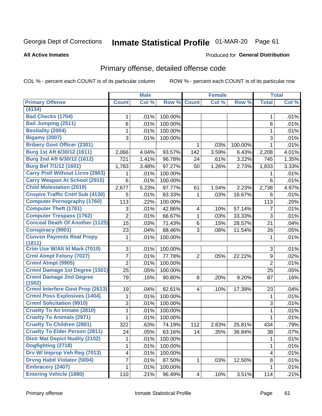# Inmate Statistical Profile 01-MAR-20 Page 61

**All Active Inmates** 

### **Produced for General Distribution**

# Primary offense, detailed offense code

COL % - percent each COUNT is of its particular column

|                                          |                | <b>Male</b> |         |                         | <b>Female</b> |         |                  | <b>Total</b> |
|------------------------------------------|----------------|-------------|---------|-------------------------|---------------|---------|------------------|--------------|
| <b>Primary Offense</b>                   | <b>Count</b>   | Col %       | Row %   | <b>Count</b>            | Col%          | Row %   | <b>Total</b>     | Col %        |
| (4134)                                   |                |             |         |                         |               |         |                  |              |
| <b>Bad Checks (1704)</b>                 | 1              | .01%        | 100.00% |                         |               |         | 1                | .01%         |
| <b>Bail Jumping (2511)</b>               | 6              | .01%        | 100.00% |                         |               |         | 6                | .01%         |
| <b>Bestiality (2004)</b>                 | 1              | .01%        | 100.00% |                         |               |         | 1                | .01%         |
| <b>Bigamy (2007)</b>                     | 3              | .01%        | 100.00% |                         |               |         | 3                | .01%         |
| <b>Bribery Govt Officer (2301)</b>       |                |             |         | 1                       | .03%          | 100.00% | 1                | .01%         |
| Burg 1st Aft 6/30/12 (1611)              | 2,066          | 4.04%       | 93.57%  | 142                     | 3.59%         | 6.43%   | 2,208            | 4.01%        |
| Burg 2nd Aft 6/30/12 (1612)              | 721            | 1.41%       | 96.78%  | 24                      | .61%          | 3.22%   | 745              | 1.35%        |
| <b>Burg Bef 7/1/12 (1601)</b>            | 1,783          | 3.48%       | 97.27%  | 50                      | 1.26%         | 2.73%   | 1,833            | 3.33%        |
| <b>Carry Pistl Without Licns (2903)</b>  | 1              | .01%        | 100.00% |                         |               |         |                  | .01%         |
| <b>Carry Weapon At School (2915)</b>     | 6              | .01%        | 100.00% |                         |               |         | 6                | .01%         |
| <b>Child Molestation (2019)</b>          | 2,677          | 5.23%       | 97.77%  | 61                      | 1.54%         | 2.23%   | 2,738            | 4.97%        |
| <b>Cnspire Traffic Cntrl Sub (4130)</b>  | 5              | .01%        | 83.33%  | 1                       | .03%          | 16.67%  | 6                | .01%         |
| <b>Computer Pornography (1760)</b>       | 113            | .22%        | 100.00% |                         |               |         | 113              | .20%         |
| <b>Computer Theft (1761)</b>             | 3              | .01%        | 42.86%  | $\overline{\mathbf{4}}$ | .10%          | 57.14%  | 7                | .01%         |
| <b>Computer Trespass (1762)</b>          | $\overline{2}$ | .01%        | 66.67%  | 1                       | .03%          | 33.33%  | 3                | .01%         |
| <b>Conceal Death Of Another (1125)</b>   | 15             | .03%        | 71.43%  | 6                       | .15%          | 28.57%  | 21               | .04%         |
| <b>Conspiracy (9901)</b>                 | 23             | .04%        | 88.46%  | 3                       | .08%          | 11.54%  | 26               | .05%         |
| <b>Convsn Paymnts Real Propy</b>         | 1              | .01%        | 100.00% |                         |               |         | 1                | .01%         |
| (1811)                                   |                |             |         |                         |               |         |                  |              |
| Crim Use W/Alt Id Mark (7010)            | 3              | .01%        | 100.00% |                         |               |         | 3                | .01%         |
| <b>Crml Atmpt Felony (7027)</b>          | 7              | .01%        | 77.78%  | $\overline{2}$          | .05%          | 22.22%  | $\boldsymbol{9}$ | .02%         |
| <b>Crmnl Atmpt (9905)</b>                | $\overline{2}$ | .01%        | 100.00% |                         |               |         | $\overline{2}$   | .01%         |
| <b>Crmnl Damage 1st Degree (1501)</b>    | 25             | .05%        | 100.00% |                         |               |         | 25               | .05%         |
| <b>Crmnl Damage 2nd Degree</b><br>(1502) | 79             | .15%        | 90.80%  | 8                       | .20%          | 9.20%   | 87               | .16%         |
| <b>Crmnl Interfere Govt Prop (2613)</b>  | 19             | .04%        | 82.61%  | $\overline{4}$          | .10%          | 17.39%  | 23               | .04%         |
| <b>Crmnl Poss Explosives (1404)</b>      | 1              | .01%        | 100.00% |                         |               |         | 1                | .01%         |
| <b>Crmnl Solicitation (9910)</b>         | 3              | .01%        | 100.00% |                         |               |         | 3                | .01%         |
| <b>Cruelty To An Inmate (2810)</b>       | 1              | .01%        | 100.00% |                         |               |         | 1                | .01%         |
| <b>Cruelty To Animals (2971)</b>         | 1              | .01%        | 100.00% |                         |               |         | 1                | .01%         |
| <b>Cruelty To Children (2801)</b>        | 322            | .63%        | 74.19%  | 112                     | 2.83%         | 25.81%  | 434              | .79%         |
| <b>Cruelty To Elder Person (2811)</b>    | 24             | .05%        | 63.16%  | 14                      | .35%          | 36.84%  | 38               | .07%         |
| <b>Distr Mat Depict Nudity (2102)</b>    | 1.             | .01%        | 100.00% |                         |               |         | 1                | .01%         |
| Dogfighting (2718)                       | 1              | .01%        | 100.00% |                         |               |         | 1                | .01%         |
| Drv W/ Improp Veh Reg (7013)             | 4              | .01%        | 100.00% |                         |               |         | 4                | .01%         |
| <b>Drvng Habtl Violator (5004)</b>       | 7              | .01%        | 87.50%  | 1                       | .03%          | 12.50%  | 8                | .01%         |
| <b>Embracery (2407)</b>                  | 1              | .01%        | 100.00% |                         |               |         | $\mathbf 1$      | .01%         |
| <b>Entering Vehicle (1880)</b>           | 110            | .21%        | 96.49%  | 4                       | .10%          | 3.51%   | 114              | .21%         |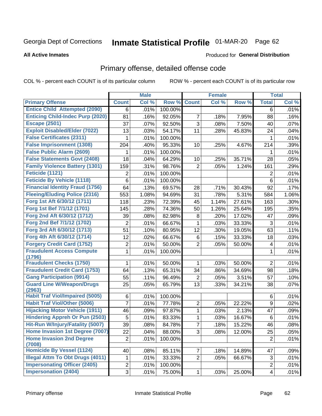# Inmate Statistical Profile 01-MAR-20 Page 62

#### **All Active Inmates**

### **Produced for General Distribution**

# Primary offense, detailed offense code

COL % - percent each COUNT is of its particular column

|                                            |                 | <b>Male</b> |         |                | <b>Female</b> |        |                         | <b>Total</b> |
|--------------------------------------------|-----------------|-------------|---------|----------------|---------------|--------|-------------------------|--------------|
| <b>Primary Offense</b>                     | <b>Count</b>    | Col %       | Row %   | <b>Count</b>   | Col %         | Row %  | <b>Total</b>            | Col %        |
| <b>Entice Child Attempted (2090)</b>       | 6               | .01%        | 100.00% |                |               |        | 6                       | .01%         |
| <b>Enticing Child-Indec Purp (2020)</b>    | 81              | .16%        | 92.05%  | 7              | .18%          | 7.95%  | 88                      | .16%         |
| <b>Escape (2501)</b>                       | 37              | .07%        | 92.50%  | 3              | .08%          | 7.50%  | 40                      | .07%         |
| <b>Exploit Disabled/Elder (7022)</b>       | 13              | .03%        | 54.17%  | 11             | .28%          | 45.83% | 24                      | .04%         |
| <b>False Certificates (2311)</b>           | 1               | .01%        | 100.00% |                |               |        | 1                       | .01%         |
| <b>False Imprisonment (1308)</b>           | 204             | .40%        | 95.33%  | 10             | .25%          | 4.67%  | 214                     | .39%         |
| <b>False Public Alarm (2609)</b>           | 1               | .01%        | 100.00% |                |               |        | 1                       | .01%         |
| <b>False Statements Govt (2408)</b>        | 18              | .04%        | 64.29%  | 10             | .25%          | 35.71% | 28                      | .05%         |
| <b>Family Violence Battery (1301)</b>      | 159             | .31%        | 98.76%  | $\overline{2}$ | .05%          | 1.24%  | 161                     | .29%         |
| Feticide (1121)                            | 2               | .01%        | 100.00% |                |               |        | 2                       | .01%         |
| <b>Feticide By Vehicle (1118)</b>          | 6               | .01%        | 100.00% |                |               |        | 6                       | .01%         |
| <b>Financial Identity Fraud (1756)</b>     | 64              | .13%        | 69.57%  | 28             | .71%          | 30.43% | 92                      | .17%         |
| <b>Fleeing/Eluding Police (2316)</b>       | 553             | 1.08%       | 94.69%  | 31             | .78%          | 5.31%  | 584                     | 1.06%        |
| Forg 1st Aft 6/30/12 (1711)                | 118             | .23%        | 72.39%  | 45             | 1.14%         | 27.61% | 163                     | .30%         |
| Forg 1st Bef 7/1/12 (1701)                 | 145             | .28%        | 74.36%  | 50             | 1.26%         | 25.64% | 195                     | .35%         |
| Forg 2nd Aft 6/30/12 (1712)                | 39              | .08%        | 82.98%  | 8              | .20%          | 17.02% | 47                      | .09%         |
| Forg 2nd Bef 7/1/12 (1702)                 | 2               | .01%        | 66.67%  | 1              | .03%          | 33.33% | 3                       | .01%         |
| Forg 3rd Aft 6/30/12 (1713)                | 51              | .10%        | 80.95%  | 12             | .30%          | 19.05% | 63                      | .11%         |
| Forg 4th Aft 6/30/12 (1714)                | 12              | .02%        | 66.67%  | 6              | .15%          | 33.33% | 18                      | .03%         |
| <b>Forgery Credit Card (1752)</b>          | 2               | .01%        | 50.00%  | $\overline{2}$ | .05%          | 50.00% | 4                       | .01%         |
| <b>Fraudulent Access Compute</b>           | 1               | .01%        | 100.00% |                |               |        | 1                       | .01%         |
| (1796)                                     |                 |             |         |                |               |        |                         |              |
| <b>Fraudulent Checks (1750)</b>            | 1               | .01%        | 50.00%  | 1              | .03%          | 50.00% | $\overline{2}$          | .01%         |
| <b>Fraudulent Credit Card (1753)</b>       | 64              | .13%        | 65.31%  | 34             | .86%          | 34.69% | 98                      | .18%         |
| <b>Gang Participation (9914)</b>           | 55              | .11%        | 96.49%  | 2              | .05%          | 3.51%  | 57                      | .10%         |
| <b>Guard Line W/Weapon/Drugs</b><br>(2963) | 25              | .05%        | 65.79%  | 13             | .33%          | 34.21% | 38                      | .07%         |
| <b>Habit Traf Viol/Impaired (5005)</b>     | 6               | .01%        | 100.00% |                |               |        | 6                       | .01%         |
| <b>Habit Traf Viol/Other (5006)</b>        | 7               | .01%        | 77.78%  | 2              | .05%          | 22.22% | 9                       | .02%         |
| <b>Hijacking Motor Vehicle (1911)</b>      | 46              | .09%        | 97.87%  | 1              | .03%          | 2.13%  | 47                      | .09%         |
| <b>Hindering Appreh Or Pun (2503)</b>      | 5               | .01%        | 83.33%  | 1              | .03%          | 16.67% | 6                       | .01%         |
| Hit-Run W/Injury/Fatality (5007)           | $\overline{39}$ | .08%        | 84.78%  | 7              | .18%          | 15.22% | 46                      | .08%         |
| Home Invasion 1st Degree (7007)            | 22              | .04%        | 88.00%  | 3              | .08%          | 12.00% | 25                      | .05%         |
| <b>Home Invasion 2nd Degree</b><br>(7008)  | $\overline{2}$  | .01%        | 100.00% |                |               |        | $\overline{2}$          | .01%         |
| <b>Homicide By Vessel (1124)</b>           | 40              | .08%        | 85.11%  | $\overline{7}$ | .18%          | 14.89% | 47                      | .09%         |
| <b>Illegal Attm To Obt Drugs (4011)</b>    | 1               | .01%        | 33.33%  | $\overline{2}$ | .05%          | 66.67% | 3                       | .01%         |
| <b>Impersonating Officer (2405)</b>        | $\overline{2}$  | .01%        | 100.00% |                |               |        | $\overline{2}$          | .01%         |
| <b>Impersonation (2404)</b>                | $\overline{3}$  | .01%        | 75.00%  | $\mathbf{1}$   | .03%          | 25.00% | $\overline{\mathbf{4}}$ | .01%         |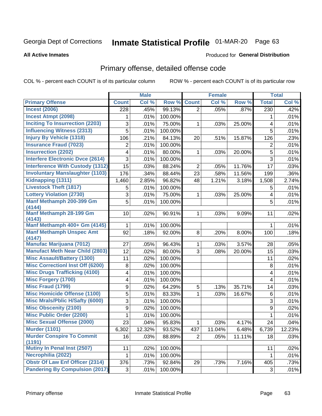# Inmate Statistical Profile 01-MAR-20 Page 63

#### **All Active Inmates**

### **Produced for General Distribution**

# Primary offense, detailed offense code

COL % - percent each COUNT is of its particular column

|                                            |                | <b>Male</b> |         |                | <b>Female</b> |        |                  | <b>Total</b> |
|--------------------------------------------|----------------|-------------|---------|----------------|---------------|--------|------------------|--------------|
| <b>Primary Offense</b>                     | <b>Count</b>   | Col %       | Row %   | <b>Count</b>   | Col %         | Row %  | <b>Total</b>     | Col %        |
| <b>Incest (2006)</b>                       | 228            | .45%        | 99.13%  | $\overline{2}$ | .05%          | .87%   | $\overline{230}$ | .42%         |
| <b>Incest Atmpt (2098)</b>                 | 1              | .01%        | 100.00% |                |               |        | 1                | .01%         |
| <b>Inciting To Insurrection (2203)</b>     | 3              | .01%        | 75.00%  | 1              | .03%          | 25.00% | 4                | .01%         |
| <b>Influencing Witness (2313)</b>          | 5              | .01%        | 100.00% |                |               |        | 5                | .01%         |
| <b>Injury By Vehicle (1318)</b>            | 106            | .21%        | 84.13%  | 20             | .51%          | 15.87% | 126              | .23%         |
| <b>Insurance Fraud (7023)</b>              | 2              | .01%        | 100.00% |                |               |        | 2                | .01%         |
| <b>Insurrection (2202)</b>                 | 4              | .01%        | 80.00%  | 1              | .03%          | 20.00% | 5                | .01%         |
| <b>Interfere Electronic Dvce (2614)</b>    | 3              | .01%        | 100.00% |                |               |        | 3                | .01%         |
| <b>Interference With Custody (1312)</b>    | 15             | .03%        | 88.24%  | $\overline{2}$ | .05%          | 11.76% | 17               | .03%         |
| <b>Involuntary Manslaughter (1103)</b>     | 176            | .34%        | 88.44%  | 23             | .58%          | 11.56% | 199              | .36%         |
| <b>Kidnapping (1311)</b>                   | 1,460          | 2.85%       | 96.82%  | 48             | 1.21%         | 3.18%  | 1,508            | 2.74%        |
| <b>Livestock Theft (1817)</b>              | 5              | .01%        | 100.00% |                |               |        | 5                | .01%         |
| <b>Lottery Violation (2730)</b>            | 3              | .01%        | 75.00%  | $\mathbf{1}$   | .03%          | 25.00% | 4                | .01%         |
| Manf Methamph 200-399 Gm<br>(4144)         | 5              | .01%        | 100.00% |                |               |        | 5                | .01%         |
| <b>Manf Methamph 28-199 Gm</b>             | 10             | .02%        | 90.91%  | $\mathbf 1$    | .03%          | 9.09%  | 11               | .02%         |
| (4143)<br>Manf Methamph 400+ Gm (4145)     | 1              | .01%        | 100.00% |                |               |        | 1                | .01%         |
| <b>Manf Methamph Unspec Amt</b>            | 92             | .18%        | 92.00%  | 8              | .20%          | 8.00%  | 100              | .18%         |
| (4147)                                     |                |             |         |                |               |        |                  |              |
| <b>Manufac Marijuana (7012)</b>            | 27             | .05%        | 96.43%  | 1              | .03%          | 3.57%  | 28               | .05%         |
| <b>Manufact Meth Near Child (2803)</b>     | 12             | .02%        | 80.00%  | 3              | .08%          | 20.00% | 15               | .03%         |
| <b>Misc Assault/Battery (1300)</b>         | 11             | .02%        | 100.00% |                |               |        | 11               | .02%         |
| <b>Misc Correctionl Inst Off (6200)</b>    | 8              | .02%        | 100.00% |                |               |        | 8                | .01%         |
| <b>Misc Drugs Trafficking (4100)</b>       | 4              | .01%        | 100.00% |                |               |        | 4                | .01%         |
| <b>Misc Forgery (1700)</b>                 | 4              | .01%        | 100.00% |                |               |        | 4                | .01%         |
| <b>Misc Fraud (1799)</b>                   | 9              | .02%        | 64.29%  | 5              | .13%          | 35.71% | 14               | .03%         |
| <b>Misc Homicide Offense (1100)</b>        | 5              | .01%        | 83.33%  | 1              | .03%          | 16.67% | $\,6$            | .01%         |
| <b>Misc Mrals/Pblic H/Safty (6000)</b>     | 3              | .01%        | 100.00% |                |               |        | 3                | .01%         |
| <b>Misc Obscenity (2100)</b>               | 9              | .02%        | 100.00% |                |               |        | $\boldsymbol{9}$ | .02%         |
| <b>Misc Public Order (2200)</b>            | $\mathbf{1}$   | .01%        | 100.00% |                |               |        | $\mathbf{1}$     | .01%         |
| <b>Misc Sexual Offense (2000)</b>          | 23             | .04%        | 95.83%  | 1              | .03%          | 4.17%  | 24               | .04%         |
| <b>Murder (1101)</b>                       | 6,302          | 12.32%      | 93.52%  | 437            | 11.04%        | 6.48%  | 6,739            | 12.23%       |
| <b>Murder Conspire To Commit</b><br>(1191) | 16             | .03%        | 88.89%  | $\overline{2}$ | .05%          | 11.11% | 18               | .03%         |
| <b>Mutiny In Penal Inst (2507)</b>         | 11             | .02%        | 100.00% |                |               |        | 11               | .02%         |
| Necrophilia (2022)                         | 1              | .01%        | 100.00% |                |               |        | 1                | .01%         |
| <b>Obstr Of Law Enf Officer (2314)</b>     | 376            | .73%        | 92.84%  | 29             | .73%          | 7.16%  | 405              | .73%         |
| <b>Pandering By Compulsion (2017)</b>      | 3 <sup>1</sup> | .01%        | 100.00% |                |               |        | 3                | .01%         |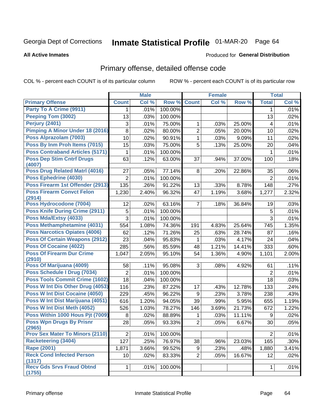# Inmate Statistical Profile 01-MAR-20 Page 64

**All Active Inmates** 

### **Produced for General Distribution**

### Primary offense, detailed offense code

COL % - percent each COUNT is of its particular column

|                                            |                | <b>Male</b> |                  |                | <b>Female</b> |        |                | <b>Total</b> |
|--------------------------------------------|----------------|-------------|------------------|----------------|---------------|--------|----------------|--------------|
| <b>Primary Offense</b>                     | <b>Count</b>   | Col %       | Row %            | <b>Count</b>   | Col %         | Row %  | <b>Total</b>   | Col %        |
| Party To A Crime (9911)                    | 1              | .01%        | 100.00%          |                |               |        | 1              | .01%         |
| Peeping Tom (3002)                         | 13             | .03%        | 100.00%          |                |               |        | 13             | .02%         |
| Perjury (2401)                             | 3              | .01%        | 75.00%           | 1              | .03%          | 25.00% | 4              | .01%         |
| <b>Pimping A Minor Under 18 (2016)</b>     | 8              | .02%        | 80.00%           | $\overline{2}$ | .05%          | 20.00% | 10             | .02%         |
| Poss Alprazolam (7003)                     | 10             | .02%        | 90.91%           | $\mathbf{1}$   | .03%          | 9.09%  | 11             | .02%         |
| Poss By Inm Proh Items (7015)              | 15             | .03%        | 75.00%           | 5              | .13%          | 25.00% | 20             | .04%         |
| <b>Poss Contraband Articles (5171)</b>     | 1              | .01%        | 100.00%          |                |               |        | 1              | .01%         |
| <b>Poss Dep Stim Cntrf Drugs</b><br>(4007) | 63             | .12%        | 63.00%           | 37             | .94%          | 37.00% | 100            | .18%         |
| <b>Poss Drug Related Matri (4016)</b>      | 27             | .05%        | 77.14%           | 8              | .20%          | 22.86% | 35             | .06%         |
| Poss Ephedrine (4030)                      | $\overline{2}$ | .01%        | 100.00%          |                |               |        | $\overline{2}$ | .01%         |
| Poss Firearm 1st Offender (2913)           | 135            | .26%        | 91.22%           | 13             | .33%          | 8.78%  | 148            | .27%         |
| <b>Poss Firearm Convct Felon</b><br>(2914) | 1,230          | 2.40%       | 96.32%           | 47             | 1.19%         | 3.68%  | 1,277          | 2.32%        |
| Poss Hydrocodone (7004)                    | 12             | .02%        | 63.16%           | $\overline{7}$ | .18%          | 36.84% | 19             | .03%         |
| Poss Knife During Crime (2911)             | 5              | .01%        | 100.00%          |                |               |        | 5              | .01%         |
| Poss Mda/Extsy (4033)                      | 3              | .01%        | 100.00%          |                |               |        | 3              | .01%         |
| Poss Methamphetamine (4031)                | 554            | 1.08%       | 74.36%           | 191            | 4.83%         | 25.64% | 745            | 1.35%        |
| <b>Poss Narcotics Opiates (4006)</b>       | 62             | .12%        | 71.26%           | 25             | .63%          | 28.74% | 87             | .16%         |
| <b>Poss Of Certain Weapons (2912)</b>      | 23             | .04%        | 95.83%           | 1              | .03%          | 4.17%  | 24             | .04%         |
| <b>Poss Of Cocaine (4022)</b>              | 285            | .56%        | 85.59%           | 48             | 1.21%         | 14.41% | 333            | .60%         |
| <b>Poss Of Firearm Dur Crime</b>           | 1,047          | 2.05%       | 95.10%           | 54             | 1.36%         | 4.90%  | 1,101          | 2.00%        |
| (2910)<br>Poss Of Marijuana (4009)         |                |             |                  | 3              |               |        |                |              |
| Poss Schedule I Drug (7034)                | 58             | .11%        | 95.08%           |                | .08%          | 4.92%  | 61             | .11%         |
| <b>Poss Tools Commit Crime (1602)</b>      | $\overline{2}$ | .01%        | 100.00%          |                |               |        | $\overline{2}$ | .01%         |
| Poss W Int Dis Other Drug (4053)           | 18             | .04%        | 100.00%          |                |               |        | 18             | .03%         |
| <b>Poss W Int Dist Cocaine (4050)</b>      | 116            | .23%        | 87.22%           | 17             | .43%          | 12.78% | 133            | .24%         |
| Poss W Int Dist Marijuana (4051)           | 229            | .45%        | 96.22%<br>94.05% | 9              | .23%          | 3.78%  | 238            | .43%         |
| Poss W Int Dist Meth (4052)                | 616            | 1.20%       |                  | 39             | .99%          | 5.95%  | 655            | 1.19%        |
| Poss Within 1000 Hous Pjt (7009)           | 526            | 1.03%       | 78.27%           | 146            | 3.69%         | 21.73% | 672            | 1.22%        |
| <b>Poss Wpn Drugs By Prisnr</b>            | 8              | .02%        | 88.89%           | 1              | .03%          | 11.11% | 9              | .02%         |
| (2965)                                     | 28             | .05%        | 93.33%           | $\overline{2}$ | .05%          | 6.67%  | 30             | .05%         |
| <b>Prov Sex Mater To Minors (2110)</b>     | $\overline{2}$ | .01%        | 100.00%          |                |               |        | $\overline{2}$ | .01%         |
| <b>Racketeering (3404)</b>                 | 127            | .25%        | 76.97%           | 38             | .96%          | 23.03% | 165            | .30%         |
| <b>Rape (2001)</b>                         | 1,871          | 3.66%       | 99.52%           | 9              | .23%          | .48%   | 1,880          | 3.41%        |
| <b>Reck Cond Infected Person</b>           | 10             | .02%        | 83.33%           | $\overline{2}$ | .05%          | 16.67% | 12             | .02%         |
| (1317)<br><b>Recv Gds Srvs Fraud Obtnd</b> |                | .01%        | 100.00%          |                |               |        |                | .01%         |
| (1755)                                     | 1              |             |                  |                |               |        | 1              |              |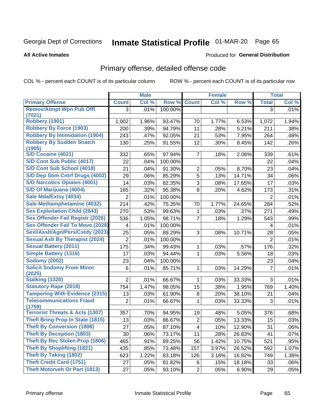# Inmate Statistical Profile 01-MAR-20 Page 65

**All Active Inmates** 

### **Produced for General Distribution**

### Primary offense, detailed offense code

COL % - percent each COUNT is of its particular column

|                                            |                | <b>Male</b> |         |                | <b>Female</b> |        |                | <b>Total</b> |
|--------------------------------------------|----------------|-------------|---------|----------------|---------------|--------|----------------|--------------|
| <b>Primary Offense</b>                     | <b>Count</b>   | Col %       | Row %   | <b>Count</b>   | Col %         | Row %  | <b>Total</b>   | Col %        |
| <b>Remov/Atmpt Wpn Pub Offl</b>            | 3              | .01%        | 100.00% |                |               |        | 3              | .01%         |
| (7021)                                     |                |             |         |                |               |        |                |              |
| Robbery (1901)                             | 1,002          | 1.96%       | 93.47%  | 70             | 1.77%         | 6.53%  | 1,072          | 1.94%        |
| <b>Robbery By Force (1903)</b>             | 200            | .39%        | 94.79%  | 11             | .28%          | 5.21%  | 211            | .38%         |
| <b>Robbery By Intimidation (1904)</b>      | 243            | .47%        | 92.05%  | 21             | .53%          | 7.95%  | 264            | .48%         |
| <b>Robbery By Sudden Snatch</b><br>(1905)  | 130            | .25%        | 91.55%  | 12             | .30%          | 8.45%  | 142            | .26%         |
| S/D Cocaine (4021)                         | 332            | .65%        | 97.94%  | $\overline{7}$ | .18%          | 2.06%  | 339            | .61%         |
| S/D Cont Sub Public (4017)                 | 22             | .04%        | 100.00% |                |               |        | 22             | .04%         |
| S/D Cont Sub School (4018)                 | 21             | .04%        | 91.30%  | $\overline{2}$ | .05%          | 8.70%  | 23             | .04%         |
| S/D Dep Stim Cntrf Drugs (4002)            | 29             | .06%        | 85.29%  | $\overline{5}$ | .13%          | 14.71% | 34             | .06%         |
| <b>S/D Narcotics Opiates (4001)</b>        | 14             | .03%        | 82.35%  | 3              | .08%          | 17.65% | 17             | .03%         |
| S/D Of Marijuana (4004)                    | 165            | .32%        | 95.38%  | 8              | .20%          | 4.62%  | 173            | .31%         |
| Sale Mda/Extsy (4034)                      | $\overline{2}$ | .01%        | 100.00% |                |               |        | 2              | .01%         |
| Sale Methamphetamine (4032)                | 214            | .42%        | 75.35%  | 70             | 1.77%         | 24.65% | 284            | .52%         |
| <b>Sex Exploitation Child (2843)</b>       | 270            | .53%        | 99.63%  | 1              | .03%          | .37%   | 271            | .49%         |
| <b>Sex Offender Fail Registr (2026)</b>    | 536            | 1.05%       | 98.71%  | $\overline{7}$ | .18%          | 1.29%  | 543            | .99%         |
| <b>Sex Offender Fail To Move (2028)</b>    | 4              | .01%        | 100.00% |                |               |        | 4              | .01%         |
| Sexl/Asslt/Agn/Pers/Cstdy (2023)           | 25             | .05%        | 89.29%  | 3              | .08%          | 10.71% | 28             | .05%         |
| <b>Sexual Aslt By Therapist (2024)</b>     | $\overline{2}$ | .01%        | 100.00% |                |               |        | $\overline{2}$ | .01%         |
| <b>Sexual Battery (2011)</b>               | 175            | .34%        | 99.43%  | 1              | .03%          | .57%   | 176            | .32%         |
| <b>Simple Battery (1316)</b>               | 17             | .03%        | 94.44%  | 1              | .03%          | 5.56%  | 18             | .03%         |
| <b>Sodomy (2002)</b>                       | 23             | .04%        | 100.00% |                |               |        | 23             | .04%         |
| <b>Solicit Sodomy From Minor</b>           | 6              | .01%        | 85.71%  | 1              | .03%          | 14.29% | $\overline{7}$ | .01%         |
| (2025)                                     |                |             |         |                |               |        |                |              |
| <b>Stalking (1320)</b>                     | $\overline{2}$ | .01%        | 66.67%  | 1              | .03%          | 33.33% | 3              | .01%         |
| <b>Statutory Rape (2018)</b>               | 754            | 1.47%       | 98.05%  | 15             | .38%          | 1.95%  | 769            | 1.40%        |
| <b>Tampering With Evidence (2315)</b>      | 13             | .03%        | 61.90%  | 8              | .20%          | 38.10% | 21             | .04%         |
| <b>Telecommunications Fraud</b><br>(1759)  | $\overline{2}$ | .01%        | 66.67%  | 1              | .03%          | 33.33% | 3              | .01%         |
| <b>Terrorist Threats &amp; Acts (1307)</b> | 357            | .70%        | 94.95%  | 19             | .48%          | 5.05%  | 376            | .68%         |
| <b>Theft Bring Prop In State (1815)</b>    | 13             | .03%        | 86.67%  | $\overline{2}$ | .05%          | 13.33% | 15             | .03%         |
| <b>Theft By Conversion (1808)</b>          | 27             | .05%        | 87.10%  | $\overline{4}$ | .10%          | 12.90% | 31             | .06%         |
| <b>Theft By Deception (1803)</b>           | 30             | .06%        | 73.17%  | 11             | .28%          | 26.83% | 41             | .07%         |
| Theft By Rec Stolen Prop (1806)            | 465            | .91%        | 89.25%  | 56             | 1.42%         | 10.75% | 521            | .95%         |
| <b>Theft By Shoplifting (1821)</b>         | 435            | .85%        | 73.48%  | 157            | 3.97%         | 26.52% | 592            | 1.07%        |
| <b>Theft By Taking (1802)</b>              | 623            | 1.22%       | 83.18%  | 126            | 3.18%         | 16.82% | 749            | 1.36%        |
| <b>Theft Credit Card (1751)</b>            | 27             | .05%        | 81.82%  | 6              | .15%          | 18.18% | 33             | .06%         |
| <b>Theft Motorveh Or Part (1813)</b>       | 27             | .05%        | 93.10%  | $\overline{2}$ | .05%          | 6.90%  | 29             | .05%         |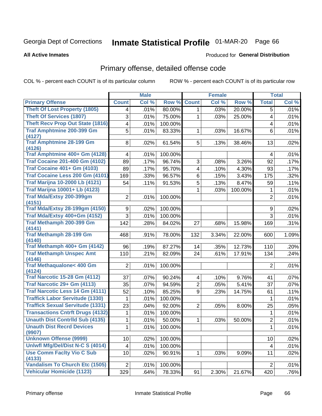# Inmate Statistical Profile 01-MAR-20 Page 66

**All Active Inmates** 

### **Produced for General Distribution**

# Primary offense, detailed offense code

COL % - percent each COUNT is of its particular column

|                                               |                | <b>Male</b> |         |                         | <b>Female</b> |         |                | <b>Total</b> |
|-----------------------------------------------|----------------|-------------|---------|-------------------------|---------------|---------|----------------|--------------|
| <b>Primary Offense</b>                        | <b>Count</b>   | Col %       | Row %   | <b>Count</b>            | Col %         | Row %   | <b>Total</b>   | Col %        |
| <b>Theft Of Lost Property (1805)</b>          | 4              | .01%        | 80.00%  | 1 <sup>1</sup>          | .03%          | 20.00%  | 5              | .01%         |
| <b>Theft Of Services (1807)</b>               | 3              | .01%        | 75.00%  | 1                       | .03%          | 25.00%  | 4              | .01%         |
| <b>Theft Recv Prop Out State (1816)</b>       | 4              | .01%        | 100.00% |                         |               |         | 4              | .01%         |
| <b>Traf Amphtmine 200-399 Gm</b>              | 5              | .01%        | 83.33%  | $\mathbf{1}$            | .03%          | 16.67%  | 6              | .01%         |
| (4127)                                        |                |             |         |                         |               |         |                |              |
| <b>Traf Amphtmine 28-199 Gm</b><br>(4126)     | 8              | .02%        | 61.54%  | 5 <sup>1</sup>          | .13%          | 38.46%  | 13             | .02%         |
| Traf Amphtmine 400+ Gm (4128)                 | 4              | .01%        | 100.00% |                         |               |         | 4              | .01%         |
| <b>Traf Cocaine 201-400 Gm (4102)</b>         | 89             | .17%        | 96.74%  | 3                       | .08%          | 3.26%   | 92             | .17%         |
| <b>Traf Cocaine 401+ Gm (4103)</b>            | 89             | .17%        | 95.70%  | $\overline{\mathbf{4}}$ | .10%          | 4.30%   | 93             | .17%         |
| Traf Cocaine Less 200 Gm (4101)               | 169            | .33%        | 96.57%  | 6                       | .15%          | 3.43%   | 175            | .32%         |
| <b>Traf Marijna 10-2000 Lb (4121)</b>         | 54             | .11%        | 91.53%  | 5                       | .13%          | 8.47%   | 59             | .11%         |
| <b>Traf Marijna 10001+ Lb (4123)</b>          |                |             |         | 1                       | .03%          | 100.00% | 1              | .01%         |
| Traf Mda/Extsy 200-399gm                      | 2              | .01%        | 100.00% |                         |               |         | $\overline{2}$ | .01%         |
| (4151)                                        |                |             |         |                         |               |         |                |              |
| <b>Traf Mda/Extsy 28-199gm (4150)</b>         | 9              | .02%        | 100.00% |                         |               |         | 9              | .02%         |
| Traf Mda/Extsy 400+Gm (4152)                  | 3              | .01%        | 100.00% |                         |               |         | 3              | .01%         |
| Traf Methamph 200-399 Gm<br>(4141)            | 142            | .28%        | 84.02%  | 27                      | .68%          | 15.98%  | 169            | .31%         |
| <b>Traf Methamph 28-199 Gm</b>                | 468            | .91%        | 78.00%  | 132                     | 3.34%         | 22.00%  | 600            | 1.09%        |
| (4140)                                        |                |             |         |                         |               |         |                |              |
| Traf Methamph 400+ Gm (4142)                  | 96             | .19%        | 87.27%  | 14                      | .35%          | 12.73%  | 110            | .20%         |
| <b>Traf Methamph Unspec Amt</b><br>(4146)     | 110            | .21%        | 82.09%  | 24                      | .61%          | 17.91%  | 134            | .24%         |
| <b>Traf Methaqualone&lt; 400 Gm</b><br>(4124) | $\overline{2}$ | .01%        | 100.00% |                         |               |         | $\overline{2}$ | .01%         |
| <b>Traf Narcotic 15-28 Gm (4112)</b>          | 37             | .07%        | 90.24%  | 4                       | .10%          | 9.76%   | 41             | .07%         |
| Traf Narcotic 29+ Gm (4113)                   | 35             | .07%        | 94.59%  | $\overline{2}$          | .05%          | 5.41%   | 37             | .07%         |
| <b>Traf Narcotic Less 14 Gm (4111)</b>        | 52             | .10%        | 85.25%  | 9                       | .23%          | 14.75%  | 61             | .11%         |
| <b>Traffick Labor Servitude (1330)</b>        | 1              | .01%        | 100.00% |                         |               |         | 1              | .01%         |
| <b>Traffick Sexual Servitude (1331)</b>       | 23             | .04%        | 92.00%  | $\overline{2}$          | .05%          | 8.00%   | 25             | .05%         |
| <b>Transactions Cntrft Drugs (4132)</b>       | 1              | .01%        | 100.00% |                         |               |         | 1              | .01%         |
| <b>Unauth Dist Contrild Sub (4135)</b>        | 1              | .01%        | 50.00%  | $\mathbf 1$             | .03%          | 50.00%  | $\overline{2}$ | .01%         |
| <b>Unauth Dist Recrd Devices</b>              | $\mathbf 1$    | .01%        | 100.00% |                         |               |         | $\mathbf{1}$   | .01%         |
| (9907)<br><b>Unknown Offense (9999)</b>       | 10             | .02%        | 100.00% |                         |               |         | 10             | .02%         |
| Uniwfl Mfg/Del/Dist N-C S (4014)              | 4              | .01%        | 100.00% |                         |               |         | 4              | .01%         |
| <b>Use Comm Facity Vio C Sub</b>              | 10             | .02%        | 90.91%  |                         | .03%          | 9.09%   | 11             | .02%         |
| (4133)                                        |                |             |         | 1                       |               |         |                |              |
| <b>Vandalism To Church Etc (1505)</b>         | $\overline{2}$ | .01%        | 100.00% |                         |               |         | $\overline{2}$ | .01%         |
| <b>Vehicular Homicide (1123)</b>              | 329            | .64%        | 78.33%  | 91                      | 2.30%         | 21.67%  | 420            | .76%         |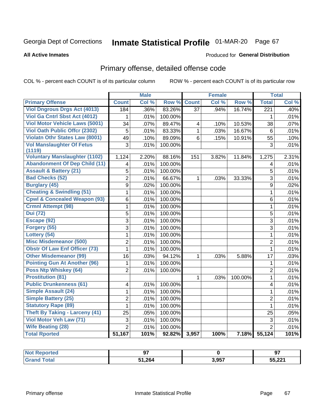# Inmate Statistical Profile 01-MAR-20 Page 67

#### **All Active Inmates**

### **Produced for General Distribution**

# Primary offense, detailed offense code

COL % - percent each COUNT is of its particular column

|                                            |                         | <b>Male</b> |         |                 | <b>Female</b> |         |                  | <b>Total</b> |
|--------------------------------------------|-------------------------|-------------|---------|-----------------|---------------|---------|------------------|--------------|
| <b>Primary Offense</b>                     | <b>Count</b>            | Col %       | Row %   | <b>Count</b>    | Col %         | Row %   | <b>Total</b>     | Col %        |
| <b>Viol Dngrous Drgs Act (4013)</b>        | 184                     | .36%        | 83.26%  | $\overline{37}$ | .94%          | 16.74%  | $\overline{221}$ | .40%         |
| Viol Ga Cntrl Sbst Act (4012)              | 1                       | .01%        | 100.00% |                 |               |         | 1                | .01%         |
| <b>Viol Motor Vehicle Laws (5001)</b>      | 34                      | .07%        | 89.47%  | 4               | .10%          | 10.53%  | 38               | .07%         |
| <b>Viol Oath Public Offcr (2302)</b>       | 5                       | .01%        | 83.33%  | $\mathbf{1}$    | .03%          | 16.67%  | 6                | .01%         |
| <b>Violatn Othr States Law (8001)</b>      | 49                      | .10%        | 89.09%  | 6               | .15%          | 10.91%  | 55               | .10%         |
| <b>Vol Manslaughter Of Fetus</b><br>(1119) | 3                       | .01%        | 100.00% |                 |               |         | $\mathfrak{S}$   | .01%         |
| <b>Voluntary Manslaughter (1102)</b>       | 1,124                   | 2.20%       | 88.16%  | 151             | 3.82%         | 11.84%  | 1,275            | 2.31%        |
| <b>Abandonment Of Dep Child (11)</b>       | $\overline{\mathbf{4}}$ | .01%        | 100.00% |                 |               |         | 4                | .01%         |
| <b>Assault &amp; Battery (21)</b>          | 5                       | .01%        | 100.00% |                 |               |         | 5                | .01%         |
| <b>Bad Checks (52)</b>                     | $\overline{2}$          | .01%        | 66.67%  | 1               | .03%          | 33.33%  | 3                | .01%         |
| <b>Burglary (45)</b>                       | 9                       | .02%        | 100.00% |                 |               |         | 9                | .02%         |
| <b>Cheating &amp; Swindling (51)</b>       | $\mathbf{1}$            | .01%        | 100.00% |                 |               |         | $\mathbf{1}$     | .01%         |
| <b>Cpwl &amp; Concealed Weapon (93)</b>    | 6                       | .01%        | 100.00% |                 |               |         | 6                | .01%         |
| <b>Crmnl Attempt (98)</b>                  | $\mathbf{1}$            | .01%        | 100.00% |                 |               |         | $\mathbf{1}$     | .01%         |
| <b>Dui</b> (72)                            | $\overline{5}$          | .01%        | 100.00% |                 |               |         | $\overline{5}$   | .01%         |
| Escape (92)                                | $\overline{3}$          | .01%        | 100.00% |                 |               |         | $\overline{3}$   | .01%         |
| Forgery (55)                               | 3                       | .01%        | 100.00% |                 |               |         | 3                | .01%         |
| Lottery (54)                               | 1                       | .01%        | 100.00% |                 |               |         | 1                | .01%         |
| <b>Misc Misdemeanor (500)</b>              | $\overline{2}$          | .01%        | 100.00% |                 |               |         | $\overline{2}$   | .01%         |
| <b>Obstr Of Law Enf Officer (73)</b>       | $\mathbf{1}$            | .01%        | 100.00% |                 |               |         | $\mathbf{1}$     | .01%         |
| <b>Other Misdemeanor (99)</b>              | 16                      | .03%        | 94.12%  | $\mathbf 1$     | .03%          | 5.88%   | 17               | .03%         |
| <b>Pointing Gun At Another (96)</b>        | 1                       | .01%        | 100.00% |                 |               |         | 1                | .01%         |
| Poss Ntp Whiskey (64)                      | $\overline{2}$          | .01%        | 100.00% |                 |               |         | $\overline{2}$   | .01%         |
| <b>Prostitution (81)</b>                   |                         |             |         | 1               | .03%          | 100.00% | 1                | .01%         |
| <b>Public Drunkenness (61)</b>             | 4                       | .01%        | 100.00% |                 |               |         | 4                | .01%         |
| Simple Assault (24)                        | 1                       | .01%        | 100.00% |                 |               |         | $\mathbf{1}$     | .01%         |
| <b>Simple Battery (25)</b>                 | 2                       | .01%        | 100.00% |                 |               |         | $\overline{2}$   | .01%         |
| <b>Statutory Rape (89)</b>                 | 1                       | .01%        | 100.00% |                 |               |         | 1                | .01%         |
| <b>Theft By Taking - Larceny (41)</b>      | 25                      | .05%        | 100.00% |                 |               |         | 25               | .05%         |
| Viol Motor Veh Law (71)                    | 3                       | .01%        | 100.00% |                 |               |         | $\mathbf{3}$     | .01%         |
| <b>Wife Beating (28)</b>                   | $\overline{2}$          | .01%        | 100.00% |                 |               |         | $\overline{2}$   | .01%         |
| <b>Total Rported</b>                       | 51,167                  | 101%        | 92.82%  | 3,957           | 100%          | 7.18%   | 55,124           | 101%         |

| NOT<br>pried<br>. | $-$  |       | 97                       |
|-------------------|------|-------|--------------------------|
|                   | .264 | 3,957 | <b>55 221</b><br>JJ,ZZ I |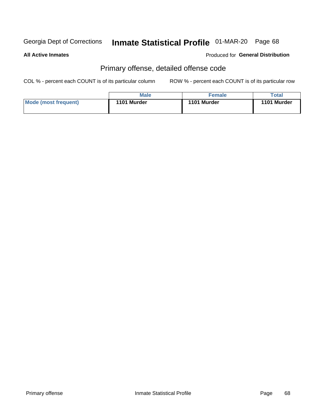# Inmate Statistical Profile 01-MAR-20 Page 68

**All Active Inmates** 

**Produced for General Distribution** 

# Primary offense, detailed offense code

COL % - percent each COUNT is of its particular column

|                      | Male        | <b>Female</b> | Total       |
|----------------------|-------------|---------------|-------------|
| Mode (most frequent) | 1101 Murder | 1101 Murder   | 1101 Murder |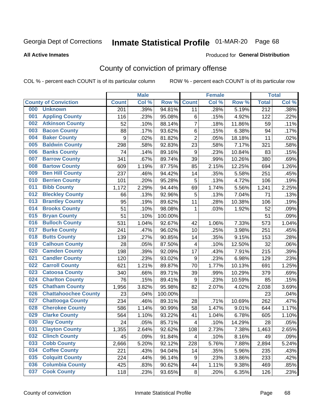# Inmate Statistical Profile 01-MAR-20 Page 68

**Produced for General Distribution** 

#### **All Active Inmates**

# County of conviction of primary offense

COL % - percent each COUNT is of its particular column

|                                |                             |                  | <b>Male</b> |         |                         | <b>Female</b> |        |                  | <b>Total</b> |
|--------------------------------|-----------------------------|------------------|-------------|---------|-------------------------|---------------|--------|------------------|--------------|
| <b>County of Conviction</b>    |                             | <b>Count</b>     | Col %       | Row %   | <b>Count</b>            | Col %         | Row %  | <b>Total</b>     | Col %        |
| <b>Unknown</b><br>000          |                             | 201              | .39%        | 94.81%  | 11                      | .28%          | 5.19%  | $\overline{212}$ | .38%         |
| <b>Appling County</b><br>001   |                             | 116              | .23%        | 95.08%  | 6                       | .15%          | 4.92%  | 122              | .22%         |
| <b>Atkinson County</b><br>002  |                             | 52               | .10%        | 88.14%  | $\overline{7}$          | .18%          | 11.86% | 59               | .11%         |
| <b>Bacon County</b><br>003     |                             | 88               | .17%        | 93.62%  | 6                       | .15%          | 6.38%  | 94               | .17%         |
| 004<br><b>Baker County</b>     |                             | $\boldsymbol{9}$ | .02%        | 81.82%  | $\overline{2}$          | .05%          | 18.18% | 11               | .02%         |
| 005<br><b>Baldwin County</b>   |                             | 298              | .58%        | 92.83%  | 23                      | .58%          | 7.17%  | 321              | .58%         |
| <b>Banks County</b><br>006     |                             | 74               | .14%        | 89.16%  | 9                       | .23%          | 10.84% | 83               | .15%         |
| <b>Barrow County</b><br>007    |                             | 341              | .67%        | 89.74%  | 39                      | .99%          | 10.26% | 380              | .69%         |
| <b>Bartow County</b><br>008    |                             | 609              | 1.19%       | 87.75%  | 85                      | 2.15%         | 12.25% | 694              | 1.26%        |
| <b>Ben Hill County</b><br>009  |                             | 237              | .46%        | 94.42%  | 14                      | .35%          | 5.58%  | 251              | .45%         |
| <b>Berrien County</b><br>010   |                             | 101              | .20%        | 95.28%  | $\mathbf 5$             | .13%          | 4.72%  | 106              | .19%         |
| <b>Bibb County</b><br>011      |                             | 1,172            | 2.29%       | 94.44%  | 69                      | 1.74%         | 5.56%  | 1,241            | 2.25%        |
| <b>Bleckley County</b><br>012  |                             | 66               | .13%        | 92.96%  | 5                       | .13%          | 7.04%  | 71               | .13%         |
| <b>Brantley County</b><br>013  |                             | 95               | .19%        | 89.62%  | 11                      | .28%          | 10.38% | 106              | .19%         |
| <b>Brooks County</b><br>014    |                             | 51               | .10%        | 98.08%  | 1                       | .03%          | 1.92%  | 52               | .09%         |
| <b>Bryan County</b><br>015     |                             | 51               | .10%        | 100.00% |                         |               |        | 51               | .09%         |
| <b>Bulloch County</b><br>016   |                             | 531              | 1.04%       | 92.67%  | 42                      | 1.06%         | 7.33%  | 573              | 1.04%        |
| <b>Burke County</b><br>017     |                             | 241              | .47%        | 96.02%  | 10                      | .25%          | 3.98%  | 251              | .45%         |
| <b>Butts County</b><br>018     |                             | 139              | .27%        | 90.85%  | 14                      | .35%          | 9.15%  | 153              | .28%         |
| <b>Calhoun County</b><br>019   |                             | 28               | .05%        | 87.50%  | $\overline{\mathbf{4}}$ | .10%          | 12.50% | 32               | .06%         |
| <b>Camden County</b><br>020    |                             | 198              | .39%        | 92.09%  | 17                      | .43%          | 7.91%  | 215              | .39%         |
| <b>Candler County</b><br>021   |                             | 120              | .23%        | 93.02%  | $\boldsymbol{9}$        | .23%          | 6.98%  | 129              | .23%         |
| <b>Carroll County</b><br>022   |                             | 621              | 1.21%       | 89.87%  | 70                      | 1.77%         | 10.13% | 691              | 1.25%        |
| <b>Catoosa County</b><br>023   |                             | 340              | .66%        | 89.71%  | 39                      | .99%          | 10.29% | 379              | .69%         |
| <b>Charlton County</b><br>024  |                             | 76               | .15%        | 89.41%  | 9                       | .23%          | 10.59% | 85               | .15%         |
| <b>Chatham County</b><br>025   |                             | 1,956            | 3.82%       | 95.98%  | 82                      | 2.07%         | 4.02%  | 2,038            | 3.69%        |
| 026                            | <b>Chattahoochee County</b> | 23               | .04%        | 100.00% |                         |               |        | 23               | .04%         |
| <b>Chattooga County</b><br>027 |                             | 234              | .46%        | 89.31%  | 28                      | .71%          | 10.69% | 262              | .47%         |
| <b>Cherokee County</b><br>028  |                             | 586              | 1.14%       | 90.99%  | 58                      | 1.47%         | 9.01%  | 644              | 1.17%        |
| <b>Clarke County</b><br>029    |                             | 564              | 1.10%       | 93.22%  | 41                      | 1.04%         | 6.78%  | 605              | 1.10%        |
| <b>Clay County</b><br>030      |                             | 24               | .05%        | 85.71%  | $\overline{\mathbf{4}}$ | .10%          | 14.29% | 28               | .05%         |
| 031<br><b>Clayton County</b>   |                             | 1,355            | 2.64%       | 92.62%  | 108                     | 2.73%         | 7.38%  | 1,463            | 2.65%        |
| <b>Clinch County</b><br>032    |                             | 45               | .09%        | 91.84%  | 4                       | .10%          | 8.16%  | 49               | .09%         |
| <b>Cobb County</b><br>033      |                             | 2,666            | 5.20%       | 92.12%  | 228                     | 5.76%         | 7.88%  | 2,894            | 5.24%        |
| <b>Coffee County</b><br>034    |                             | 221              | .43%        | 94.04%  | 14                      | .35%          | 5.96%  | 235              | .43%         |
| <b>Colquitt County</b><br>035  |                             | 224              | .44%        | 96.14%  | 9                       | .23%          | 3.86%  | 233              | .42%         |
| <b>Columbia County</b><br>036  |                             | 425              | .83%        | 90.62%  | 44                      | 1.11%         | 9.38%  | 469              | .85%         |
| <b>Cook County</b><br>037      |                             | 118              | .23%        | 93.65%  | 8                       | .20%          | 6.35%  | 126              | .23%         |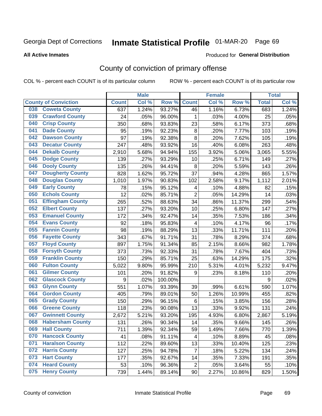# Inmate Statistical Profile 01-MAR-20 Page 69

**Produced for General Distribution** 

#### **All Active Inmates**

# County of conviction of primary offense

COL % - percent each COUNT is of its particular column

|                                |              | <b>Male</b> |         |                | <b>Female</b> |        |              | <b>Total</b> |
|--------------------------------|--------------|-------------|---------|----------------|---------------|--------|--------------|--------------|
| <b>County of Conviction</b>    | <b>Count</b> | Col %       | Row %   | <b>Count</b>   | Col%          | Row %  | <b>Total</b> | Col %        |
| <b>Coweta County</b><br>038    | 637          | 1.24%       | 93.27%  | 46             | 1.16%         | 6.73%  | 683          | 1.24%        |
| <b>Crawford County</b><br>039  | 24           | .05%        | 96.00%  | 1              | .03%          | 4.00%  | 25           | .05%         |
| <b>Crisp County</b><br>040     | 350          | .68%        | 93.83%  | 23             | .58%          | 6.17%  | 373          | .68%         |
| <b>Dade County</b><br>041      | 95           | .19%        | 92.23%  | $\, 8$         | .20%          | 7.77%  | 103          | .19%         |
| 042<br><b>Dawson County</b>    | 97           | .19%        | 92.38%  | 8              | .20%          | 7.62%  | 105          | .19%         |
| <b>Decatur County</b><br>043   | 247          | .48%        | 93.92%  | 16             | .40%          | 6.08%  | 263          | .48%         |
| <b>Dekalb County</b><br>044    | 2,910        | 5.68%       | 94.94%  | 155            | 3.92%         | 5.06%  | 3,065        | 5.55%        |
| <b>Dodge County</b><br>045     | 139          | .27%        | 93.29%  | 10             | .25%          | 6.71%  | 149          | .27%         |
| <b>Dooly County</b><br>046     | 135          | .26%        | 94.41%  | 8              | .20%          | 5.59%  | 143          | .26%         |
| 047<br><b>Dougherty County</b> | 828          | 1.62%       | 95.72%  | 37             | .94%          | 4.28%  | 865          | 1.57%        |
| <b>Douglas County</b><br>048   | 1,010        | 1.97%       | 90.83%  | 102            | 2.58%         | 9.17%  | 1,112        | 2.01%        |
| <b>Early County</b><br>049     | 78           | .15%        | 95.12%  | 4              | .10%          | 4.88%  | 82           | .15%         |
| <b>Echols County</b><br>050    | 12           | .02%        | 85.71%  | $\overline{2}$ | .05%          | 14.29% | 14           | .03%         |
| 051<br><b>Effingham County</b> | 265          | .52%        | 88.63%  | 34             | .86%          | 11.37% | 299          | .54%         |
| 052<br><b>Elbert County</b>    | 137          | .27%        | 93.20%  | 10             | .25%          | 6.80%  | 147          | .27%         |
| <b>Emanuel County</b><br>053   | 172          | .34%        | 92.47%  | 14             | .35%          | 7.53%  | 186          | .34%         |
| 054<br><b>Evans County</b>     | 92           | .18%        | 95.83%  | 4              | .10%          | 4.17%  | 96           | .17%         |
| <b>Fannin County</b><br>055    | 98           | .19%        | 88.29%  | 13             | .33%          | 11.71% | 111          | .20%         |
| <b>Fayette County</b><br>056   | 343          | .67%        | 91.71%  | 31             | .78%          | 8.29%  | 374          | .68%         |
| <b>Floyd County</b><br>057     | 897          | 1.75%       | 91.34%  | 85             | 2.15%         | 8.66%  | 982          | 1.78%        |
| <b>Forsyth County</b><br>058   | 373          | .73%        | 92.33%  | 31             | .78%          | 7.67%  | 404          | .73%         |
| <b>Franklin County</b><br>059  | 150          | .29%        | 85.71%  | 25             | .63%          | 14.29% | 175          | .32%         |
| <b>Fulton County</b><br>060    | 5,022        | 9.80%       | 95.99%  | 210            | 5.31%         | 4.01%  | 5,232        | 9.47%        |
| <b>Gilmer County</b><br>061    | 101          | .20%        | 91.82%  | 9              | .23%          | 8.18%  | 110          | .20%         |
| 062<br><b>Glascock County</b>  | 9            | .02%        | 100.00% |                |               |        | 9            | .02%         |
| <b>Glynn County</b><br>063     | 551          | 1.07%       | 93.39%  | 39             | .99%          | 6.61%  | 590          | 1.07%        |
| <b>Gordon County</b><br>064    | 405          | .79%        | 89.01%  | 50             | 1.26%         | 10.99% | 455          | .82%         |
| <b>Grady County</b><br>065     | 150          | .29%        | 96.15%  | 6              | .15%          | 3.85%  | 156          | .28%         |
| <b>Greene County</b><br>066    | 118          | .23%        | 90.08%  | 13             | .33%          | 9.92%  | 131          | .24%         |
| <b>Gwinnett County</b><br>067  | 2,672        | 5.21%       | 93.20%  | 195            | 4.93%         | 6.80%  | 2,867        | 5.19%        |
| <b>Habersham County</b><br>068 | 131          | .26%        | 90.34%  | 14             | .35%          | 9.66%  | 145          | .26%         |
| 069<br><b>Hall County</b>      | 711          | 1.39%       | 92.34%  | 59             | 1.49%         | 7.66%  | 770          | 1.39%        |
| <b>Hancock County</b><br>070   | 41           | .08%        | 91.11%  | 4              | .10%          | 8.89%  | 45           | .08%         |
| <b>Haralson County</b><br>071  | 112          | .22%        | 89.60%  | 13             | .33%          | 10.40% | 125          | .23%         |
| 072<br><b>Harris County</b>    | 127          | .25%        | 94.78%  | $\overline{7}$ | .18%          | 5.22%  | 134          | .24%         |
| <b>Hart County</b><br>073      | 177          | .35%        | 92.67%  | 14             | .35%          | 7.33%  | 191          | .35%         |
| <b>Heard County</b><br>074     | 53           | .10%        | 96.36%  | $\overline{2}$ | .05%          | 3.64%  | 55           | .10%         |
| <b>Henry County</b><br>075     | 739          | 1.44%       | 89.14%  | 90             | 2.27%         | 10.86% | 829          | 1.50%        |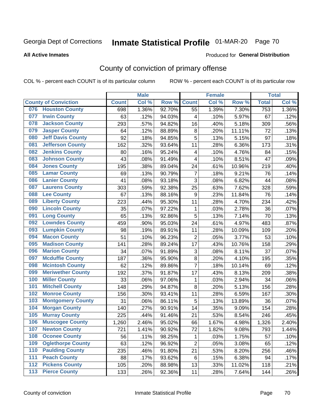# Inmate Statistical Profile 01-MAR-20 Page 70

#### **All Active Inmates**

### **Produced for General Distribution**

# County of conviction of primary offense

COL % - percent each COUNT is of its particular column

|                                 |              | <b>Male</b> |        |                           | <b>Female</b> |        |                  | <b>Total</b> |
|---------------------------------|--------------|-------------|--------|---------------------------|---------------|--------|------------------|--------------|
| <b>County of Conviction</b>     | <b>Count</b> | Col %       | Row %  | <b>Count</b>              | Col %         | Row %  | <b>Total</b>     | Col %        |
| <b>Houston County</b><br>076    | 698          | 1.36%       | 92.70% | 55                        | 1.39%         | 7.30%  | $\overline{753}$ | 1.36%        |
| <b>Irwin County</b><br>077      | 63           | .12%        | 94.03% | 4                         | .10%          | 5.97%  | 67               | .12%         |
| <b>Jackson County</b><br>078    | 293          | .57%        | 94.82% | 16                        | .40%          | 5.18%  | 309              | .56%         |
| <b>Jasper County</b><br>079     | 64           | .12%        | 88.89% | 8                         | .20%          | 11.11% | 72               | .13%         |
| <b>Jeff Davis County</b><br>080 | 92           | .18%        | 94.85% | 5                         | .13%          | 5.15%  | 97               | .18%         |
| <b>Jefferson County</b><br>081  | 162          | .32%        | 93.64% | 11                        | .28%          | 6.36%  | 173              | .31%         |
| <b>Jenkins County</b><br>082    | 80           | .16%        | 95.24% | $\overline{\mathbf{4}}$   | .10%          | 4.76%  | 84               | .15%         |
| <b>Johnson County</b><br>083    | 43           | .08%        | 91.49% | 4                         | .10%          | 8.51%  | 47               | .09%         |
| <b>Jones County</b><br>084      | 195          | .38%        | 89.04% | 24                        | .61%          | 10.96% | 219              | .40%         |
| <b>Lamar County</b><br>085      | 69           | .13%        | 90.79% | $\overline{7}$            | .18%          | 9.21%  | 76               | .14%         |
| <b>Lanier County</b><br>086     | 41           | .08%        | 93.18% | $\mathbf{3}$              | .08%          | 6.82%  | 44               | .08%         |
| <b>Laurens County</b><br>087    | 303          | .59%        | 92.38% | 25                        | .63%          | 7.62%  | 328              | .59%         |
| <b>Lee County</b><br>088        | 67           | .13%        | 88.16% | $\boldsymbol{9}$          | .23%          | 11.84% | 76               | .14%         |
| <b>Liberty County</b><br>089    | 223          | .44%        | 95.30% | 11                        | .28%          | 4.70%  | 234              | .42%         |
| <b>Lincoln County</b><br>090    | 35           | .07%        | 97.22% | 1                         | .03%          | 2.78%  | 36               | .07%         |
| <b>Long County</b><br>091       | 65           | .13%        | 92.86% | 5                         | .13%          | 7.14%  | 70               | .13%         |
| <b>Lowndes County</b><br>092    | 459          | .90%        | 95.03% | 24                        | .61%          | 4.97%  | 483              | .87%         |
| <b>Lumpkin County</b><br>093    | 98           | .19%        | 89.91% | 11                        | .28%          | 10.09% | 109              | .20%         |
| <b>Macon County</b><br>094      | 51           | .10%        | 96.23% | $\overline{2}$            | .05%          | 3.77%  | 53               | .10%         |
| <b>Madison County</b><br>095    | 141          | .28%        | 89.24% | 17                        | .43%          | 10.76% | 158              | .29%         |
| <b>Marion County</b><br>096     | 34           | .07%        | 91.89% | $\ensuremath{\mathsf{3}}$ | .08%          | 8.11%  | 37               | .07%         |
| <b>Mcduffie County</b><br>097   | 187          | .36%        | 95.90% | 8                         | .20%          | 4.10%  | 195              | .35%         |
| <b>Mcintosh County</b><br>098   | 62           | .12%        | 89.86% | $\overline{7}$            | .18%          | 10.14% | 69               | .12%         |
| <b>Meriwether County</b><br>099 | 192          | .37%        | 91.87% | 17                        | .43%          | 8.13%  | 209              | .38%         |
| 100<br><b>Miller County</b>     | 33           | .06%        | 97.06% | 1                         | .03%          | 2.94%  | 34               | .06%         |
| <b>Mitchell County</b><br>101   | 148          | .29%        | 94.87% | 8                         | .20%          | 5.13%  | 156              | .28%         |
| <b>Monroe County</b><br>102     | 156          | .30%        | 93.41% | 11                        | .28%          | 6.59%  | 167              | .30%         |
| <b>Montgomery County</b><br>103 | 31           | .06%        | 86.11% | 5                         | .13%          | 13.89% | 36               | .07%         |
| <b>Morgan County</b><br>104     | 140          | .27%        | 90.91% | 14                        | .35%          | 9.09%  | 154              | .28%         |
| <b>Murray County</b><br>105     | 225          | .44%        | 91.46% | 21                        | .53%          | 8.54%  | 246              | .45%         |
| 106<br><b>Muscogee County</b>   | 1,260        | 2.46%       | 95.02% | 66                        | 1.67%         | 4.98%  | 1,326            | 2.40%        |
| 107<br><b>Newton County</b>     | 721          | 1.41%       | 90.92% | 72                        | 1.82%         | 9.08%  | 793              | 1.44%        |
| <b>Oconee County</b><br>108     | 56           | .11%        | 98.25% | 1                         | .03%          | 1.75%  | 57               | .10%         |
| <b>Oglethorpe County</b><br>109 | 63           | .12%        | 96.92% | $\overline{c}$            | .05%          | 3.08%  | 65               | .12%         |
| <b>Paulding County</b><br>110   | 235          | .46%        | 91.80% | 21                        | .53%          | 8.20%  | 256              | .46%         |
| <b>Peach County</b><br>111      | 88           | .17%        | 93.62% | 6                         | .15%          | 6.38%  | 94               | .17%         |
| <b>Pickens County</b><br>112    | 105          | .20%        | 88.98% | 13                        | .33%          | 11.02% | 118              | .21%         |
| <b>Pierce County</b><br>113     | 133          | .26%        | 92.36% | 11                        | .28%          | 7.64%  | 144              | .26%         |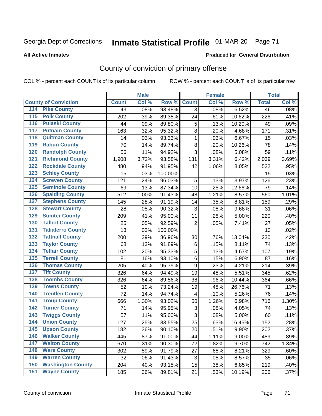# Inmate Statistical Profile 01-MAR-20 Page 71

**All Active Inmates** 

### Produced for General Distribution

# County of conviction of primary offense

COL % - percent each COUNT is of its particular column

|                                          |              | <b>Male</b> |         |                | <b>Female</b> |        |                 | <b>Total</b> |
|------------------------------------------|--------------|-------------|---------|----------------|---------------|--------|-----------------|--------------|
| <b>County of Conviction</b>              | <b>Count</b> | Col %       | Row %   | <b>Count</b>   | Col %         | Row %  | <b>Total</b>    | Col %        |
| <b>Pike County</b><br>114                | 43           | .08%        | 93.48%  | 3              | .08%          | 6.52%  | $\overline{46}$ | .08%         |
| <b>Polk County</b><br>$\overline{115}$   | 202          | .39%        | 89.38%  | 24             | .61%          | 10.62% | 226             | .41%         |
| <b>Pulaski County</b><br>116             | 44           | .09%        | 89.80%  | 5              | .13%          | 10.20% | 49              | .09%         |
| <b>Putnam County</b><br>117              | 163          | .32%        | 95.32%  | 8              | .20%          | 4.68%  | 171             | .31%         |
| <b>Quitman County</b><br>118             | 14           | .03%        | 93.33%  | $\mathbf{1}$   | .03%          | 6.67%  | 15              | .03%         |
| <b>Rabun County</b><br>119               | 70           | .14%        | 89.74%  | $\,8\,$        | .20%          | 10.26% | 78              | .14%         |
| <b>Randolph County</b><br>120            | 56           | .11%        | 94.92%  | 3              | .08%          | 5.08%  | 59              | .11%         |
| <b>Richmond County</b><br>121            | 1,908        | 3.72%       | 93.58%  | 131            | 3.31%         | 6.42%  | 2,039           | 3.69%        |
| <b>Rockdale County</b><br>122            | 480          | .94%        | 91.95%  | 42             | 1.06%         | 8.05%  | 522             | .95%         |
| <b>Schley County</b><br>123              | 15           | .03%        | 100.00% |                |               |        | 15              | .03%         |
| <b>Screven County</b><br>124             | 121          | .24%        | 96.03%  | 5              | .13%          | 3.97%  | 126             | .23%         |
| <b>Seminole County</b><br>125            | 69           | .13%        | 87.34%  | 10             | .25%          | 12.66% | 79              | .14%         |
| <b>Spalding County</b><br>126            | 512          | 1.00%       | 91.43%  | 48             | 1.21%         | 8.57%  | 560             | 1.01%        |
| <b>Stephens County</b><br>127            | 145          | .28%        | 91.19%  | 14             | .35%          | 8.81%  | 159             | .29%         |
| <b>Stewart County</b><br>128             | 28           | .05%        | 90.32%  | 3              | .08%          | 9.68%  | 31              | .06%         |
| <b>Sumter County</b><br>129              | 209          | .41%        | 95.00%  | 11             | .28%          | 5.00%  | 220             | .40%         |
| <b>Talbot County</b><br>130              | 25           | .05%        | 92.59%  | $\overline{2}$ | .05%          | 7.41%  | 27              | .05%         |
| <b>Taliaferro County</b><br>131          | 13           | .03%        | 100.00% |                |               |        | 13              | .02%         |
| <b>Tattnall County</b><br>132            | 200          | .39%        | 86.96%  | 30             | .76%          | 13.04% | 230             | .42%         |
| <b>Taylor County</b><br>133              | 68           | .13%        | 91.89%  | $\,6$          | .15%          | 8.11%  | 74              | .13%         |
| <b>Telfair County</b><br>134             | 102          | .20%        | 95.33%  | 5              | .13%          | 4.67%  | 107             | .19%         |
| <b>Terrell County</b><br>135             | 81           | .16%        | 93.10%  | 6              | .15%          | 6.90%  | 87              | .16%         |
| <b>Thomas County</b><br>136              | 205          | .40%        | 95.79%  | 9              | .23%          | 4.21%  | 214             | .39%         |
| <b>Tift County</b><br>137                | 326          | .64%        | 94.49%  | 19             | .48%          | 5.51%  | 345             | .62%         |
| <b>Toombs County</b><br>138              | 326          | .64%        | 89.56%  | 38             | .96%          | 10.44% | 364             | .66%         |
| <b>Towns County</b><br>139               | 52           | .10%        | 73.24%  | 19             | .48%          | 26.76% | 71              | .13%         |
| <b>Treutlen County</b><br>140            | 72           | .14%        | 94.74%  | 4              | .10%          | 5.26%  | 76              | .14%         |
| <b>Troup County</b><br>141               | 666          | 1.30%       | 93.02%  | 50             | 1.26%         | 6.98%  | 716             | 1.30%        |
| <b>Turner County</b><br>142              | 71           | .14%        | 95.95%  | 3              | .08%          | 4.05%  | 74              | .13%         |
| <b>Twiggs County</b><br>$\overline{143}$ | 57           | .11%        | 95.00%  | 3              | .08%          | 5.00%  | 60              | .11%         |
| <b>Union County</b><br>144               | 127          | .25%        | 83.55%  | 25             | .63%          | 16.45% | 152             | .28%         |
| 145<br><b>Upson County</b>               | 182          | .36%        | 90.10%  | 20             | .51%          | 9.90%  | 202             | .37%         |
| <b>Walker County</b><br>146              | 445          | .87%        | 91.00%  | 44             | 1.11%         | 9.00%  | 489             | .89%         |
| <b>Walton County</b><br>147              | 670          | 1.31%       | 90.30%  | 72             | 1.82%         | 9.70%  | 742             | 1.34%        |
| <b>Ware County</b><br>148                | 302          | .59%        | 91.79%  | 27             | .68%          | 8.21%  | 329             | .60%         |
| <b>Warren County</b><br>149              | 32           | .06%        | 91.43%  | 3              | .08%          | 8.57%  | 35              | .06%         |
| <b>Washington County</b><br>150          | 204          | .40%        | 93.15%  | 15             | .38%          | 6.85%  | 219             | .40%         |
| <b>Wayne County</b><br>151               | 185          | .36%        | 89.81%  | 21             | .53%          | 10.19% | 206             | .37%         |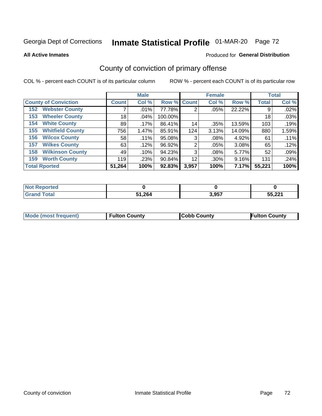# Inmate Statistical Profile 01-MAR-20 Page 72

**All Active Inmates** 

### **Produced for General Distribution**

# County of conviction of primary offense

COL % - percent each COUNT is of its particular column

|                                |                 | <b>Male</b> |             |       | <b>Female</b> |        |              | <b>Total</b> |
|--------------------------------|-----------------|-------------|-------------|-------|---------------|--------|--------------|--------------|
| <b>County of Conviction</b>    | <b>Count</b>    | Col %       | Row % Count |       | Col %         | Row %  | <b>Total</b> | Col %        |
| <b>Webster County</b><br>152   |                 | .01%        | 77.78%      | 2     | .05%          | 22.22% | 9            | .02%         |
| <b>Wheeler County</b><br>153   | 18 <sub>1</sub> | .04%        | 100.00%     |       |               |        | 18           | .03%         |
| <b>White County</b><br>154     | 89              | .17%        | 86.41%      | 14    | .35%          | 13.59% | 103          | .19%         |
| <b>Whitfield County</b><br>155 | 756             | 1.47%       | 85.91%      | 124   | 3.13%         | 14.09% | 880          | 1.59%        |
| <b>Wilcox County</b><br>156    | 58              | .11%        | 95.08%      | 3     | .08%          | 4.92%  | 61           | .11%         |
| <b>Wilkes County</b><br>157    | 63              | .12%        | 96.92%      | 2     | .05%          | 3.08%  | 65           | .12%         |
| <b>Wilkinson County</b><br>158 | 49              | .10%        | 94.23%      | 3     | .08%          | 5.77%  | 52           | .09%         |
| <b>Worth County</b><br>159     | 119             | .23%        | 90.84%      | 12    | .30%          | 9.16%  | 131          | .24%         |
| <b>Total Rported</b>           | 51,264          | 100%        | 92.83%      | 3,957 | 100%          | 7.17%  | 55,221       | 100%         |

| <b>Not Reported</b> |        |       |        |
|---------------------|--------|-------|--------|
| <b>Total</b>        | 51,264 | 3,957 | 55,221 |

| Mode (most frequent) | <b>Fulton County</b> | <b>Cobb County</b> | <b>Fulton County</b> |
|----------------------|----------------------|--------------------|----------------------|
|                      |                      |                    |                      |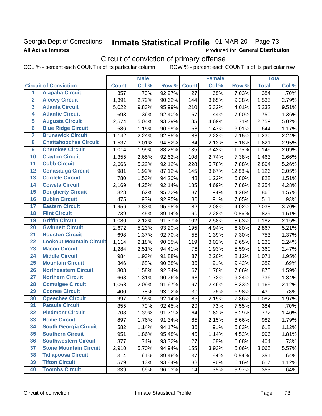## Georgia Dept of Corrections **All Active Inmates**

# Inmate Statistical Profile 01-MAR-20 Page 73

Produced for General Distribution

# Circuit of conviction of primary offense

|                         |                                 |                  | <b>Male</b> |        |                 | <b>Female</b> |        |              | <b>Total</b> |
|-------------------------|---------------------------------|------------------|-------------|--------|-----------------|---------------|--------|--------------|--------------|
|                         | <b>Circuit of Conviction</b>    | <b>Count</b>     | Col %       | Row %  | <b>Count</b>    | Col %         | Row %  | <b>Total</b> | Col %        |
| 1                       | <b>Alapaha Circuit</b>          | $\overline{357}$ | .70%        | 92.97% | $\overline{27}$ | .68%          | 7.03%  | 384          | .70%         |
| $\overline{2}$          | <b>Alcovy Circuit</b>           | 1,391            | 2.72%       | 90.62% | 144             | 3.65%         | 9.38%  | 1,535        | 2.79%        |
| $\overline{\mathbf{3}}$ | <b>Atlanta Circuit</b>          | 5,022            | 9.83%       | 95.99% | 210             | 5.32%         | 4.01%  | 5,232        | 9.51%        |
| 4                       | <b>Atlantic Circuit</b>         | 693              | 1.36%       | 92.40% | 57              | 1.44%         | 7.60%  | 750          | 1.36%        |
| 5                       | <b>Augusta Circuit</b>          | 2,574            | 5.04%       | 93.29% | 185             | 4.69%         | 6.71%  | 2,759        | 5.02%        |
| $\overline{6}$          | <b>Blue Ridge Circuit</b>       | 586              | 1.15%       | 90.99% | 58              | 1.47%         | 9.01%  | 644          | 1.17%        |
| $\overline{\mathbf{7}}$ | <b>Brunswick Circuit</b>        | 1,142            | 2.24%       | 92.85% | 88              | 2.23%         | 7.15%  | 1,230        | 2.24%        |
| $\overline{\mathbf{8}}$ | <b>Chattahoochee Circuit</b>    | 1,537            | 3.01%       | 94.82% | 84              | 2.13%         | 5.18%  | 1,621        | 2.95%        |
| $\overline{9}$          | <b>Cherokee Circuit</b>         | 1,014            | 1.99%       | 88.25% | 135             | 3.42%         | 11.75% | 1,149        | 2.09%        |
| 10                      | <b>Clayton Circuit</b>          | 1,355            | 2.65%       | 92.62% | 108             | 2.74%         | 7.38%  | 1,463        | 2.66%        |
| $\overline{11}$         | <b>Cobb Circuit</b>             | 2,666            | 5.22%       | 92.12% | 228             | 5.78%         | 7.88%  | 2,894        | 5.26%        |
| $\overline{12}$         | <b>Conasauga Circuit</b>        | 981              | 1.92%       | 87.12% | 145             | 3.67%         | 12.88% | 1,126        | 2.05%        |
| 13                      | <b>Cordele Circuit</b>          | 780              | 1.53%       | 94.20% | 48              | 1.22%         | 5.80%  | 828          | 1.51%        |
| 14                      | <b>Coweta Circuit</b>           | 2,169            | 4.25%       | 92.14% | 185             | 4.69%         | 7.86%  | 2,354        | 4.28%        |
| 15                      | <b>Dougherty Circuit</b>        | 828              | 1.62%       | 95.72% | 37              | .94%          | 4.28%  | 865          | 1.57%        |
| 16                      | <b>Dublin Circuit</b>           | 475              | .93%        | 92.95% | 36              | .91%          | 7.05%  | 511          | .93%         |
| 17                      | <b>Eastern Circuit</b>          | 1,956            | 3.83%       | 95.98% | 82              | 2.08%         | 4.02%  | 2,038        | 3.70%        |
| 18                      | <b>Flint Circuit</b>            | 739              | 1.45%       | 89.14% | 90              | 2.28%         | 10.86% | 829          | 1.51%        |
| 19                      | <b>Griffin Circuit</b>          | 1,080            | 2.12%       | 91.37% | 102             | 2.58%         | 8.63%  | 1,182        | 2.15%        |
| 20                      | <b>Gwinnett Circuit</b>         | 2,672            | 5.23%       | 93.20% | 195             | 4.94%         | 6.80%  | 2,867        | 5.21%        |
| $\overline{21}$         | <b>Houston Circuit</b>          | 698              | 1.37%       | 92.70% | 55              | 1.39%         | 7.30%  | 753          | 1.37%        |
| $\overline{22}$         | <b>Lookout Mountain Circuit</b> | 1,114            | 2.18%       | 90.35% | 119             | 3.02%         | 9.65%  | 1,233        | 2.24%        |
| 23                      | <b>Macon Circuit</b>            | 1,284            | 2.51%       | 94.41% | 76              | 1.93%         | 5.59%  | 1,360        | 2.47%        |
| $\overline{24}$         | <b>Middle Circuit</b>           | 984              | 1.93%       | 91.88% | 87              | 2.20%         | 8.12%  | 1,071        | 1.95%        |
| 25                      | <b>Mountain Circuit</b>         | 346              | .68%        | 90.58% | 36              | .91%          | 9.42%  | 382          | .69%         |
| 26                      | <b>Northeastern Circuit</b>     | 808              | 1.58%       | 92.34% | 67              | 1.70%         | 7.66%  | 875          | 1.59%        |
| $\overline{27}$         | <b>Northern Circuit</b>         | 668              | 1.31%       | 90.76% | 68              | 1.72%         | 9.24%  | 736          | 1.34%        |
| 28                      | <b>Ocmulgee Circuit</b>         | 1,068            | 2.09%       | 91.67% | 97              | 2.46%         | 8.33%  | 1,165        | 2.12%        |
| 29                      | <b>Oconee Circuit</b>           | 400              | .78%        | 93.02% | 30              | .76%          | 6.98%  | 430          | .78%         |
| 30                      | <b>Ogeechee Circuit</b>         | 997              | 1.95%       | 92.14% | 85              | 2.15%         | 7.86%  | 1,082        | 1.97%        |
| $\overline{31}$         | <b>Pataula Circuit</b>          | 355              | .70%        | 92.45% | 29              | .73%          | 7.55%  | 384          | .70%         |
| 32                      | <b>Piedmont Circuit</b>         | 708              | 1.39%       | 91.71% | 64              | 1.62%         | 8.29%  | 772          | 1.40%        |
| 33                      | <b>Rome Circuit</b>             | 897              | 1.76%       | 91.34% | 85              | 2.15%         | 8.66%  | 982          | 1.79%        |
| 34                      | <b>South Georgia Circuit</b>    | 582              | 1.14%       | 94.17% | 36              | .91%          | 5.83%  | 618          | 1.12%        |
| 35                      | <b>Southern Circuit</b>         | 951              | 1.86%       | 95.48% | 45              | 1.14%         | 4.52%  | 996          | 1.81%        |
| 36                      | <b>Southwestern Circuit</b>     | 377              | .74%        | 93.32% | 27              | .68%          | 6.68%  | 404          | .73%         |
| 37                      | <b>Stone Mountain Circuit</b>   | 2,910            | 5.70%       | 94.94% | 155             | 3.93%         | 5.06%  | 3,065        | 5.57%        |
| 38                      | <b>Tallapoosa Circuit</b>       | 314              | .61%        | 89.46% | 37              | .94%          | 10.54% | 351          | .64%         |
| 39                      | <b>Tifton Circuit</b>           | 579              | 1.13%       | 93.84% | 38              | .96%          | 6.16%  | 617          | 1.12%        |
| 40                      | <b>Toombs Circuit</b>           | 339              | .66%        | 96.03% | 14              | .35%          | 3.97%  | 353          | .64%         |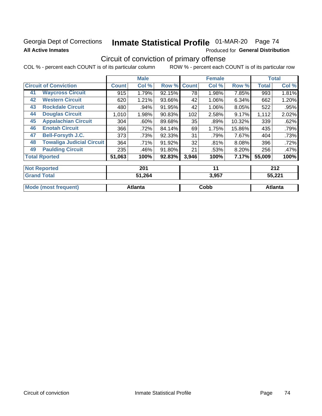## Georgia Dept of Corrections **All Active Inmates**

# Inmate Statistical Profile 01-MAR-20 Page 74

Produced for General Distribution

## Circuit of conviction of primary offense

|    |                                  |              | <b>Male</b> |        |              | <b>Female</b> |        |              | <b>Total</b> |
|----|----------------------------------|--------------|-------------|--------|--------------|---------------|--------|--------------|--------------|
|    | <b>Circuit of Conviction</b>     | <b>Count</b> | Col %       | Row %  | <b>Count</b> | Col %         | Row %  | <b>Total</b> | Col %        |
| 41 | <b>Waycross Circuit</b>          | 915          | 1.79%       | 92.15% | 78           | 1.98%         | 7.85%  | 993          | 1.81%        |
| 42 | <b>Western Circuit</b>           | 620          | 1.21%       | 93.66% | 42           | 1.06%         | 6.34%  | 662          | 1.20%        |
| 43 | <b>Rockdale Circuit</b>          | 480          | .94%        | 91.95% | 42           | 1.06%         | 8.05%  | 522          | .95%         |
| 44 | <b>Douglas Circuit</b>           | 1,010        | 1.98%       | 90.83% | 102          | 2.58%         | 9.17%  | 1,112        | 2.02%        |
| 45 | <b>Appalachian Circuit</b>       | 304          | .60%        | 89.68% | 35           | .89%          | 10.32% | 339          | .62%         |
| 46 | <b>Enotah Circuit</b>            | 366          | .72%        | 84.14% | 69           | 1.75%         | 15.86% | 435          | .79%         |
| 47 | <b>Bell-Forsyth J.C.</b>         | 373          | .73%        | 92.33% | 31           | .79%          | 7.67%  | 404          | .73%         |
| 48 | <b>Towaliga Judicial Circuit</b> | 364          | .71%        | 91.92% | 32           | .81%          | 8.08%  | 396          | .72%         |
| 49 | <b>Paulding Circuit</b>          | 235          | .46%        | 91.80% | 21           | .53%          | 8.20%  | 256          | .47%         |
|    | <b>Total Rported</b>             | 51,063       | 100%        | 92.83% | 3,946        | 100%          | 7.17%  | 55,009       | 100%         |
|    | <b>Not Reported</b>              |              | 201         |        |              | 11            |        |              | 212          |
|    | <b>Grand Total</b>               |              | 51,264      |        |              | 3,957         |        |              | 55,221       |

| $\overline{\mathsf{r}}$ oranu Tutan | +ט∡,ו כ | ו טהיט | JJ.ZZ I |
|-------------------------------------|---------|--------|---------|
| <b>Mode (most frequent)</b>         | Atlanta | Cobb   | Atlanta |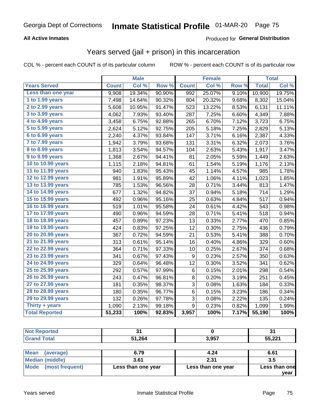#### **All Active Inmates**

#### Produced for **General Distribution**

## Years served (jail + prison) in this incarceration

|                       |              | <b>Male</b> |                  |              | <b>Female</b> |       |              | <b>Total</b> |
|-----------------------|--------------|-------------|------------------|--------------|---------------|-------|--------------|--------------|
| <b>Years Served</b>   | <b>Count</b> | Col %       | Row <sup>%</sup> | <b>Count</b> | Col %         | Row % | <b>Total</b> | Col %        |
| Less than one year    | 9,908        | 19.34%      | 90.90%           | 992          | 25.07%        | 9.10% | 10,900       | 19.75%       |
| 1 to 1.99 years       | 7,498        | 14.64%      | 90.32%           | 804          | 20.32%        | 9.68% | 8,302        | 15.04%       |
| 2 to 2.99 years       | 5,608        | 10.95%      | 91.47%           | 523          | 13.22%        | 8.53% | 6,131        | 11.11%       |
| 3 to 3.99 years       | 4,062        | 7.93%       | 93.40%           | 287          | 7.25%         | 6.60% | 4,349        | 7.88%        |
| 4 to 4.99 years       | 3,458        | 6.75%       | 92.88%           | 265          | 6.70%         | 7.12% | 3,723        | 6.75%        |
| 5 to 5.99 years       | 2,624        | 5.12%       | 92.75%           | 205          | 5.18%         | 7.25% | 2,829        | 5.13%        |
| 6 to 6.99 years       | 2,240        | 4.37%       | 93.84%           | 147          | 3.71%         | 6.16% | 2,387        | 4.33%        |
| 7 to 7.99 years       | 1,942        | 3.79%       | 93.68%           | 131          | 3.31%         | 6.32% | 2,073        | 3.76%        |
| 8 to 8.99 years       | 1,813        | 3.54%       | 94.57%           | 104          | 2.63%         | 5.43% | 1,917        | 3.47%        |
| 9 to 9.99 years       | 1,368        | 2.67%       | 94.41%           | 81           | 2.05%         | 5.59% | 1,449        | 2.63%        |
| 10 to 10.99 years     | 1,115        | 2.18%       | 94.81%           | 61           | 1.54%         | 5.19% | 1,176        | 2.13%        |
| 11 to 11.99 years     | 940          | 1.83%       | 95.43%           | 45           | 1.14%         | 4.57% | 985          | 1.78%        |
| 12 to 12.99 years     | 981          | 1.91%       | 95.89%           | 42           | 1.06%         | 4.11% | 1,023        | 1.85%        |
| 13 to 13.99 years     | 785          | 1.53%       | 96.56%           | 28           | 0.71%         | 3.44% | 813          | 1.47%        |
| 14 to 14.99 years     | 677          | 1.32%       | 94.82%           | 37           | 0.94%         | 5.18% | 714          | 1.29%        |
| 15 to 15.99 years     | 492          | 0.96%       | 95.16%           | 25           | 0.63%         | 4.84% | 517          | 0.94%        |
| 16 to 16.99 years     | 519          | 1.01%       | 95.58%           | 24           | 0.61%         | 4.42% | 543          | 0.98%        |
| 17 to 17.99 years     | 490          | 0.96%       | 94.59%           | 28           | 0.71%         | 5.41% | 518          | 0.94%        |
| 18 to 18.99 years     | 457          | 0.89%       | 97.23%           | 13           | 0.33%         | 2.77% | 470          | 0.85%        |
| 19 to 19.99 years     | 424          | 0.83%       | 97.25%           | 12           | 0.30%         | 2.75% | 436          | 0.79%        |
| 20 to 20.99 years     | 367          | 0.72%       | 94.59%           | 21           | 0.53%         | 5.41% | 388          | 0.70%        |
| 21 to 21.99 years     | 313          | 0.61%       | 95.14%           | 16           | 0.40%         | 4.86% | 329          | 0.60%        |
| 22 to 22.99 years     | 364          | 0.71%       | 97.33%           | 10           | 0.25%         | 2.67% | 374          | 0.68%        |
| 23 to 23.99 years     | 341          | 0.67%       | 97.43%           | 9            | 0.23%         | 2.57% | 350          | 0.63%        |
| 24 to 24.99 years     | 329          | 0.64%       | 96.48%           | 12           | 0.30%         | 3.52% | 341          | 0.62%        |
| 25 to 25.99 years     | 292          | 0.57%       | 97.99%           | 6            | 0.15%         | 2.01% | 298          | 0.54%        |
| 26 to 26.99 years     | 243          | 0.47%       | 96.81%           | 8            | 0.20%         | 3.19% | 251          | 0.45%        |
| 27 to 27.99 years     | 181          | 0.35%       | 98.37%           | 3            | 0.08%         | 1.63% | 184          | 0.33%        |
| 28 to 28.99 years     | 180          | 0.35%       | 96.77%           | $\,6\,$      | 0.15%         | 3.23% | 186          | 0.34%        |
| 29 to 29.99 years     | 132          | 0.26%       | 97.78%           | 3            | 0.08%         | 2.22% | 135          | 0.24%        |
| Thirty $+$ years      | 1,090        | 2.13%       | 99.18%           | 9            | 0.23%         | 0.82% | 1,099        | 1.99%        |
| <b>Total Reported</b> | 51,233       | 100%        | 92.83%           | 3,957        | 100%          | 7.17% | 55,190       | 100%         |

| <b>Not</b><br>Reported |        |       | ۰.<br>J. |
|------------------------|--------|-------|----------|
| <b>Total</b><br>Grand  | 51,264 | 3,957 | 55,221   |
|                        |        |       |          |

| Mean (average)       | 6.79               | 4.24               | 6.61          |
|----------------------|--------------------|--------------------|---------------|
| Median (middle)      | 3.61               | 2.31               | 3.5           |
| Mode (most frequent) | Less than one year | Less than one year | Less than one |
|                      |                    |                    | vear          |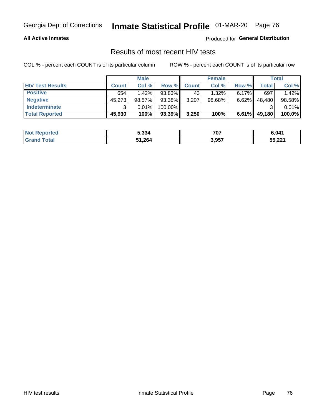#### **All Active Inmates**

Produced for **General Distribution**

## Results of most recent HIV tests

|                         |              | <b>Male</b> |         |              | <b>Female</b> |          |        | Total  |
|-------------------------|--------------|-------------|---------|--------------|---------------|----------|--------|--------|
| <b>HIV Test Results</b> | <b>Count</b> | Col %       | Row %I  | <b>Count</b> | Col %         | Row %    | Total  | Col %  |
| <b>Positive</b>         | 654          | $1.42\%$    | 93.83%  | 43           | 1.32%         | $6.17\%$ | 697    | 1.42%  |
| <b>Negative</b>         | 45,273       | 98.57%      | 93.38%  | 3,207        | $98.68\%$     | 6.62%    | 48,480 | 98.58% |
| Indeterminate           | ີ            | 0.01%       | 100.00% |              |               |          |        | 0.01%  |
| <b>Total Reported</b>   | 45,930       | 100%        | 93.39%  | 3,250        | 100%          | 6.61%    | 49,180 | 100.0% |

| <b>Not Reported</b> | 5,334  | 707   | 6,041  |
|---------------------|--------|-------|--------|
| Total               | 51,264 | 3,957 | 55,221 |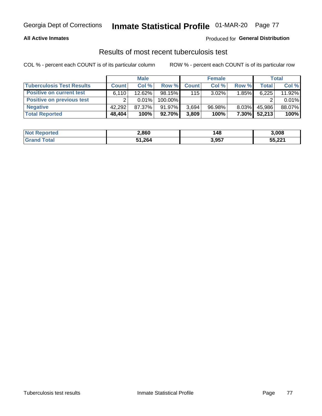#### **All Active Inmates**

#### Produced for **General Distribution**

### Results of most recent tuberculosis test

|                                  |              | <b>Male</b> |           |              | <b>Female</b> |          |              | Total  |
|----------------------------------|--------------|-------------|-----------|--------------|---------------|----------|--------------|--------|
| <b>Tuberculosis Test Results</b> | <b>Count</b> | Col%        | Row %I    | <b>Count</b> | Col%          | Row %    | <b>Total</b> | Col %  |
| <b>Positive on current test</b>  | 6.110        | $12.62\%$   | $98.15\%$ | 115          | $3.02\%$      | 1.85%    | 6,225        | 11.92% |
| <b>Positive on previous test</b> | ົ            | $0.01\%$    | 100.00%   |              |               |          |              | 0.01%  |
| <b>Negative</b>                  | 42,292       | 87.37%      | $91.97\%$ | 3.694        | $96.98\%$     | $8.03\%$ | 45,986       | 88.07% |
| <b>Total Reported</b>            | 48,404       | 100%        | 92.70%    | 3,809        | 100%          | $7.30\%$ | 52,213       | 100%   |

| <b>Not Reported</b> | 2,860  | 148   | 3,008  |
|---------------------|--------|-------|--------|
| Total<br>Grane      | 51,264 | 3,957 | 55,221 |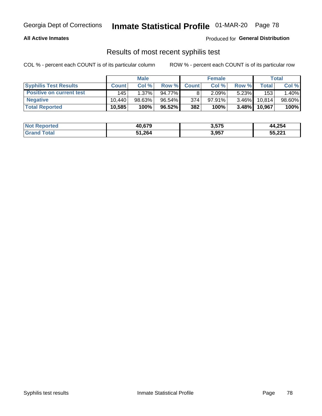#### **All Active Inmates**

Produced for **General Distribution**

## Results of most recent syphilis test

|                                 |              | <b>Male</b> |        |              | <b>Female</b> |          |         | Total  |
|---------------------------------|--------------|-------------|--------|--------------|---------------|----------|---------|--------|
| <b>Syphilis Test Results</b>    | <b>Count</b> | Col%        | Row %  | <b>Count</b> | Col %         | Row %    | Total I | Col %  |
| <b>Positive on current test</b> | 145          | 1.37%       | 94.77% |              | 2.09%         | $5.23\%$ | 153     | 1.40%  |
| <b>Negative</b>                 | 10.440       | $98.63\%$   | 96.54% | 374          | $97.91\%$     | $3.46\%$ | 10,814  | 98.60% |
| <b>Total Reported</b>           | 10,585       | 100%        | 96.52% | 382          | 100%          | $3.48\%$ | 10,967  | 100%   |

| <b>Not Reported</b> | 40,679 | 3,575 | 44,254 |
|---------------------|--------|-------|--------|
| <b>Grand Total</b>  | 51,264 | 3,957 | 55,221 |